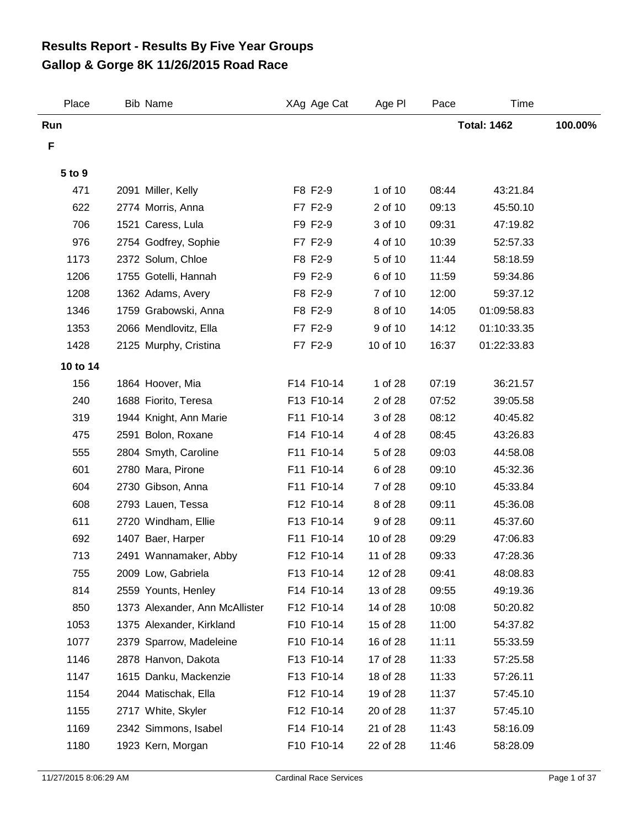## **Gallop & Gorge 8K 11/26/2015 Road Race Results Report - Results By Five Year Groups**

| Place    | <b>Bib Name</b>                | XAg Age Cat | Age PI   | Pace  | <b>Time</b>        |         |
|----------|--------------------------------|-------------|----------|-------|--------------------|---------|
| Run      |                                |             |          |       | <b>Total: 1462</b> | 100.00% |
| F        |                                |             |          |       |                    |         |
| 5 to 9   |                                |             |          |       |                    |         |
| 471      | 2091 Miller, Kelly             | F8 F2-9     | 1 of 10  | 08:44 | 43:21.84           |         |
| 622      | 2774 Morris, Anna              | F7 F2-9     | 2 of 10  | 09:13 | 45:50.10           |         |
| 706      | 1521 Caress, Lula              | F9 F2-9     | 3 of 10  | 09:31 | 47:19.82           |         |
| 976      | 2754 Godfrey, Sophie           | F7 F2-9     | 4 of 10  | 10:39 | 52:57.33           |         |
| 1173     | 2372 Solum, Chloe              | F8 F2-9     | 5 of 10  | 11:44 | 58:18.59           |         |
| 1206     | 1755 Gotelli, Hannah           | F9 F2-9     | 6 of 10  | 11:59 | 59:34.86           |         |
| 1208     | 1362 Adams, Avery              | F8 F2-9     | 7 of 10  | 12:00 | 59:37.12           |         |
| 1346     | 1759 Grabowski, Anna           | F8 F2-9     | 8 of 10  | 14:05 | 01:09:58.83        |         |
| 1353     | 2066 Mendlovitz, Ella          | F7 F2-9     | 9 of 10  | 14:12 | 01:10:33.35        |         |
| 1428     | 2125 Murphy, Cristina          | F7 F2-9     | 10 of 10 | 16:37 | 01:22:33.83        |         |
| 10 to 14 |                                |             |          |       |                    |         |
| 156      | 1864 Hoover, Mia               | F14 F10-14  | 1 of 28  | 07:19 | 36:21.57           |         |
| 240      | 1688 Fiorito, Teresa           | F13 F10-14  | 2 of 28  | 07:52 | 39:05.58           |         |
| 319      | 1944 Knight, Ann Marie         | F11 F10-14  | 3 of 28  | 08:12 | 40:45.82           |         |
| 475      | 2591 Bolon, Roxane             | F14 F10-14  | 4 of 28  | 08:45 | 43:26.83           |         |
| 555      | 2804 Smyth, Caroline           | F11 F10-14  | 5 of 28  | 09:03 | 44:58.08           |         |
| 601      | 2780 Mara, Pirone              | F11 F10-14  | 6 of 28  | 09:10 | 45:32.36           |         |
| 604      | 2730 Gibson, Anna              | F11 F10-14  | 7 of 28  | 09:10 | 45:33.84           |         |
| 608      | 2793 Lauen, Tessa              | F12 F10-14  | 8 of 28  | 09:11 | 45:36.08           |         |
| 611      | 2720 Windham, Ellie            | F13 F10-14  | 9 of 28  | 09:11 | 45:37.60           |         |
| 692      | 1407 Baer, Harper              | F11 F10-14  | 10 of 28 | 09:29 | 47:06.83           |         |
| 713      | 2491 Wannamaker, Abby          | F12 F10-14  | 11 of 28 | 09:33 | 47:28.36           |         |
| 755      | 2009 Low, Gabriela             | F13 F10-14  | 12 of 28 | 09:41 | 48:08.83           |         |
| 814      | 2559 Younts, Henley            | F14 F10-14  | 13 of 28 | 09:55 | 49:19.36           |         |
| 850      | 1373 Alexander, Ann McAllister | F12 F10-14  | 14 of 28 | 10:08 | 50:20.82           |         |
| 1053     | 1375 Alexander, Kirkland       | F10 F10-14  | 15 of 28 | 11:00 | 54:37.82           |         |
| 1077     | 2379 Sparrow, Madeleine        | F10 F10-14  | 16 of 28 | 11:11 | 55:33.59           |         |
| 1146     | 2878 Hanvon, Dakota            | F13 F10-14  | 17 of 28 | 11:33 | 57:25.58           |         |
| 1147     | 1615 Danku, Mackenzie          | F13 F10-14  | 18 of 28 | 11:33 | 57:26.11           |         |
| 1154     | 2044 Matischak, Ella           | F12 F10-14  | 19 of 28 | 11:37 | 57:45.10           |         |
| 1155     | 2717 White, Skyler             | F12 F10-14  | 20 of 28 | 11:37 | 57:45.10           |         |
| 1169     | 2342 Simmons, Isabel           | F14 F10-14  | 21 of 28 | 11:43 | 58:16.09           |         |
| 1180     | 1923 Kern, Morgan              | F10 F10-14  | 22 of 28 | 11:46 | 58:28.09           |         |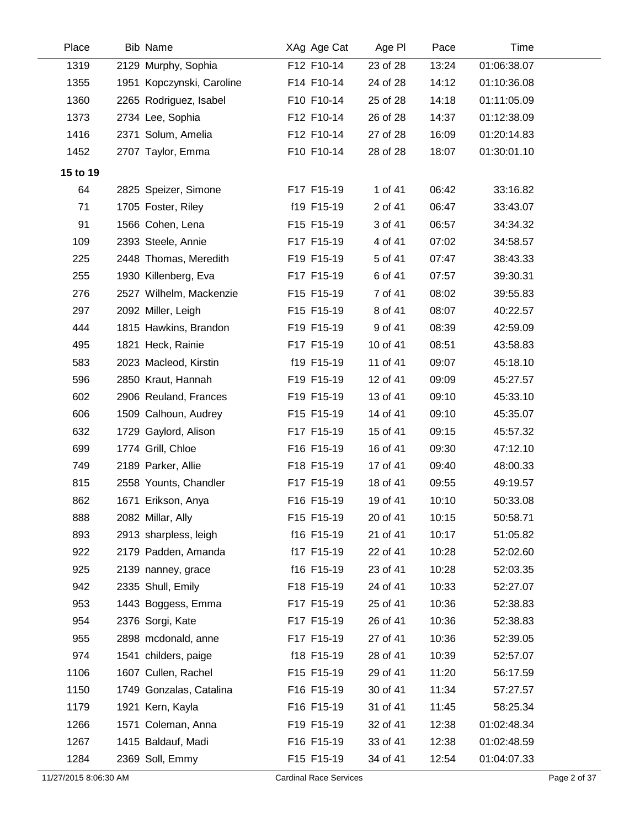| Place    | <b>Bib Name</b>           | XAg Age Cat | Age PI   | Pace  | <b>Time</b> |  |
|----------|---------------------------|-------------|----------|-------|-------------|--|
| 1319     | 2129 Murphy, Sophia       | F12 F10-14  | 23 of 28 | 13:24 | 01:06:38.07 |  |
| 1355     | 1951 Kopczynski, Caroline | F14 F10-14  | 24 of 28 | 14:12 | 01:10:36.08 |  |
| 1360     | 2265 Rodriguez, Isabel    | F10 F10-14  | 25 of 28 | 14:18 | 01:11:05.09 |  |
| 1373     | 2734 Lee, Sophia          | F12 F10-14  | 26 of 28 | 14:37 | 01:12:38.09 |  |
| 1416     | 2371 Solum, Amelia        | F12 F10-14  | 27 of 28 | 16:09 | 01:20:14.83 |  |
| 1452     | 2707 Taylor, Emma         | F10 F10-14  | 28 of 28 | 18:07 | 01:30:01.10 |  |
| 15 to 19 |                           |             |          |       |             |  |
| 64       | 2825 Speizer, Simone      | F17 F15-19  | 1 of 41  | 06:42 | 33:16.82    |  |
| 71       | 1705 Foster, Riley        | f19 F15-19  | 2 of 41  | 06:47 | 33:43.07    |  |
| 91       | 1566 Cohen, Lena          | F15 F15-19  | 3 of 41  | 06:57 | 34:34.32    |  |
| 109      | 2393 Steele, Annie        | F17 F15-19  | 4 of 41  | 07:02 | 34:58.57    |  |
| 225      | 2448 Thomas, Meredith     | F19 F15-19  | 5 of 41  | 07:47 | 38:43.33    |  |
| 255      | 1930 Killenberg, Eva      | F17 F15-19  | 6 of 41  | 07:57 | 39:30.31    |  |
| 276      | 2527 Wilhelm, Mackenzie   | F15 F15-19  | 7 of 41  | 08:02 | 39:55.83    |  |
| 297      | 2092 Miller, Leigh        | F15 F15-19  | 8 of 41  | 08:07 | 40:22.57    |  |
| 444      | 1815 Hawkins, Brandon     | F19 F15-19  | 9 of 41  | 08:39 | 42:59.09    |  |
| 495      | 1821 Heck, Rainie         | F17 F15-19  | 10 of 41 | 08:51 | 43:58.83    |  |
| 583      | 2023 Macleod, Kirstin     | f19 F15-19  | 11 of 41 | 09:07 | 45:18.10    |  |
| 596      | 2850 Kraut, Hannah        | F19 F15-19  | 12 of 41 | 09:09 | 45:27.57    |  |
| 602      | 2906 Reuland, Frances     | F19 F15-19  | 13 of 41 | 09:10 | 45:33.10    |  |
| 606      | 1509 Calhoun, Audrey      | F15 F15-19  | 14 of 41 | 09:10 | 45:35.07    |  |
| 632      | 1729 Gaylord, Alison      | F17 F15-19  | 15 of 41 | 09:15 | 45:57.32    |  |
| 699      | 1774 Grill, Chloe         | F16 F15-19  | 16 of 41 | 09:30 | 47:12.10    |  |
| 749      | 2189 Parker, Allie        | F18 F15-19  | 17 of 41 | 09:40 | 48:00.33    |  |
| 815      | 2558 Younts, Chandler     | F17 F15-19  | 18 of 41 | 09:55 | 49:19.57    |  |
| 862      | 1671 Erikson, Anya        | F16 F15-19  | 19 of 41 | 10:10 | 50:33.08    |  |
| 888      | 2082 Millar, Ally         | F15 F15-19  | 20 of 41 | 10:15 | 50:58.71    |  |
| 893      | 2913 sharpless, leigh     | f16 F15-19  | 21 of 41 | 10:17 | 51:05.82    |  |
| 922      | 2179 Padden, Amanda       | f17 F15-19  | 22 of 41 | 10:28 | 52:02.60    |  |
| 925      | 2139 nanney, grace        | f16 F15-19  | 23 of 41 | 10:28 | 52:03.35    |  |
| 942      | 2335 Shull, Emily         | F18 F15-19  | 24 of 41 | 10:33 | 52:27.07    |  |
| 953      | 1443 Boggess, Emma        | F17 F15-19  | 25 of 41 | 10:36 | 52:38.83    |  |
| 954      | 2376 Sorgi, Kate          | F17 F15-19  | 26 of 41 | 10:36 | 52:38.83    |  |
| 955      | 2898 mcdonald, anne       | F17 F15-19  | 27 of 41 | 10:36 | 52:39.05    |  |
| 974      | 1541 childers, paige      | f18 F15-19  | 28 of 41 | 10:39 | 52:57.07    |  |
| 1106     | 1607 Cullen, Rachel       | F15 F15-19  | 29 of 41 | 11:20 | 56:17.59    |  |
| 1150     | 1749 Gonzalas, Catalina   | F16 F15-19  | 30 of 41 | 11:34 | 57:27.57    |  |
| 1179     | 1921 Kern, Kayla          | F16 F15-19  | 31 of 41 | 11:45 | 58:25.34    |  |
| 1266     | 1571 Coleman, Anna        | F19 F15-19  | 32 of 41 | 12:38 | 01:02:48.34 |  |
| 1267     | 1415 Baldauf, Madi        | F16 F15-19  | 33 of 41 | 12:38 | 01:02:48.59 |  |
| 1284     | 2369 Soll, Emmy           | F15 F15-19  | 34 of 41 | 12:54 | 01:04:07.33 |  |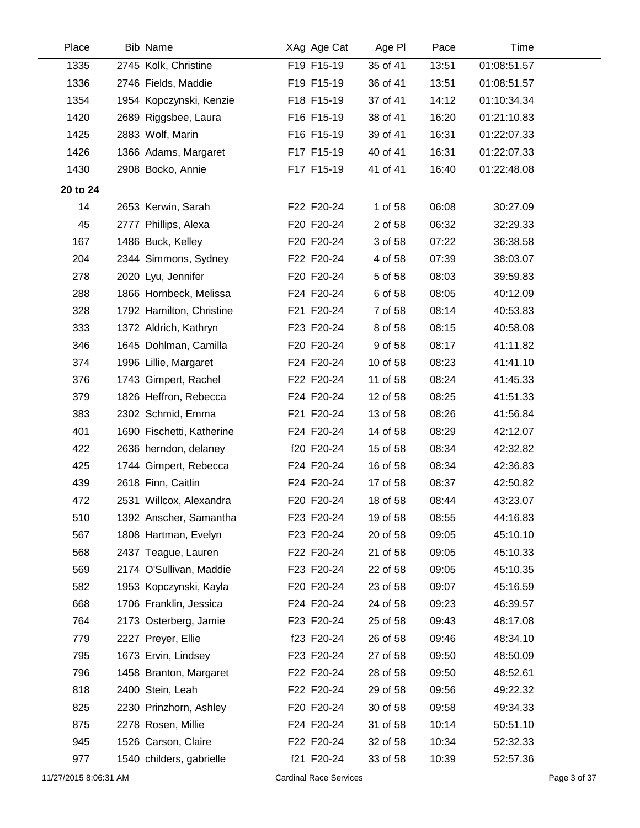| Place    | <b>Bib Name</b>           | XAg Age Cat | Age PI   | Pace  | Time        |
|----------|---------------------------|-------------|----------|-------|-------------|
| 1335     | 2745 Kolk, Christine      | F19 F15-19  | 35 of 41 | 13:51 | 01:08:51.57 |
| 1336     | 2746 Fields, Maddie       | F19 F15-19  | 36 of 41 | 13:51 | 01:08:51.57 |
| 1354     | 1954 Kopczynski, Kenzie   | F18 F15-19  | 37 of 41 | 14:12 | 01:10:34.34 |
| 1420     | 2689 Riggsbee, Laura      | F16 F15-19  | 38 of 41 | 16:20 | 01:21:10.83 |
| 1425     | 2883 Wolf, Marin          | F16 F15-19  | 39 of 41 | 16:31 | 01:22:07.33 |
| 1426     | 1366 Adams, Margaret      | F17 F15-19  | 40 of 41 | 16:31 | 01:22:07.33 |
| 1430     | 2908 Bocko, Annie         | F17 F15-19  | 41 of 41 | 16:40 | 01:22:48.08 |
| 20 to 24 |                           |             |          |       |             |
| 14       | 2653 Kerwin, Sarah        | F22 F20-24  | 1 of 58  | 06:08 | 30:27.09    |
| 45       | 2777 Phillips, Alexa      | F20 F20-24  | 2 of 58  | 06:32 | 32:29.33    |
| 167      | 1486 Buck, Kelley         | F20 F20-24  | 3 of 58  | 07:22 | 36:38.58    |
| 204      | 2344 Simmons, Sydney      | F22 F20-24  | 4 of 58  | 07:39 | 38:03.07    |
| 278      | 2020 Lyu, Jennifer        | F20 F20-24  | 5 of 58  | 08:03 | 39:59.83    |
| 288      | 1866 Hornbeck, Melissa    | F24 F20-24  | 6 of 58  | 08:05 | 40:12.09    |
| 328      | 1792 Hamilton, Christine  | F21 F20-24  | 7 of 58  | 08:14 | 40:53.83    |
| 333      | 1372 Aldrich, Kathryn     | F23 F20-24  | 8 of 58  | 08:15 | 40:58.08    |
| 346      | 1645 Dohlman, Camilla     | F20 F20-24  | 9 of 58  | 08:17 | 41:11.82    |
| 374      | 1996 Lillie, Margaret     | F24 F20-24  | 10 of 58 | 08:23 | 41:41.10    |
| 376      | 1743 Gimpert, Rachel      | F22 F20-24  | 11 of 58 | 08:24 | 41:45.33    |
| 379      | 1826 Heffron, Rebecca     | F24 F20-24  | 12 of 58 | 08:25 | 41:51.33    |
| 383      | 2302 Schmid, Emma         | F21 F20-24  | 13 of 58 | 08:26 | 41:56.84    |
| 401      | 1690 Fischetti, Katherine | F24 F20-24  | 14 of 58 | 08:29 | 42:12.07    |
| 422      | 2636 herndon, delaney     | f20 F20-24  | 15 of 58 | 08:34 | 42:32.82    |
| 425      | 1744 Gimpert, Rebecca     | F24 F20-24  | 16 of 58 | 08:34 | 42:36.83    |
| 439      | 2618 Finn, Caitlin        | F24 F20-24  | 17 of 58 | 08:37 | 42:50.82    |
| 472      | 2531 Willcox, Alexandra   | F20 F20-24  | 18 of 58 | 08:44 | 43:23.07    |
| 510      | 1392 Anscher, Samantha    | F23 F20-24  | 19 of 58 | 08:55 | 44:16.83    |
| 567      | 1808 Hartman, Evelyn      | F23 F20-24  | 20 of 58 | 09:05 | 45:10.10    |
| 568      | 2437 Teague, Lauren       | F22 F20-24  | 21 of 58 | 09:05 | 45:10.33    |
| 569      | 2174 O'Sullivan, Maddie   | F23 F20-24  | 22 of 58 | 09:05 | 45:10.35    |
| 582      | 1953 Kopczynski, Kayla    | F20 F20-24  | 23 of 58 | 09:07 | 45:16.59    |
| 668      | 1706 Franklin, Jessica    | F24 F20-24  | 24 of 58 | 09:23 | 46:39.57    |
| 764      | 2173 Osterberg, Jamie     | F23 F20-24  | 25 of 58 | 09:43 | 48:17.08    |
| 779      | 2227 Preyer, Ellie        | f23 F20-24  | 26 of 58 | 09:46 | 48:34.10    |
| 795      | 1673 Ervin, Lindsey       | F23 F20-24  | 27 of 58 | 09:50 | 48:50.09    |
| 796      | 1458 Branton, Margaret    | F22 F20-24  | 28 of 58 | 09:50 | 48:52.61    |
| 818      | 2400 Stein, Leah          | F22 F20-24  | 29 of 58 | 09:56 | 49:22.32    |
| 825      | 2230 Prinzhorn, Ashley    | F20 F20-24  | 30 of 58 | 09:58 | 49:34.33    |
| 875      | 2278 Rosen, Millie        | F24 F20-24  | 31 of 58 | 10:14 | 50:51.10    |
| 945      | 1526 Carson, Claire       | F22 F20-24  | 32 of 58 | 10:34 | 52:32.33    |
| 977      | 1540 childers, gabrielle  | f21 F20-24  | 33 of 58 | 10:39 | 52:57.36    |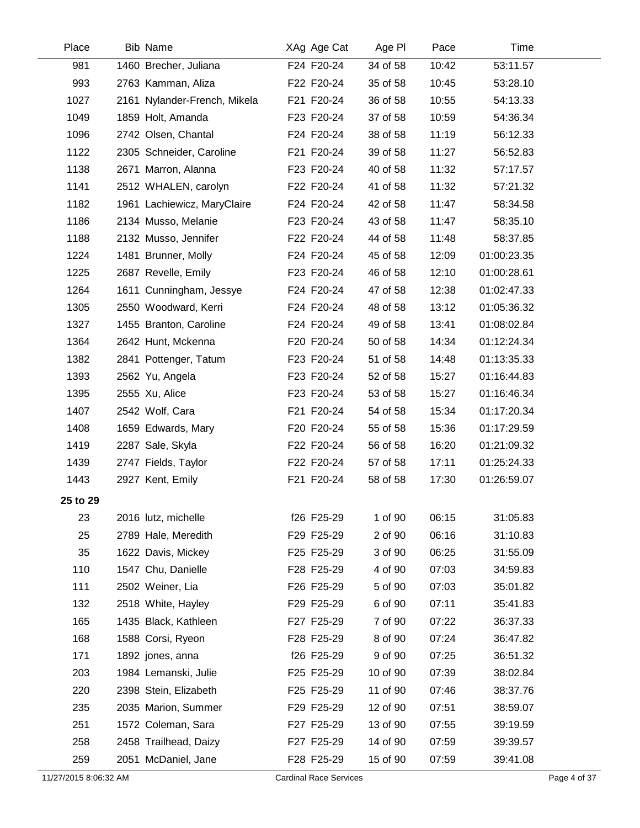| Place    | <b>Bib Name</b>              | XAg Age Cat | Age PI   | Pace  | Time        |  |
|----------|------------------------------|-------------|----------|-------|-------------|--|
| 981      | 1460 Brecher, Juliana        | F24 F20-24  | 34 of 58 | 10:42 | 53:11.57    |  |
| 993      | 2763 Kamman, Aliza           | F22 F20-24  | 35 of 58 | 10:45 | 53:28.10    |  |
| 1027     | 2161 Nylander-French, Mikela | F21 F20-24  | 36 of 58 | 10:55 | 54:13.33    |  |
| 1049     | 1859 Holt, Amanda            | F23 F20-24  | 37 of 58 | 10:59 | 54:36.34    |  |
| 1096     | 2742 Olsen, Chantal          | F24 F20-24  | 38 of 58 | 11:19 | 56:12.33    |  |
| 1122     | 2305 Schneider, Caroline     | F21 F20-24  | 39 of 58 | 11:27 | 56:52.83    |  |
| 1138     | 2671 Marron, Alanna          | F23 F20-24  | 40 of 58 | 11:32 | 57:17.57    |  |
| 1141     | 2512 WHALEN, carolyn         | F22 F20-24  | 41 of 58 | 11:32 | 57:21.32    |  |
| 1182     | 1961 Lachiewicz, MaryClaire  | F24 F20-24  | 42 of 58 | 11:47 | 58:34.58    |  |
| 1186     | 2134 Musso, Melanie          | F23 F20-24  | 43 of 58 | 11:47 | 58:35.10    |  |
| 1188     | 2132 Musso, Jennifer         | F22 F20-24  | 44 of 58 | 11:48 | 58:37.85    |  |
| 1224     | 1481 Brunner, Molly          | F24 F20-24  | 45 of 58 | 12:09 | 01:00:23.35 |  |
| 1225     | 2687 Revelle, Emily          | F23 F20-24  | 46 of 58 | 12:10 | 01:00:28.61 |  |
| 1264     | 1611 Cunningham, Jessye      | F24 F20-24  | 47 of 58 | 12:38 | 01:02:47.33 |  |
| 1305     | 2550 Woodward, Kerri         | F24 F20-24  | 48 of 58 | 13:12 | 01:05:36.32 |  |
| 1327     | 1455 Branton, Caroline       | F24 F20-24  | 49 of 58 | 13:41 | 01:08:02.84 |  |
| 1364     | 2642 Hunt, Mckenna           | F20 F20-24  | 50 of 58 | 14:34 | 01:12:24.34 |  |
| 1382     | 2841 Pottenger, Tatum        | F23 F20-24  | 51 of 58 | 14:48 | 01:13:35.33 |  |
| 1393     | 2562 Yu, Angela              | F23 F20-24  | 52 of 58 | 15:27 | 01:16:44.83 |  |
| 1395     | 2555 Xu, Alice               | F23 F20-24  | 53 of 58 | 15:27 | 01:16:46.34 |  |
| 1407     | 2542 Wolf, Cara              | F21 F20-24  | 54 of 58 | 15:34 | 01:17:20.34 |  |
| 1408     | 1659 Edwards, Mary           | F20 F20-24  | 55 of 58 | 15:36 | 01:17:29.59 |  |
| 1419     | 2287 Sale, Skyla             | F22 F20-24  | 56 of 58 | 16:20 | 01:21:09.32 |  |
| 1439     | 2747 Fields, Taylor          | F22 F20-24  | 57 of 58 | 17:11 | 01:25:24.33 |  |
| 1443     | 2927 Kent, Emily             | F21 F20-24  | 58 of 58 | 17:30 | 01:26:59.07 |  |
| 25 to 29 |                              |             |          |       |             |  |
| 23       | 2016 lutz, michelle          | f26 F25-29  | 1 of 90  | 06:15 | 31:05.83    |  |
| 25       | 2789 Hale, Meredith          | F29 F25-29  | 2 of 90  | 06:16 | 31:10.83    |  |
| 35       | 1622 Davis, Mickey           | F25 F25-29  | 3 of 90  | 06:25 | 31:55.09    |  |
| 110      | 1547 Chu, Danielle           | F28 F25-29  | 4 of 90  | 07:03 | 34:59.83    |  |
| 111      | 2502 Weiner, Lia             | F26 F25-29  | 5 of 90  | 07:03 | 35:01.82    |  |
| 132      | 2518 White, Hayley           | F29 F25-29  | 6 of 90  | 07:11 | 35:41.83    |  |
| 165      | 1435 Black, Kathleen         | F27 F25-29  | 7 of 90  | 07:22 | 36:37.33    |  |
| 168      | 1588 Corsi, Ryeon            | F28 F25-29  | 8 of 90  | 07:24 | 36:47.82    |  |
| 171      | 1892 jones, anna             | f26 F25-29  | 9 of 90  | 07:25 | 36:51.32    |  |
| 203      | 1984 Lemanski, Julie         | F25 F25-29  | 10 of 90 | 07:39 | 38:02.84    |  |
| 220      | 2398 Stein, Elizabeth        | F25 F25-29  | 11 of 90 | 07:46 | 38:37.76    |  |
| 235      | 2035 Marion, Summer          | F29 F25-29  | 12 of 90 | 07:51 | 38:59.07    |  |
| 251      | 1572 Coleman, Sara           | F27 F25-29  | 13 of 90 | 07:55 | 39:19.59    |  |
| 258      | 2458 Trailhead, Daizy        | F27 F25-29  | 14 of 90 | 07:59 | 39:39.57    |  |
| 259      | 2051 McDaniel, Jane          | F28 F25-29  | 15 of 90 | 07:59 | 39:41.08    |  |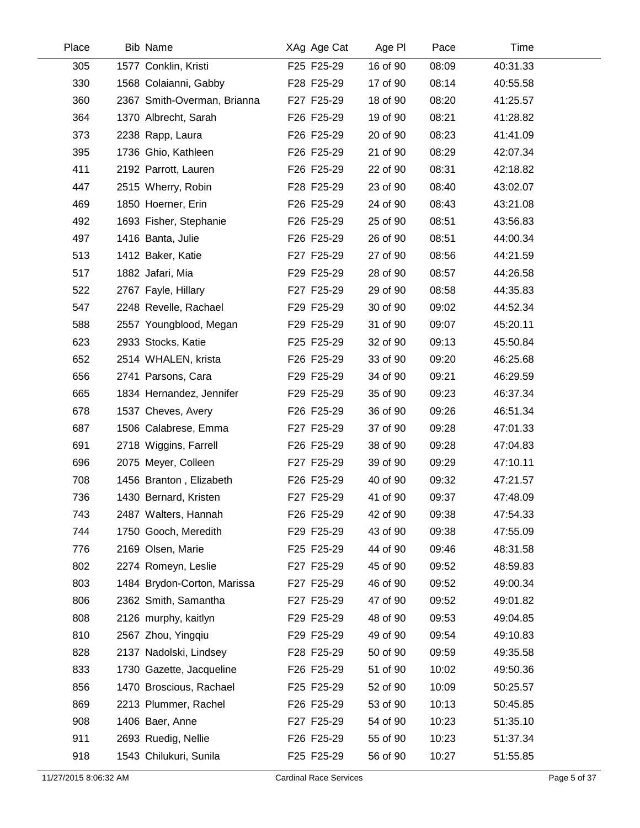| Place | <b>Bib Name</b>             | XAg Age Cat | Age PI   | Pace  | Time     |  |
|-------|-----------------------------|-------------|----------|-------|----------|--|
| 305   | 1577 Conklin, Kristi        | F25 F25-29  | 16 of 90 | 08:09 | 40:31.33 |  |
| 330   | 1568 Colaianni, Gabby       | F28 F25-29  | 17 of 90 | 08:14 | 40:55.58 |  |
| 360   | 2367 Smith-Overman, Brianna | F27 F25-29  | 18 of 90 | 08:20 | 41:25.57 |  |
| 364   | 1370 Albrecht, Sarah        | F26 F25-29  | 19 of 90 | 08:21 | 41:28.82 |  |
| 373   | 2238 Rapp, Laura            | F26 F25-29  | 20 of 90 | 08:23 | 41:41.09 |  |
| 395   | 1736 Ghio, Kathleen         | F26 F25-29  | 21 of 90 | 08:29 | 42:07.34 |  |
| 411   | 2192 Parrott, Lauren        | F26 F25-29  | 22 of 90 | 08:31 | 42:18.82 |  |
| 447   | 2515 Wherry, Robin          | F28 F25-29  | 23 of 90 | 08:40 | 43:02.07 |  |
| 469   | 1850 Hoerner, Erin          | F26 F25-29  | 24 of 90 | 08:43 | 43:21.08 |  |
| 492   | 1693 Fisher, Stephanie      | F26 F25-29  | 25 of 90 | 08:51 | 43:56.83 |  |
| 497   | 1416 Banta, Julie           | F26 F25-29  | 26 of 90 | 08:51 | 44:00.34 |  |
| 513   | 1412 Baker, Katie           | F27 F25-29  | 27 of 90 | 08:56 | 44:21.59 |  |
| 517   | 1882 Jafari, Mia            | F29 F25-29  | 28 of 90 | 08:57 | 44:26.58 |  |
| 522   | 2767 Fayle, Hillary         | F27 F25-29  | 29 of 90 | 08:58 | 44:35.83 |  |
| 547   | 2248 Revelle, Rachael       | F29 F25-29  | 30 of 90 | 09:02 | 44:52.34 |  |
| 588   | 2557 Youngblood, Megan      | F29 F25-29  | 31 of 90 | 09:07 | 45:20.11 |  |
| 623   | 2933 Stocks, Katie          | F25 F25-29  | 32 of 90 | 09:13 | 45:50.84 |  |
| 652   | 2514 WHALEN, krista         | F26 F25-29  | 33 of 90 | 09:20 | 46:25.68 |  |
| 656   | 2741 Parsons, Cara          | F29 F25-29  | 34 of 90 | 09:21 | 46:29.59 |  |
| 665   | 1834 Hernandez, Jennifer    | F29 F25-29  | 35 of 90 | 09:23 | 46:37.34 |  |
| 678   | 1537 Cheves, Avery          | F26 F25-29  | 36 of 90 | 09:26 | 46:51.34 |  |
| 687   | 1506 Calabrese, Emma        | F27 F25-29  | 37 of 90 | 09:28 | 47:01.33 |  |
| 691   | 2718 Wiggins, Farrell       | F26 F25-29  | 38 of 90 | 09:28 | 47:04.83 |  |
| 696   | 2075 Meyer, Colleen         | F27 F25-29  | 39 of 90 | 09:29 | 47:10.11 |  |
| 708   | 1456 Branton, Elizabeth     | F26 F25-29  | 40 of 90 | 09:32 | 47:21.57 |  |
| 736   | 1430 Bernard, Kristen       | F27 F25-29  | 41 of 90 | 09:37 | 47:48.09 |  |
| 743   | 2487 Walters, Hannah        | F26 F25-29  | 42 of 90 | 09:38 | 47:54.33 |  |
| 744   | 1750 Gooch, Meredith        | F29 F25-29  | 43 of 90 | 09:38 | 47:55.09 |  |
| 776   | 2169 Olsen, Marie           | F25 F25-29  | 44 of 90 | 09:46 | 48:31.58 |  |
| 802   | 2274 Romeyn, Leslie         | F27 F25-29  | 45 of 90 | 09:52 | 48:59.83 |  |
| 803   | 1484 Brydon-Corton, Marissa | F27 F25-29  | 46 of 90 | 09:52 | 49:00.34 |  |
| 806   | 2362 Smith, Samantha        | F27 F25-29  | 47 of 90 | 09:52 | 49:01.82 |  |
| 808   | 2126 murphy, kaitlyn        | F29 F25-29  | 48 of 90 | 09:53 | 49:04.85 |  |
| 810   | 2567 Zhou, Yinggiu          | F29 F25-29  | 49 of 90 | 09:54 | 49:10.83 |  |
| 828   | 2137 Nadolski, Lindsey      | F28 F25-29  | 50 of 90 | 09:59 | 49:35.58 |  |
| 833   | 1730 Gazette, Jacqueline    | F26 F25-29  | 51 of 90 | 10:02 | 49:50.36 |  |
| 856   | 1470 Broscious, Rachael     | F25 F25-29  | 52 of 90 | 10:09 | 50:25.57 |  |
| 869   | 2213 Plummer, Rachel        | F26 F25-29  | 53 of 90 | 10:13 | 50:45.85 |  |
| 908   | 1406 Baer, Anne             | F27 F25-29  | 54 of 90 | 10:23 | 51:35.10 |  |
| 911   | 2693 Ruedig, Nellie         | F26 F25-29  | 55 of 90 | 10:23 | 51:37.34 |  |
| 918   | 1543 Chilukuri, Sunila      | F25 F25-29  | 56 of 90 | 10:27 | 51:55.85 |  |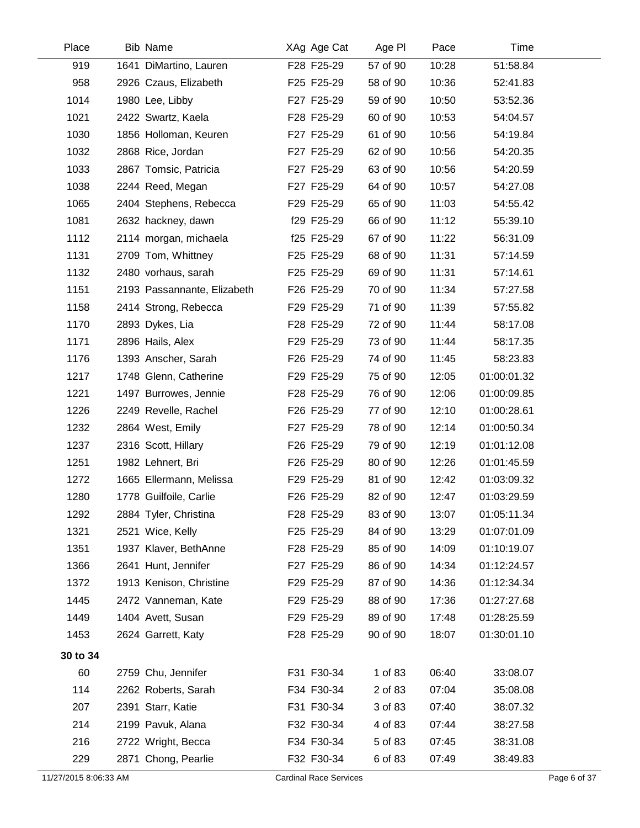| Place                 | <b>Bib Name</b>             | XAg Age Cat                   | Age PI   | Pace  | Time        |              |
|-----------------------|-----------------------------|-------------------------------|----------|-------|-------------|--------------|
| 919                   | 1641 DiMartino, Lauren      | F28 F25-29                    | 57 of 90 | 10:28 | 51:58.84    |              |
| 958                   | 2926 Czaus, Elizabeth       | F25 F25-29                    | 58 of 90 | 10:36 | 52:41.83    |              |
| 1014                  | 1980 Lee, Libby             | F27 F25-29                    | 59 of 90 | 10:50 | 53:52.36    |              |
| 1021                  | 2422 Swartz, Kaela          | F28 F25-29                    | 60 of 90 | 10:53 | 54:04.57    |              |
| 1030                  | 1856 Holloman, Keuren       | F27 F25-29                    | 61 of 90 | 10:56 | 54:19.84    |              |
| 1032                  | 2868 Rice, Jordan           | F27 F25-29                    | 62 of 90 | 10:56 | 54:20.35    |              |
| 1033                  | 2867 Tomsic, Patricia       | F27 F25-29                    | 63 of 90 | 10:56 | 54:20.59    |              |
| 1038                  | 2244 Reed, Megan            | F27 F25-29                    | 64 of 90 | 10:57 | 54:27.08    |              |
| 1065                  | 2404 Stephens, Rebecca      | F29 F25-29                    | 65 of 90 | 11:03 | 54:55.42    |              |
| 1081                  | 2632 hackney, dawn          | f29 F25-29                    | 66 of 90 | 11:12 | 55:39.10    |              |
| 1112                  | 2114 morgan, michaela       | f25 F25-29                    | 67 of 90 | 11:22 | 56:31.09    |              |
| 1131                  | 2709 Tom, Whittney          | F25 F25-29                    | 68 of 90 | 11:31 | 57:14.59    |              |
| 1132                  | 2480 vorhaus, sarah         | F25 F25-29                    | 69 of 90 | 11:31 | 57:14.61    |              |
| 1151                  | 2193 Passannante, Elizabeth | F26 F25-29                    | 70 of 90 | 11:34 | 57:27.58    |              |
| 1158                  | 2414 Strong, Rebecca        | F29 F25-29                    | 71 of 90 | 11:39 | 57:55.82    |              |
| 1170                  | 2893 Dykes, Lia             | F28 F25-29                    | 72 of 90 | 11:44 | 58:17.08    |              |
| 1171                  | 2896 Hails, Alex            | F29 F25-29                    | 73 of 90 | 11:44 | 58:17.35    |              |
| 1176                  | 1393 Anscher, Sarah         | F26 F25-29                    | 74 of 90 | 11:45 | 58:23.83    |              |
| 1217                  | 1748 Glenn, Catherine       | F29 F25-29                    | 75 of 90 | 12:05 | 01:00:01.32 |              |
| 1221                  | 1497 Burrowes, Jennie       | F28 F25-29                    | 76 of 90 | 12:06 | 01:00:09.85 |              |
| 1226                  | 2249 Revelle, Rachel        | F26 F25-29                    | 77 of 90 | 12:10 | 01:00:28.61 |              |
| 1232                  | 2864 West, Emily            | F27 F25-29                    | 78 of 90 | 12:14 | 01:00:50.34 |              |
| 1237                  | 2316 Scott, Hillary         | F26 F25-29                    | 79 of 90 | 12:19 | 01:01:12.08 |              |
| 1251                  | 1982 Lehnert, Bri           | F26 F25-29                    | 80 of 90 | 12:26 | 01:01:45.59 |              |
| 1272                  | 1665 Ellermann, Melissa     | F29 F25-29                    | 81 of 90 | 12:42 | 01:03:09.32 |              |
| 1280                  | 1778 Guilfoile, Carlie      | F26 F25-29                    | 82 of 90 | 12:47 | 01:03:29.59 |              |
| 1292                  | 2884 Tyler, Christina       | F28 F25-29                    | 83 of 90 | 13:07 | 01:05:11.34 |              |
| 1321                  | 2521 Wice, Kelly            | F25 F25-29                    | 84 of 90 | 13:29 | 01:07:01.09 |              |
| 1351                  | 1937 Klaver, BethAnne       | F28 F25-29                    | 85 of 90 | 14:09 | 01:10:19.07 |              |
| 1366                  | 2641 Hunt, Jennifer         | F27 F25-29                    | 86 of 90 | 14:34 | 01:12:24.57 |              |
| 1372                  | 1913 Kenison, Christine     | F29 F25-29                    | 87 of 90 | 14:36 | 01:12:34.34 |              |
| 1445                  | 2472 Vanneman, Kate         | F29 F25-29                    | 88 of 90 | 17:36 | 01:27:27.68 |              |
| 1449                  | 1404 Avett, Susan           | F29 F25-29                    | 89 of 90 | 17:48 | 01:28:25.59 |              |
| 1453                  | 2624 Garrett, Katy          | F28 F25-29                    | 90 of 90 | 18:07 | 01:30:01.10 |              |
| 30 to 34              |                             |                               |          |       |             |              |
| 60                    | 2759 Chu, Jennifer          | F31 F30-34                    | 1 of 83  | 06:40 | 33:08.07    |              |
| 114                   | 2262 Roberts, Sarah         | F34 F30-34                    | 2 of 83  | 07:04 | 35:08.08    |              |
| 207                   | 2391 Starr, Katie           | F31 F30-34                    | 3 of 83  | 07:40 | 38:07.32    |              |
| 214                   | 2199 Pavuk, Alana           | F32 F30-34                    | 4 of 83  | 07:44 | 38:27.58    |              |
| 216                   | 2722 Wright, Becca          | F34 F30-34                    | 5 of 83  | 07:45 | 38:31.08    |              |
| 229                   | 2871 Chong, Pearlie         | F32 F30-34                    | 6 of 83  | 07:49 | 38:49.83    |              |
| 11/27/2015 8:06:33 AM |                             | <b>Cardinal Race Services</b> |          |       |             | Page 6 of 37 |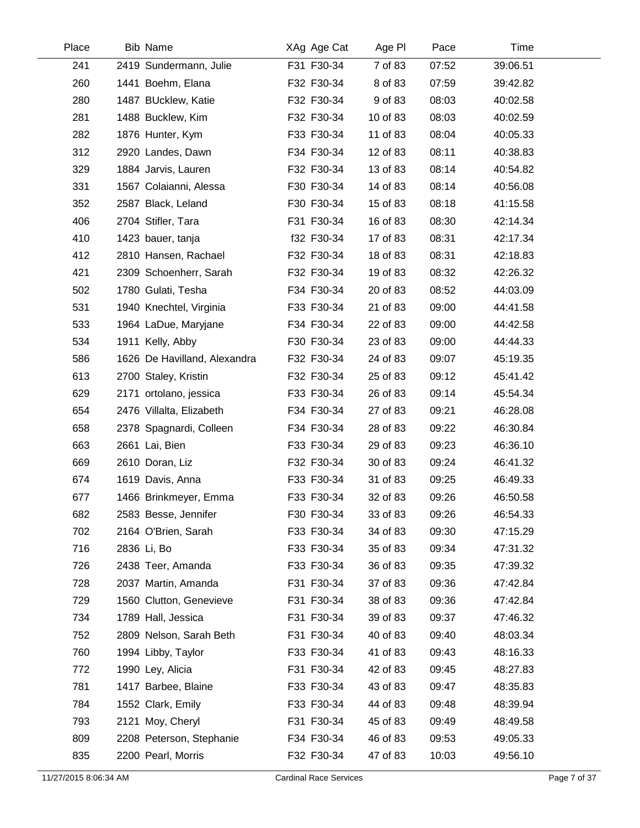| Place | Bib Name                     | XAg Age Cat | Age PI   | Pace  | Time     |  |
|-------|------------------------------|-------------|----------|-------|----------|--|
| 241   | 2419 Sundermann, Julie       | F31 F30-34  | 7 of 83  | 07:52 | 39:06.51 |  |
| 260   | 1441 Boehm, Elana            | F32 F30-34  | 8 of 83  | 07:59 | 39:42.82 |  |
| 280   | 1487 BUcklew, Katie          | F32 F30-34  | 9 of 83  | 08:03 | 40:02.58 |  |
| 281   | 1488 Bucklew, Kim            | F32 F30-34  | 10 of 83 | 08:03 | 40:02.59 |  |
| 282   | 1876 Hunter, Kym             | F33 F30-34  | 11 of 83 | 08:04 | 40:05.33 |  |
| 312   | 2920 Landes, Dawn            | F34 F30-34  | 12 of 83 | 08:11 | 40:38.83 |  |
| 329   | 1884 Jarvis, Lauren          | F32 F30-34  | 13 of 83 | 08:14 | 40:54.82 |  |
| 331   | 1567 Colaianni, Alessa       | F30 F30-34  | 14 of 83 | 08:14 | 40:56.08 |  |
| 352   | 2587 Black, Leland           | F30 F30-34  | 15 of 83 | 08:18 | 41:15.58 |  |
| 406   | 2704 Stifler, Tara           | F31 F30-34  | 16 of 83 | 08:30 | 42:14.34 |  |
| 410   | 1423 bauer, tanja            | f32 F30-34  | 17 of 83 | 08:31 | 42:17.34 |  |
| 412   | 2810 Hansen, Rachael         | F32 F30-34  | 18 of 83 | 08:31 | 42:18.83 |  |
| 421   | 2309 Schoenherr, Sarah       | F32 F30-34  | 19 of 83 | 08:32 | 42:26.32 |  |
| 502   | 1780 Gulati, Tesha           | F34 F30-34  | 20 of 83 | 08:52 | 44:03.09 |  |
| 531   | 1940 Knechtel, Virginia      | F33 F30-34  | 21 of 83 | 09:00 | 44:41.58 |  |
| 533   | 1964 LaDue, Maryjane         | F34 F30-34  | 22 of 83 | 09:00 | 44:42.58 |  |
| 534   | 1911 Kelly, Abby             | F30 F30-34  | 23 of 83 | 09:00 | 44:44.33 |  |
| 586   | 1626 De Havilland, Alexandra | F32 F30-34  | 24 of 83 | 09:07 | 45:19.35 |  |
| 613   | 2700 Staley, Kristin         | F32 F30-34  | 25 of 83 | 09:12 | 45:41.42 |  |
| 629   | 2171 ortolano, jessica       | F33 F30-34  | 26 of 83 | 09:14 | 45:54.34 |  |
| 654   | 2476 Villalta, Elizabeth     | F34 F30-34  | 27 of 83 | 09:21 | 46:28.08 |  |
| 658   | 2378 Spagnardi, Colleen      | F34 F30-34  | 28 of 83 | 09:22 | 46:30.84 |  |
| 663   | 2661 Lai, Bien               | F33 F30-34  | 29 of 83 | 09:23 | 46:36.10 |  |
| 669   | 2610 Doran, Liz              | F32 F30-34  | 30 of 83 | 09:24 | 46:41.32 |  |
| 674   | 1619 Davis, Anna             | F33 F30-34  | 31 of 83 | 09:25 | 46:49.33 |  |
| 677   | 1466 Brinkmeyer, Emma        | F33 F30-34  | 32 of 83 | 09:26 | 46:50.58 |  |
| 682   | 2583 Besse, Jennifer         | F30 F30-34  | 33 of 83 | 09:26 | 46:54.33 |  |
| 702   | 2164 O'Brien, Sarah          | F33 F30-34  | 34 of 83 | 09:30 | 47:15.29 |  |
| 716   | 2836 Li, Bo                  | F33 F30-34  | 35 of 83 | 09:34 | 47:31.32 |  |
| 726   | 2438 Teer, Amanda            | F33 F30-34  | 36 of 83 | 09:35 | 47:39.32 |  |
| 728   | 2037 Martin, Amanda          | F31 F30-34  | 37 of 83 | 09:36 | 47:42.84 |  |
| 729   | 1560 Clutton, Genevieve      | F31 F30-34  | 38 of 83 | 09:36 | 47:42.84 |  |
| 734   | 1789 Hall, Jessica           | F31 F30-34  | 39 of 83 | 09:37 | 47:46.32 |  |
| 752   | 2809 Nelson, Sarah Beth      | F31 F30-34  | 40 of 83 | 09:40 | 48:03.34 |  |
| 760   | 1994 Libby, Taylor           | F33 F30-34  | 41 of 83 | 09:43 | 48:16.33 |  |
| 772   | 1990 Ley, Alicia             | F31 F30-34  | 42 of 83 | 09:45 | 48:27.83 |  |
| 781   | 1417 Barbee, Blaine          | F33 F30-34  | 43 of 83 | 09:47 | 48:35.83 |  |
| 784   | 1552 Clark, Emily            | F33 F30-34  | 44 of 83 | 09:48 | 48:39.94 |  |
| 793   | 2121 Moy, Cheryl             | F31 F30-34  | 45 of 83 | 09:49 | 48:49.58 |  |
| 809   | 2208 Peterson, Stephanie     | F34 F30-34  | 46 of 83 | 09:53 | 49:05.33 |  |
| 835   | 2200 Pearl, Morris           | F32 F30-34  | 47 of 83 | 10:03 | 49:56.10 |  |
|       |                              |             |          |       |          |  |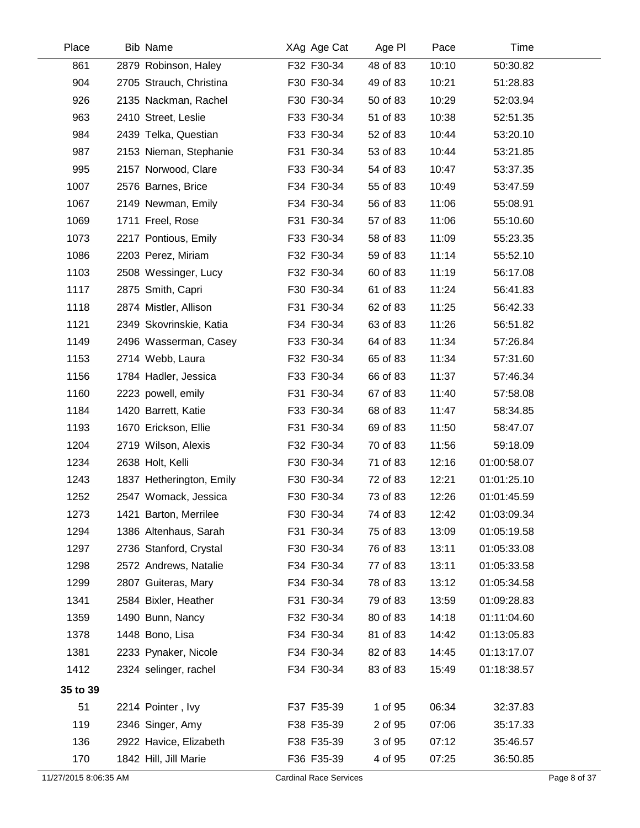| Place                 | <b>Bib Name</b>          | XAg Age Cat                   | Age PI   | Pace  | Time        |              |
|-----------------------|--------------------------|-------------------------------|----------|-------|-------------|--------------|
| 861                   | 2879 Robinson, Haley     | F32 F30-34                    | 48 of 83 | 10:10 | 50:30.82    |              |
| 904                   | 2705 Strauch, Christina  | F30 F30-34                    | 49 of 83 | 10:21 | 51:28.83    |              |
| 926                   | 2135 Nackman, Rachel     | F30 F30-34                    | 50 of 83 | 10:29 | 52:03.94    |              |
| 963                   | 2410 Street, Leslie      | F33 F30-34                    | 51 of 83 | 10:38 | 52:51.35    |              |
| 984                   | 2439 Telka, Questian     | F33 F30-34                    | 52 of 83 | 10:44 | 53:20.10    |              |
| 987                   | 2153 Nieman, Stephanie   | F31 F30-34                    | 53 of 83 | 10:44 | 53:21.85    |              |
| 995                   | 2157 Norwood, Clare      | F33 F30-34                    | 54 of 83 | 10:47 | 53:37.35    |              |
| 1007                  | 2576 Barnes, Brice       | F34 F30-34                    | 55 of 83 | 10:49 | 53:47.59    |              |
| 1067                  | 2149 Newman, Emily       | F34 F30-34                    | 56 of 83 | 11:06 | 55:08.91    |              |
| 1069                  | 1711 Freel, Rose         | F31 F30-34                    | 57 of 83 | 11:06 | 55:10.60    |              |
| 1073                  | 2217 Pontious, Emily     | F33 F30-34                    | 58 of 83 | 11:09 | 55:23.35    |              |
| 1086                  | 2203 Perez, Miriam       | F32 F30-34                    | 59 of 83 | 11:14 | 55:52.10    |              |
| 1103                  | 2508 Wessinger, Lucy     | F32 F30-34                    | 60 of 83 | 11:19 | 56:17.08    |              |
| 1117                  | 2875 Smith, Capri        | F30 F30-34                    | 61 of 83 | 11:24 | 56:41.83    |              |
| 1118                  | 2874 Mistler, Allison    | F31 F30-34                    | 62 of 83 | 11:25 | 56:42.33    |              |
| 1121                  | 2349 Skovrinskie, Katia  | F34 F30-34                    | 63 of 83 | 11:26 | 56:51.82    |              |
| 1149                  | 2496 Wasserman, Casey    | F33 F30-34                    | 64 of 83 | 11:34 | 57:26.84    |              |
| 1153                  | 2714 Webb, Laura         | F32 F30-34                    | 65 of 83 | 11:34 | 57:31.60    |              |
| 1156                  | 1784 Hadler, Jessica     | F33 F30-34                    | 66 of 83 | 11:37 | 57:46.34    |              |
| 1160                  | 2223 powell, emily       | F31 F30-34                    | 67 of 83 | 11:40 | 57:58.08    |              |
| 1184                  | 1420 Barrett, Katie      | F33 F30-34                    | 68 of 83 | 11:47 | 58:34.85    |              |
| 1193                  | 1670 Erickson, Ellie     | F31 F30-34                    | 69 of 83 | 11:50 | 58:47.07    |              |
| 1204                  | 2719 Wilson, Alexis      | F32 F30-34                    | 70 of 83 | 11:56 | 59:18.09    |              |
| 1234                  | 2638 Holt, Kelli         | F30 F30-34                    | 71 of 83 | 12:16 | 01:00:58.07 |              |
| 1243                  | 1837 Hetherington, Emily | F30 F30-34                    | 72 of 83 | 12:21 | 01:01:25.10 |              |
| 1252                  | 2547 Womack, Jessica     | F30 F30-34                    | 73 of 83 | 12:26 | 01:01:45.59 |              |
| 1273                  | 1421 Barton, Merrilee    | F30 F30-34                    | 74 of 83 | 12:42 | 01:03:09.34 |              |
| 1294                  | 1386 Altenhaus, Sarah    | F31 F30-34                    | 75 of 83 | 13:09 | 01:05:19.58 |              |
| 1297                  | 2736 Stanford, Crystal   | F30 F30-34                    | 76 of 83 | 13:11 | 01:05:33.08 |              |
| 1298                  | 2572 Andrews, Natalie    | F34 F30-34                    | 77 of 83 | 13:11 | 01:05:33.58 |              |
| 1299                  | 2807 Guiteras, Mary      | F34 F30-34                    | 78 of 83 | 13:12 | 01:05:34.58 |              |
| 1341                  | 2584 Bixler, Heather     | F31 F30-34                    | 79 of 83 | 13:59 | 01:09:28.83 |              |
| 1359                  | 1490 Bunn, Nancy         | F32 F30-34                    | 80 of 83 | 14:18 | 01:11:04.60 |              |
| 1378                  | 1448 Bono, Lisa          | F34 F30-34                    | 81 of 83 | 14:42 | 01:13:05.83 |              |
| 1381                  | 2233 Pynaker, Nicole     | F34 F30-34                    | 82 of 83 | 14:45 | 01:13:17.07 |              |
| 1412                  | 2324 selinger, rachel    | F34 F30-34                    | 83 of 83 | 15:49 | 01:18:38.57 |              |
| 35 to 39              |                          |                               |          |       |             |              |
| 51                    | 2214 Pointer, Ivy        | F37 F35-39                    | 1 of 95  | 06:34 | 32:37.83    |              |
| 119                   | 2346 Singer, Amy         | F38 F35-39                    | 2 of 95  | 07:06 | 35:17.33    |              |
| 136                   | 2922 Havice, Elizabeth   | F38 F35-39                    | 3 of 95  | 07:12 | 35:46.57    |              |
| 170                   | 1842 Hill, Jill Marie    | F36 F35-39                    | 4 of 95  | 07:25 | 36:50.85    |              |
| 11/27/2015 8:06:35 AM |                          | <b>Cardinal Race Services</b> |          |       |             | Page 8 of 37 |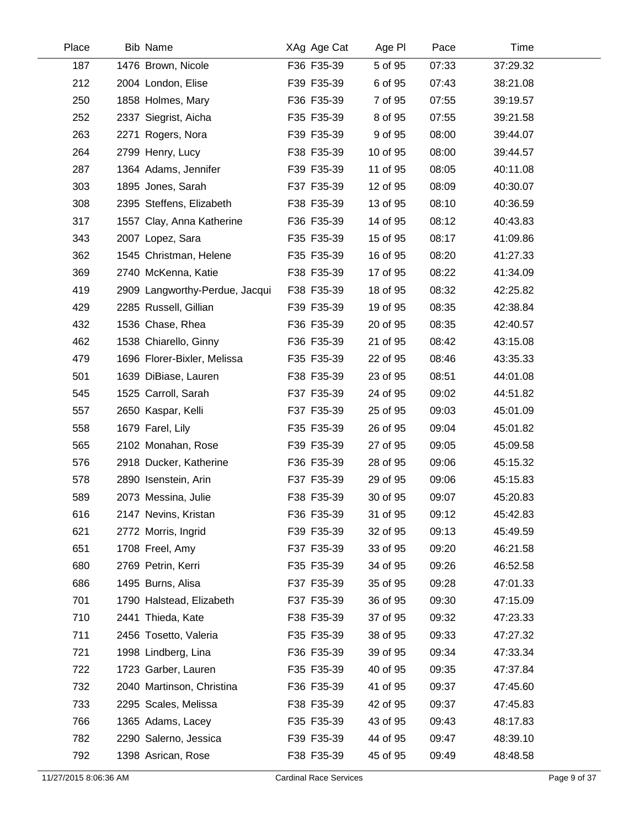| Place | <b>Bib Name</b>                | XAg Age Cat | Age PI   | Pace  | Time     |  |
|-------|--------------------------------|-------------|----------|-------|----------|--|
| 187   | 1476 Brown, Nicole             | F36 F35-39  | 5 of 95  | 07:33 | 37:29.32 |  |
| 212   | 2004 London, Elise             | F39 F35-39  | 6 of 95  | 07:43 | 38:21.08 |  |
| 250   | 1858 Holmes, Mary              | F36 F35-39  | 7 of 95  | 07:55 | 39:19.57 |  |
| 252   | 2337 Siegrist, Aicha           | F35 F35-39  | 8 of 95  | 07:55 | 39:21.58 |  |
| 263   | 2271 Rogers, Nora              | F39 F35-39  | 9 of 95  | 08:00 | 39:44.07 |  |
| 264   | 2799 Henry, Lucy               | F38 F35-39  | 10 of 95 | 08:00 | 39:44.57 |  |
| 287   | 1364 Adams, Jennifer           | F39 F35-39  | 11 of 95 | 08:05 | 40:11.08 |  |
| 303   | 1895 Jones, Sarah              | F37 F35-39  | 12 of 95 | 08:09 | 40:30.07 |  |
| 308   | 2395 Steffens, Elizabeth       | F38 F35-39  | 13 of 95 | 08:10 | 40:36.59 |  |
| 317   | 1557 Clay, Anna Katherine      | F36 F35-39  | 14 of 95 | 08:12 | 40:43.83 |  |
| 343   | 2007 Lopez, Sara               | F35 F35-39  | 15 of 95 | 08:17 | 41:09.86 |  |
| 362   | 1545 Christman, Helene         | F35 F35-39  | 16 of 95 | 08:20 | 41:27.33 |  |
| 369   | 2740 McKenna, Katie            | F38 F35-39  | 17 of 95 | 08:22 | 41:34.09 |  |
| 419   | 2909 Langworthy-Perdue, Jacqui | F38 F35-39  | 18 of 95 | 08:32 | 42:25.82 |  |
| 429   | 2285 Russell, Gillian          | F39 F35-39  | 19 of 95 | 08:35 | 42:38.84 |  |
| 432   | 1536 Chase, Rhea               | F36 F35-39  | 20 of 95 | 08:35 | 42:40.57 |  |
| 462   | 1538 Chiarello, Ginny          | F36 F35-39  | 21 of 95 | 08:42 | 43:15.08 |  |
| 479   | 1696 Florer-Bixler, Melissa    | F35 F35-39  | 22 of 95 | 08:46 | 43:35.33 |  |
| 501   | 1639 DiBiase, Lauren           | F38 F35-39  | 23 of 95 | 08:51 | 44:01.08 |  |
| 545   | 1525 Carroll, Sarah            | F37 F35-39  | 24 of 95 | 09:02 | 44:51.82 |  |
| 557   | 2650 Kaspar, Kelli             | F37 F35-39  | 25 of 95 | 09:03 | 45:01.09 |  |
| 558   | 1679 Farel, Lily               | F35 F35-39  | 26 of 95 | 09:04 | 45:01.82 |  |
| 565   | 2102 Monahan, Rose             | F39 F35-39  | 27 of 95 | 09:05 | 45:09.58 |  |
| 576   | 2918 Ducker, Katherine         | F36 F35-39  | 28 of 95 | 09:06 | 45:15.32 |  |
| 578   | 2890 Isenstein, Arin           | F37 F35-39  | 29 of 95 | 09:06 | 45:15.83 |  |
| 589   | 2073 Messina, Julie            | F38 F35-39  | 30 of 95 | 09:07 | 45:20.83 |  |
| 616   | 2147 Nevins, Kristan           | F36 F35-39  | 31 of 95 | 09:12 | 45:42.83 |  |
| 621   | 2772 Morris, Ingrid            | F39 F35-39  | 32 of 95 | 09:13 | 45:49.59 |  |
| 651   | 1708 Freel, Amy                | F37 F35-39  | 33 of 95 | 09:20 | 46:21.58 |  |
| 680   | 2769 Petrin, Kerri             | F35 F35-39  | 34 of 95 | 09:26 | 46:52.58 |  |
| 686   | 1495 Burns, Alisa              | F37 F35-39  | 35 of 95 | 09:28 | 47:01.33 |  |
| 701   | 1790 Halstead, Elizabeth       | F37 F35-39  | 36 of 95 | 09:30 | 47:15.09 |  |
| 710   | 2441 Thieda, Kate              | F38 F35-39  | 37 of 95 | 09:32 | 47:23.33 |  |
| 711   | 2456 Tosetto, Valeria          | F35 F35-39  | 38 of 95 | 09:33 | 47:27.32 |  |
| 721   | 1998 Lindberg, Lina            | F36 F35-39  | 39 of 95 | 09:34 | 47:33.34 |  |
| 722   | 1723 Garber, Lauren            | F35 F35-39  | 40 of 95 | 09:35 | 47:37.84 |  |
| 732   | 2040 Martinson, Christina      | F36 F35-39  | 41 of 95 | 09:37 | 47:45.60 |  |
| 733   | 2295 Scales, Melissa           | F38 F35-39  | 42 of 95 | 09:37 | 47:45.83 |  |
| 766   | 1365 Adams, Lacey              | F35 F35-39  | 43 of 95 | 09:43 | 48:17.83 |  |
| 782   | 2290 Salerno, Jessica          | F39 F35-39  | 44 of 95 | 09:47 | 48:39.10 |  |
| 792   | 1398 Asrican, Rose             | F38 F35-39  | 45 of 95 | 09:49 | 48:48.58 |  |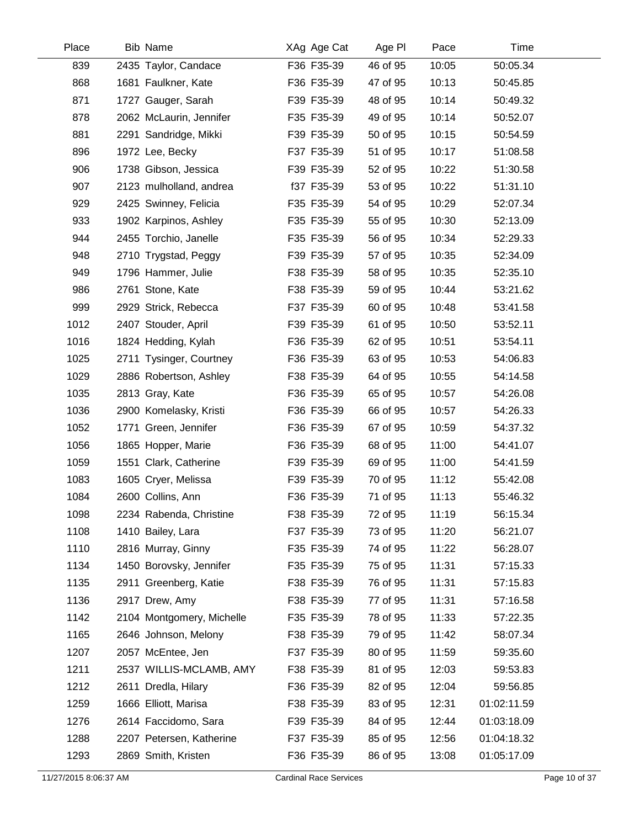| Place | <b>Bib Name</b>           | XAg Age Cat | Age PI   | Pace  | Time        |  |
|-------|---------------------------|-------------|----------|-------|-------------|--|
| 839   | 2435 Taylor, Candace      | F36 F35-39  | 46 of 95 | 10:05 | 50:05.34    |  |
| 868   | 1681 Faulkner, Kate       | F36 F35-39  | 47 of 95 | 10:13 | 50:45.85    |  |
| 871   | 1727 Gauger, Sarah        | F39 F35-39  | 48 of 95 | 10:14 | 50:49.32    |  |
| 878   | 2062 McLaurin, Jennifer   | F35 F35-39  | 49 of 95 | 10:14 | 50:52.07    |  |
| 881   | 2291 Sandridge, Mikki     | F39 F35-39  | 50 of 95 | 10:15 | 50:54.59    |  |
| 896   | 1972 Lee, Becky           | F37 F35-39  | 51 of 95 | 10:17 | 51:08.58    |  |
| 906   | 1738 Gibson, Jessica      | F39 F35-39  | 52 of 95 | 10:22 | 51:30.58    |  |
| 907   | 2123 mulholland, andrea   | f37 F35-39  | 53 of 95 | 10:22 | 51:31.10    |  |
| 929   | 2425 Swinney, Felicia     | F35 F35-39  | 54 of 95 | 10:29 | 52:07.34    |  |
| 933   | 1902 Karpinos, Ashley     | F35 F35-39  | 55 of 95 | 10:30 | 52:13.09    |  |
| 944   | 2455 Torchio, Janelle     | F35 F35-39  | 56 of 95 | 10:34 | 52:29.33    |  |
| 948   | 2710 Trygstad, Peggy      | F39 F35-39  | 57 of 95 | 10:35 | 52:34.09    |  |
| 949   | 1796 Hammer, Julie        | F38 F35-39  | 58 of 95 | 10:35 | 52:35.10    |  |
| 986   | 2761 Stone, Kate          | F38 F35-39  | 59 of 95 | 10:44 | 53:21.62    |  |
| 999   | 2929 Strick, Rebecca      | F37 F35-39  | 60 of 95 | 10:48 | 53:41.58    |  |
| 1012  | 2407 Stouder, April       | F39 F35-39  | 61 of 95 | 10:50 | 53:52.11    |  |
| 1016  | 1824 Hedding, Kylah       | F36 F35-39  | 62 of 95 | 10:51 | 53:54.11    |  |
| 1025  | 2711 Tysinger, Courtney   | F36 F35-39  | 63 of 95 | 10:53 | 54:06.83    |  |
| 1029  | 2886 Robertson, Ashley    | F38 F35-39  | 64 of 95 | 10:55 | 54:14.58    |  |
| 1035  | 2813 Gray, Kate           | F36 F35-39  | 65 of 95 | 10:57 | 54:26.08    |  |
| 1036  | 2900 Komelasky, Kristi    | F36 F35-39  | 66 of 95 | 10:57 | 54:26.33    |  |
| 1052  | 1771 Green, Jennifer      | F36 F35-39  | 67 of 95 | 10:59 | 54:37.32    |  |
| 1056  | 1865 Hopper, Marie        | F36 F35-39  | 68 of 95 | 11:00 | 54:41.07    |  |
| 1059  | 1551 Clark, Catherine     | F39 F35-39  | 69 of 95 | 11:00 | 54:41.59    |  |
| 1083  | 1605 Cryer, Melissa       | F39 F35-39  | 70 of 95 | 11:12 | 55:42.08    |  |
| 1084  | 2600 Collins, Ann         | F36 F35-39  | 71 of 95 | 11:13 | 55:46.32    |  |
| 1098  | 2234 Rabenda, Christine   | F38 F35-39  | 72 of 95 | 11:19 | 56:15.34    |  |
| 1108  | 1410 Bailey, Lara         | F37 F35-39  | 73 of 95 | 11:20 | 56:21.07    |  |
| 1110  | 2816 Murray, Ginny        | F35 F35-39  | 74 of 95 | 11:22 | 56:28.07    |  |
| 1134  | 1450 Borovsky, Jennifer   | F35 F35-39  | 75 of 95 | 11:31 | 57:15.33    |  |
| 1135  | 2911 Greenberg, Katie     | F38 F35-39  | 76 of 95 | 11:31 | 57:15.83    |  |
| 1136  | 2917 Drew, Amy            | F38 F35-39  | 77 of 95 | 11:31 | 57:16.58    |  |
| 1142  | 2104 Montgomery, Michelle | F35 F35-39  | 78 of 95 | 11:33 | 57:22.35    |  |
| 1165  | 2646 Johnson, Melony      | F38 F35-39  | 79 of 95 | 11:42 | 58:07.34    |  |
| 1207  | 2057 McEntee, Jen         | F37 F35-39  | 80 of 95 | 11:59 | 59:35.60    |  |
| 1211  | 2537 WILLIS-MCLAMB, AMY   | F38 F35-39  | 81 of 95 | 12:03 | 59:53.83    |  |
| 1212  | 2611 Dredla, Hilary       | F36 F35-39  | 82 of 95 | 12:04 | 59:56.85    |  |
| 1259  | 1666 Elliott, Marisa      | F38 F35-39  | 83 of 95 | 12:31 | 01:02:11.59 |  |
| 1276  | 2614 Faccidomo, Sara      | F39 F35-39  | 84 of 95 | 12:44 | 01:03:18.09 |  |
| 1288  | 2207 Petersen, Katherine  | F37 F35-39  | 85 of 95 | 12:56 | 01:04:18.32 |  |
| 1293  | 2869 Smith, Kristen       | F36 F35-39  | 86 of 95 | 13:08 | 01:05:17.09 |  |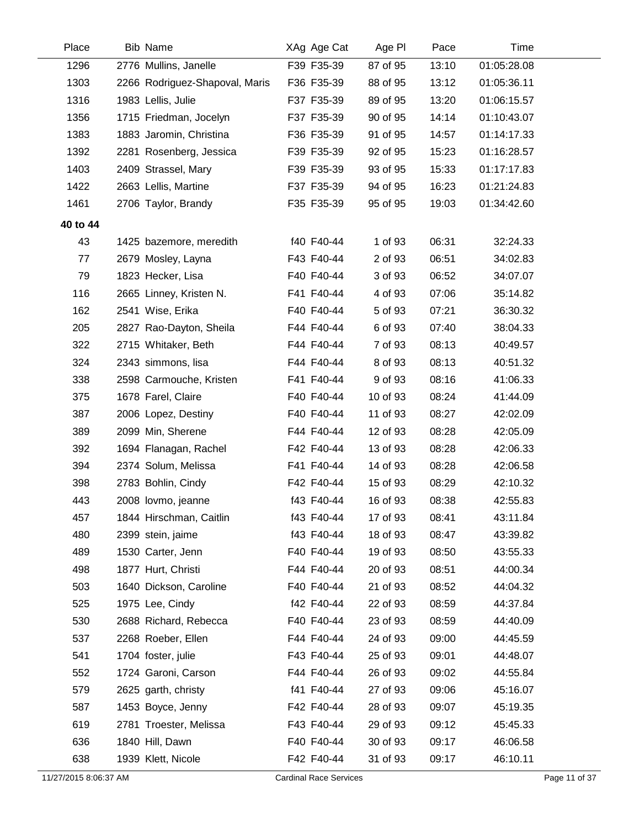| Place                 | Bib Name                       | XAg Age Cat                   | Age PI   | Pace  | Time        |               |
|-----------------------|--------------------------------|-------------------------------|----------|-------|-------------|---------------|
| 1296                  | 2776 Mullins, Janelle          | F39 F35-39                    | 87 of 95 | 13:10 | 01:05:28.08 |               |
| 1303                  | 2266 Rodriguez-Shapoval, Maris | F36 F35-39                    | 88 of 95 | 13:12 | 01:05:36.11 |               |
| 1316                  | 1983 Lellis, Julie             | F37 F35-39                    | 89 of 95 | 13:20 | 01:06:15.57 |               |
| 1356                  | 1715 Friedman, Jocelyn         | F37 F35-39                    | 90 of 95 | 14:14 | 01:10:43.07 |               |
| 1383                  | 1883 Jaromin, Christina        | F36 F35-39                    | 91 of 95 | 14:57 | 01:14:17.33 |               |
| 1392                  | 2281 Rosenberg, Jessica        | F39 F35-39                    | 92 of 95 | 15:23 | 01:16:28.57 |               |
| 1403                  | 2409 Strassel, Mary            | F39 F35-39                    | 93 of 95 | 15:33 | 01:17:17.83 |               |
| 1422                  | 2663 Lellis, Martine           | F37 F35-39                    | 94 of 95 | 16:23 | 01:21:24.83 |               |
| 1461                  | 2706 Taylor, Brandy            | F35 F35-39                    | 95 of 95 | 19:03 | 01:34:42.60 |               |
| 40 to 44              |                                |                               |          |       |             |               |
| 43                    | 1425 bazemore, meredith        | f40 F40-44                    | 1 of 93  | 06:31 | 32:24.33    |               |
| 77                    | 2679 Mosley, Layna             | F43 F40-44                    | 2 of 93  | 06:51 | 34:02.83    |               |
| 79                    | 1823 Hecker, Lisa              | F40 F40-44                    | 3 of 93  | 06:52 | 34:07.07    |               |
| 116                   | 2665 Linney, Kristen N.        | F41 F40-44                    | 4 of 93  | 07:06 | 35:14.82    |               |
| 162                   | 2541 Wise, Erika               | F40 F40-44                    | 5 of 93  | 07:21 | 36:30.32    |               |
| 205                   | 2827 Rao-Dayton, Sheila        | F44 F40-44                    | 6 of 93  | 07:40 | 38:04.33    |               |
| 322                   | 2715 Whitaker, Beth            | F44 F40-44                    | 7 of 93  | 08:13 | 40:49.57    |               |
| 324                   | 2343 simmons, lisa             | F44 F40-44                    | 8 of 93  | 08:13 | 40:51.32    |               |
| 338                   | 2598 Carmouche, Kristen        | F41 F40-44                    | 9 of 93  | 08:16 | 41:06.33    |               |
| 375                   | 1678 Farel, Claire             | F40 F40-44                    | 10 of 93 | 08:24 | 41:44.09    |               |
| 387                   | 2006 Lopez, Destiny            | F40 F40-44                    | 11 of 93 | 08:27 | 42:02.09    |               |
| 389                   | 2099 Min, Sherene              | F44 F40-44                    | 12 of 93 | 08:28 | 42:05.09    |               |
| 392                   | 1694 Flanagan, Rachel          | F42 F40-44                    | 13 of 93 | 08:28 | 42:06.33    |               |
| 394                   | 2374 Solum, Melissa            | F41 F40-44                    | 14 of 93 | 08:28 | 42:06.58    |               |
| 398                   | 2783 Bohlin, Cindy             | F42 F40-44                    | 15 of 93 | 08:29 | 42:10.32    |               |
| 443                   | 2008 lovmo, jeanne             | f43 F40-44                    | 16 of 93 | 08:38 | 42:55.83    |               |
| 457                   | 1844 Hirschman, Caitlin        | f43 F40-44                    | 17 of 93 | 08:41 | 43:11.84    |               |
| 480                   | 2399 stein, jaime              | f43 F40-44                    | 18 of 93 | 08:47 | 43:39.82    |               |
| 489                   | 1530 Carter, Jenn              | F40 F40-44                    | 19 of 93 | 08:50 | 43:55.33    |               |
| 498                   | 1877 Hurt, Christi             | F44 F40-44                    | 20 of 93 | 08:51 | 44:00.34    |               |
| 503                   | 1640 Dickson, Caroline         | F40 F40-44                    | 21 of 93 | 08:52 | 44:04.32    |               |
| 525                   | 1975 Lee, Cindy                | f42 F40-44                    | 22 of 93 | 08:59 | 44:37.84    |               |
| 530                   | 2688 Richard, Rebecca          | F40 F40-44                    | 23 of 93 | 08:59 | 44:40.09    |               |
| 537                   | 2268 Roeber, Ellen             | F44 F40-44                    | 24 of 93 | 09:00 | 44:45.59    |               |
| 541                   | 1704 foster, julie             | F43 F40-44                    | 25 of 93 | 09:01 | 44:48.07    |               |
| 552                   | 1724 Garoni, Carson            | F44 F40-44                    | 26 of 93 | 09:02 | 44:55.84    |               |
| 579                   | 2625 garth, christy            | f41 F40-44                    | 27 of 93 | 09:06 | 45:16.07    |               |
| 587                   | 1453 Boyce, Jenny              | F42 F40-44                    | 28 of 93 | 09:07 | 45:19.35    |               |
| 619                   | 2781 Troester, Melissa         | F43 F40-44                    | 29 of 93 | 09:12 | 45:45.33    |               |
| 636                   | 1840 Hill, Dawn                | F40 F40-44                    | 30 of 93 | 09:17 | 46:06.58    |               |
| 638                   | 1939 Klett, Nicole             | F42 F40-44                    | 31 of 93 | 09:17 | 46:10.11    |               |
| 11/27/2015 8:06:37 AM |                                | <b>Cardinal Race Services</b> |          |       |             | Page 11 of 37 |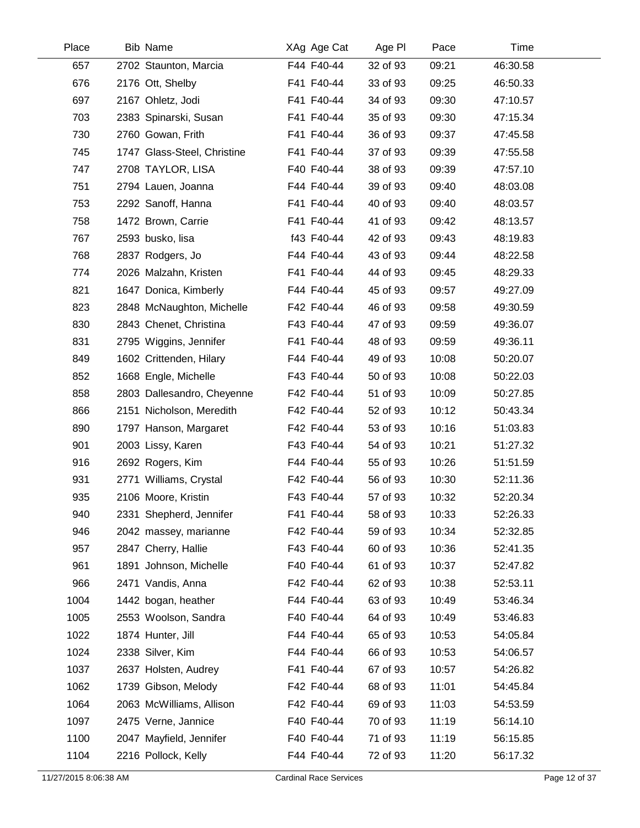| Place | <b>Bib Name</b>             | XAg Age Cat | Age PI   | Pace  | Time     |  |
|-------|-----------------------------|-------------|----------|-------|----------|--|
| 657   | 2702 Staunton, Marcia       | F44 F40-44  | 32 of 93 | 09:21 | 46:30.58 |  |
| 676   | 2176 Ott, Shelby            | F41 F40-44  | 33 of 93 | 09:25 | 46:50.33 |  |
| 697   | 2167 Ohletz, Jodi           | F41 F40-44  | 34 of 93 | 09:30 | 47:10.57 |  |
| 703   | 2383 Spinarski, Susan       | F41 F40-44  | 35 of 93 | 09:30 | 47:15.34 |  |
| 730   | 2760 Gowan, Frith           | F41 F40-44  | 36 of 93 | 09:37 | 47:45.58 |  |
| 745   | 1747 Glass-Steel, Christine | F41 F40-44  | 37 of 93 | 09:39 | 47:55.58 |  |
| 747   | 2708 TAYLOR, LISA           | F40 F40-44  | 38 of 93 | 09:39 | 47:57.10 |  |
| 751   | 2794 Lauen, Joanna          | F44 F40-44  | 39 of 93 | 09:40 | 48:03.08 |  |
| 753   | 2292 Sanoff, Hanna          | F41 F40-44  | 40 of 93 | 09:40 | 48:03.57 |  |
| 758   | 1472 Brown, Carrie          | F41 F40-44  | 41 of 93 | 09:42 | 48:13.57 |  |
| 767   | 2593 busko, lisa            | f43 F40-44  | 42 of 93 | 09:43 | 48:19.83 |  |
| 768   | 2837 Rodgers, Jo            | F44 F40-44  | 43 of 93 | 09:44 | 48:22.58 |  |
| 774   | 2026 Malzahn, Kristen       | F41 F40-44  | 44 of 93 | 09:45 | 48:29.33 |  |
| 821   | 1647 Donica, Kimberly       | F44 F40-44  | 45 of 93 | 09:57 | 49:27.09 |  |
| 823   | 2848 McNaughton, Michelle   | F42 F40-44  | 46 of 93 | 09:58 | 49:30.59 |  |
| 830   | 2843 Chenet, Christina      | F43 F40-44  | 47 of 93 | 09:59 | 49:36.07 |  |
| 831   | 2795 Wiggins, Jennifer      | F41 F40-44  | 48 of 93 | 09:59 | 49:36.11 |  |
| 849   | 1602 Crittenden, Hilary     | F44 F40-44  | 49 of 93 | 10:08 | 50:20.07 |  |
| 852   | 1668 Engle, Michelle        | F43 F40-44  | 50 of 93 | 10:08 | 50:22.03 |  |
| 858   | 2803 Dallesandro, Cheyenne  | F42 F40-44  | 51 of 93 | 10:09 | 50:27.85 |  |
| 866   | 2151 Nicholson, Meredith    | F42 F40-44  | 52 of 93 | 10:12 | 50:43.34 |  |
| 890   | 1797 Hanson, Margaret       | F42 F40-44  | 53 of 93 | 10:16 | 51:03.83 |  |
| 901   | 2003 Lissy, Karen           | F43 F40-44  | 54 of 93 | 10:21 | 51:27.32 |  |
| 916   | 2692 Rogers, Kim            | F44 F40-44  | 55 of 93 | 10:26 | 51:51.59 |  |
| 931   | 2771 Williams, Crystal      | F42 F40-44  | 56 of 93 | 10:30 | 52:11.36 |  |
| 935   | 2106 Moore, Kristin         | F43 F40-44  | 57 of 93 | 10:32 | 52:20.34 |  |
| 940   | 2331 Shepherd, Jennifer     | F41 F40-44  | 58 of 93 | 10:33 | 52:26.33 |  |
| 946   | 2042 massey, marianne       | F42 F40-44  | 59 of 93 | 10:34 | 52:32.85 |  |
| 957   | 2847 Cherry, Hallie         | F43 F40-44  | 60 of 93 | 10:36 | 52:41.35 |  |
| 961   | 1891 Johnson, Michelle      | F40 F40-44  | 61 of 93 | 10:37 | 52:47.82 |  |
| 966   | 2471 Vandis, Anna           | F42 F40-44  | 62 of 93 | 10:38 | 52:53.11 |  |
| 1004  | 1442 bogan, heather         | F44 F40-44  | 63 of 93 | 10:49 | 53:46.34 |  |
| 1005  | 2553 Woolson, Sandra        | F40 F40-44  | 64 of 93 | 10:49 | 53:46.83 |  |
| 1022  | 1874 Hunter, Jill           | F44 F40-44  | 65 of 93 | 10:53 | 54:05.84 |  |
| 1024  | 2338 Silver, Kim            | F44 F40-44  | 66 of 93 | 10:53 | 54:06.57 |  |
| 1037  | 2637 Holsten, Audrey        | F41 F40-44  | 67 of 93 | 10:57 | 54:26.82 |  |
| 1062  | 1739 Gibson, Melody         | F42 F40-44  | 68 of 93 | 11:01 | 54:45.84 |  |
| 1064  | 2063 McWilliams, Allison    | F42 F40-44  | 69 of 93 | 11:03 | 54:53.59 |  |
| 1097  | 2475 Verne, Jannice         | F40 F40-44  | 70 of 93 | 11:19 | 56:14.10 |  |
| 1100  | 2047 Mayfield, Jennifer     | F40 F40-44  | 71 of 93 | 11:19 | 56:15.85 |  |
| 1104  | 2216 Pollock, Kelly         | F44 F40-44  | 72 of 93 | 11:20 | 56:17.32 |  |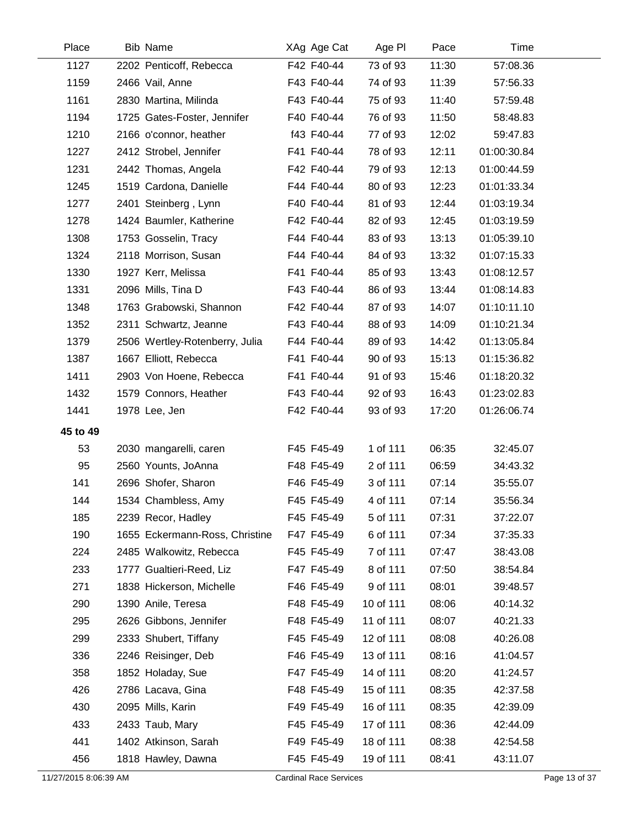| Place                 | Bib Name                       | XAg Age Cat                   | Age PI    | Pace  | Time        |               |
|-----------------------|--------------------------------|-------------------------------|-----------|-------|-------------|---------------|
| 1127                  | 2202 Penticoff, Rebecca        | F42 F40-44                    | 73 of 93  | 11:30 | 57:08.36    |               |
| 1159                  | 2466 Vail, Anne                | F43 F40-44                    | 74 of 93  | 11:39 | 57:56.33    |               |
| 1161                  | 2830 Martina, Milinda          | F43 F40-44                    | 75 of 93  | 11:40 | 57:59.48    |               |
| 1194                  | 1725 Gates-Foster, Jennifer    | F40 F40-44                    | 76 of 93  | 11:50 | 58:48.83    |               |
| 1210                  | 2166 o'connor, heather         | f43 F40-44                    | 77 of 93  | 12:02 | 59:47.83    |               |
| 1227                  | 2412 Strobel, Jennifer         | F41 F40-44                    | 78 of 93  | 12:11 | 01:00:30.84 |               |
| 1231                  | 2442 Thomas, Angela            | F42 F40-44                    | 79 of 93  | 12:13 | 01:00:44.59 |               |
| 1245                  | 1519 Cardona, Danielle         | F44 F40-44                    | 80 of 93  | 12:23 | 01:01:33.34 |               |
| 1277                  | 2401 Steinberg, Lynn           | F40 F40-44                    | 81 of 93  | 12:44 | 01:03:19.34 |               |
| 1278                  | 1424 Baumler, Katherine        | F42 F40-44                    | 82 of 93  | 12:45 | 01:03:19.59 |               |
| 1308                  | 1753 Gosselin, Tracy           | F44 F40-44                    | 83 of 93  | 13:13 | 01:05:39.10 |               |
| 1324                  | 2118 Morrison, Susan           | F44 F40-44                    | 84 of 93  | 13:32 | 01:07:15.33 |               |
| 1330                  | 1927 Kerr, Melissa             | F41 F40-44                    | 85 of 93  | 13:43 | 01:08:12.57 |               |
| 1331                  | 2096 Mills, Tina D             | F43 F40-44                    | 86 of 93  | 13:44 | 01:08:14.83 |               |
| 1348                  | 1763 Grabowski, Shannon        | F42 F40-44                    | 87 of 93  | 14:07 | 01:10:11.10 |               |
| 1352                  | 2311 Schwartz, Jeanne          | F43 F40-44                    | 88 of 93  | 14:09 | 01:10:21.34 |               |
| 1379                  | 2506 Wertley-Rotenberry, Julia | F44 F40-44                    | 89 of 93  | 14:42 | 01:13:05.84 |               |
| 1387                  | 1667 Elliott, Rebecca          | F41 F40-44                    | 90 of 93  | 15:13 | 01:15:36.82 |               |
| 1411                  | 2903 Von Hoene, Rebecca        | F41 F40-44                    | 91 of 93  | 15:46 | 01:18:20.32 |               |
| 1432                  | 1579 Connors, Heather          | F43 F40-44                    | 92 of 93  | 16:43 | 01:23:02.83 |               |
| 1441                  | 1978 Lee, Jen                  | F42 F40-44                    | 93 of 93  | 17:20 | 01:26:06.74 |               |
| 45 to 49              |                                |                               |           |       |             |               |
| 53                    | 2030 mangarelli, caren         | F45 F45-49                    | 1 of 111  | 06:35 | 32:45.07    |               |
| 95                    | 2560 Younts, JoAnna            | F48 F45-49                    | 2 of 111  | 06:59 | 34:43.32    |               |
| 141                   | 2696 Shofer, Sharon            | F46 F45-49                    | 3 of 111  | 07:14 | 35:55.07    |               |
| 144                   | 1534 Chambless, Amy            | F45 F45-49                    | 4 of 111  | 07:14 | 35:56.34    |               |
| 185                   | 2239 Recor, Hadley             | F45 F45-49                    | 5 of 111  | 07:31 | 37:22.07    |               |
| 190                   | 1655 Eckermann-Ross, Christine | F47 F45-49                    | 6 of 111  | 07:34 | 37:35.33    |               |
| 224                   | 2485 Walkowitz, Rebecca        | F45 F45-49                    | 7 of 111  | 07:47 | 38:43.08    |               |
| 233                   | 1777 Gualtieri-Reed, Liz       | F47 F45-49                    | 8 of 111  | 07:50 | 38:54.84    |               |
| 271                   | 1838 Hickerson, Michelle       | F46 F45-49                    | 9 of 111  | 08:01 | 39:48.57    |               |
| 290                   | 1390 Anile, Teresa             | F48 F45-49                    | 10 of 111 | 08:06 | 40:14.32    |               |
| 295                   | 2626 Gibbons, Jennifer         | F48 F45-49                    | 11 of 111 | 08:07 | 40:21.33    |               |
| 299                   | 2333 Shubert, Tiffany          | F45 F45-49                    | 12 of 111 | 08:08 | 40:26.08    |               |
| 336                   | 2246 Reisinger, Deb            | F46 F45-49                    | 13 of 111 | 08:16 | 41:04.57    |               |
| 358                   | 1852 Holaday, Sue              | F47 F45-49                    | 14 of 111 | 08:20 | 41:24.57    |               |
| 426                   | 2786 Lacava, Gina              | F48 F45-49                    | 15 of 111 | 08:35 | 42:37.58    |               |
| 430                   | 2095 Mills, Karin              | F49 F45-49                    | 16 of 111 | 08:35 | 42:39.09    |               |
| 433                   | 2433 Taub, Mary                | F45 F45-49                    | 17 of 111 | 08:36 | 42:44.09    |               |
| 441                   | 1402 Atkinson, Sarah           | F49 F45-49                    | 18 of 111 | 08:38 | 42:54.58    |               |
| 456                   | 1818 Hawley, Dawna             | F45 F45-49                    | 19 of 111 | 08:41 | 43:11.07    |               |
| 11/27/2015 8:06:39 AM |                                | <b>Cardinal Race Services</b> |           |       |             | Page 13 of 37 |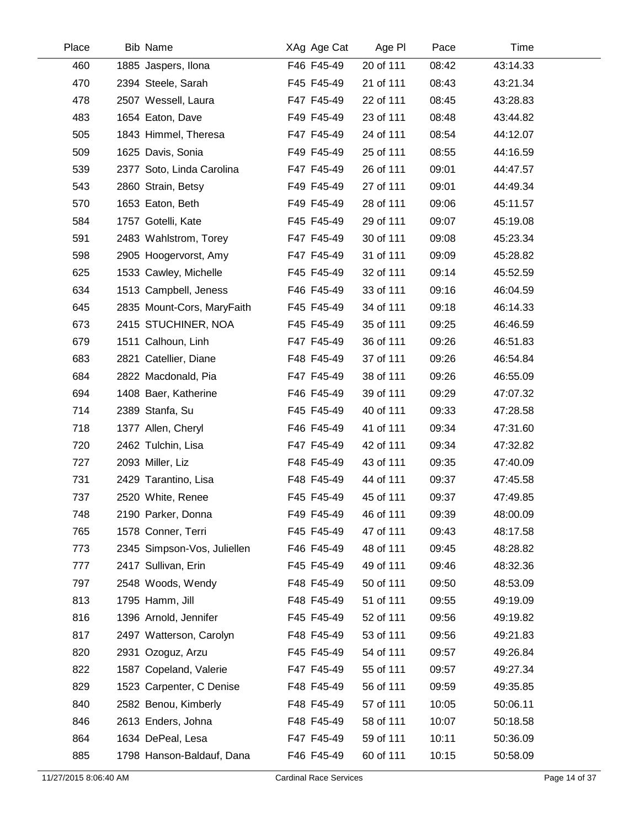| Place | <b>Bib Name</b>             | XAg Age Cat | Age PI    | Pace  | Time     |  |
|-------|-----------------------------|-------------|-----------|-------|----------|--|
| 460   | 1885 Jaspers, Ilona         | F46 F45-49  | 20 of 111 | 08:42 | 43:14.33 |  |
| 470   | 2394 Steele, Sarah          | F45 F45-49  | 21 of 111 | 08:43 | 43:21.34 |  |
| 478   | 2507 Wessell, Laura         | F47 F45-49  | 22 of 111 | 08:45 | 43:28.83 |  |
| 483   | 1654 Eaton, Dave            | F49 F45-49  | 23 of 111 | 08:48 | 43:44.82 |  |
| 505   | 1843 Himmel, Theresa        | F47 F45-49  | 24 of 111 | 08:54 | 44:12.07 |  |
| 509   | 1625 Davis, Sonia           | F49 F45-49  | 25 of 111 | 08:55 | 44:16.59 |  |
| 539   | 2377 Soto, Linda Carolina   | F47 F45-49  | 26 of 111 | 09:01 | 44:47.57 |  |
| 543   | 2860 Strain, Betsy          | F49 F45-49  | 27 of 111 | 09:01 | 44:49.34 |  |
| 570   | 1653 Eaton, Beth            | F49 F45-49  | 28 of 111 | 09:06 | 45:11.57 |  |
| 584   | 1757 Gotelli, Kate          | F45 F45-49  | 29 of 111 | 09:07 | 45:19.08 |  |
| 591   | 2483 Wahlstrom, Torey       | F47 F45-49  | 30 of 111 | 09:08 | 45:23.34 |  |
| 598   | 2905 Hoogervorst, Amy       | F47 F45-49  | 31 of 111 | 09:09 | 45:28.82 |  |
| 625   | 1533 Cawley, Michelle       | F45 F45-49  | 32 of 111 | 09:14 | 45:52.59 |  |
| 634   | 1513 Campbell, Jeness       | F46 F45-49  | 33 of 111 | 09:16 | 46:04.59 |  |
| 645   | 2835 Mount-Cors, MaryFaith  | F45 F45-49  | 34 of 111 | 09:18 | 46:14.33 |  |
| 673   | 2415 STUCHINER, NOA         | F45 F45-49  | 35 of 111 | 09:25 | 46:46.59 |  |
| 679   | 1511 Calhoun, Linh          | F47 F45-49  | 36 of 111 | 09:26 | 46:51.83 |  |
| 683   | 2821 Catellier, Diane       | F48 F45-49  | 37 of 111 | 09:26 | 46:54.84 |  |
| 684   | 2822 Macdonald, Pia         | F47 F45-49  | 38 of 111 | 09:26 | 46:55.09 |  |
| 694   | 1408 Baer, Katherine        | F46 F45-49  | 39 of 111 | 09:29 | 47:07.32 |  |
| 714   | 2389 Stanfa, Su             | F45 F45-49  | 40 of 111 | 09:33 | 47:28.58 |  |
| 718   | 1377 Allen, Cheryl          | F46 F45-49  | 41 of 111 | 09:34 | 47:31.60 |  |
| 720   | 2462 Tulchin, Lisa          | F47 F45-49  | 42 of 111 | 09:34 | 47:32.82 |  |
| 727   | 2093 Miller, Liz            | F48 F45-49  | 43 of 111 | 09:35 | 47:40.09 |  |
| 731   | 2429 Tarantino, Lisa        | F48 F45-49  | 44 of 111 | 09:37 | 47:45.58 |  |
| 737   | 2520 White, Renee           | F45 F45-49  | 45 of 111 | 09:37 | 47:49.85 |  |
| 748   | 2190 Parker, Donna          | F49 F45-49  | 46 of 111 | 09:39 | 48:00.09 |  |
| 765   | 1578 Conner, Terri          | F45 F45-49  | 47 of 111 | 09:43 | 48:17.58 |  |
| 773   | 2345 Simpson-Vos, Juliellen | F46 F45-49  | 48 of 111 | 09:45 | 48:28.82 |  |
| 777   | 2417 Sullivan, Erin         | F45 F45-49  | 49 of 111 | 09:46 | 48:32.36 |  |
| 797   | 2548 Woods, Wendy           | F48 F45-49  | 50 of 111 | 09:50 | 48:53.09 |  |
| 813   | 1795 Hamm, Jill             | F48 F45-49  | 51 of 111 | 09:55 | 49:19.09 |  |
| 816   | 1396 Arnold, Jennifer       | F45 F45-49  | 52 of 111 | 09:56 | 49:19.82 |  |
| 817   | 2497 Watterson, Carolyn     | F48 F45-49  | 53 of 111 | 09:56 | 49:21.83 |  |
| 820   | 2931 Ozoguz, Arzu           | F45 F45-49  | 54 of 111 | 09:57 | 49:26.84 |  |
| 822   | 1587 Copeland, Valerie      | F47 F45-49  | 55 of 111 | 09:57 | 49:27.34 |  |
| 829   | 1523 Carpenter, C Denise    | F48 F45-49  | 56 of 111 | 09:59 | 49:35.85 |  |
| 840   | 2582 Benou, Kimberly        | F48 F45-49  | 57 of 111 | 10:05 | 50:06.11 |  |
| 846   | 2613 Enders, Johna          | F48 F45-49  | 58 of 111 | 10:07 | 50:18.58 |  |
| 864   | 1634 DePeal, Lesa           | F47 F45-49  | 59 of 111 | 10:11 | 50:36.09 |  |
| 885   | 1798 Hanson-Baldauf, Dana   | F46 F45-49  | 60 of 111 | 10:15 | 50:58.09 |  |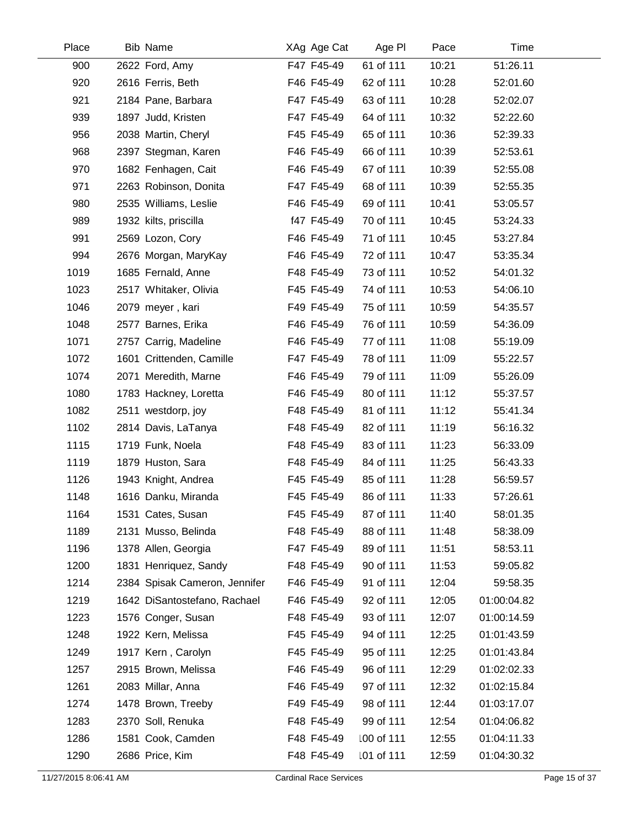| Place | <b>Bib Name</b> |                               | XAg Age Cat |            | Age PI | Pace  |             | Time |
|-------|-----------------|-------------------------------|-------------|------------|--------|-------|-------------|------|
| 900   |                 | 2622 Ford, Amy                | F47 F45-49  | 61 of 111  |        | 10:21 | 51:26.11    |      |
| 920   |                 | 2616 Ferris, Beth             | F46 F45-49  | 62 of 111  |        | 10:28 | 52:01.60    |      |
| 921   |                 | 2184 Pane, Barbara            | F47 F45-49  | 63 of 111  |        | 10:28 | 52:02.07    |      |
| 939   |                 | 1897 Judd, Kristen            | F47 F45-49  | 64 of 111  |        | 10:32 | 52:22.60    |      |
| 956   |                 | 2038 Martin, Cheryl           | F45 F45-49  | 65 of 111  |        | 10:36 | 52:39.33    |      |
| 968   |                 | 2397 Stegman, Karen           | F46 F45-49  | 66 of 111  |        | 10:39 | 52:53.61    |      |
| 970   |                 | 1682 Fenhagen, Cait           | F46 F45-49  | 67 of 111  |        | 10:39 | 52:55.08    |      |
| 971   |                 | 2263 Robinson, Donita         | F47 F45-49  | 68 of 111  |        | 10:39 | 52:55.35    |      |
| 980   |                 | 2535 Williams, Leslie         | F46 F45-49  | 69 of 111  |        | 10:41 | 53:05.57    |      |
| 989   |                 | 1932 kilts, priscilla         | f47 F45-49  | 70 of 111  |        | 10:45 | 53:24.33    |      |
| 991   |                 | 2569 Lozon, Cory              | F46 F45-49  | 71 of 111  |        | 10:45 | 53:27.84    |      |
| 994   |                 | 2676 Morgan, MaryKay          | F46 F45-49  | 72 of 111  |        | 10:47 | 53:35.34    |      |
| 1019  |                 | 1685 Fernald, Anne            | F48 F45-49  | 73 of 111  |        | 10:52 | 54:01.32    |      |
| 1023  |                 | 2517 Whitaker, Olivia         | F45 F45-49  | 74 of 111  |        | 10:53 | 54:06.10    |      |
| 1046  |                 | 2079 meyer, kari              | F49 F45-49  | 75 of 111  |        | 10:59 | 54:35.57    |      |
| 1048  |                 | 2577 Barnes, Erika            | F46 F45-49  | 76 of 111  |        | 10:59 | 54:36.09    |      |
| 1071  |                 | 2757 Carrig, Madeline         | F46 F45-49  | 77 of 111  |        | 11:08 | 55:19.09    |      |
| 1072  |                 | 1601 Crittenden, Camille      | F47 F45-49  | 78 of 111  |        | 11:09 | 55:22.57    |      |
| 1074  |                 | 2071 Meredith, Marne          | F46 F45-49  | 79 of 111  |        | 11:09 | 55:26.09    |      |
| 1080  |                 | 1783 Hackney, Loretta         | F46 F45-49  | 80 of 111  |        | 11:12 | 55:37.57    |      |
| 1082  |                 | 2511 westdorp, joy            | F48 F45-49  | 81 of 111  |        | 11:12 | 55:41.34    |      |
| 1102  |                 | 2814 Davis, LaTanya           | F48 F45-49  | 82 of 111  |        | 11:19 | 56:16.32    |      |
| 1115  |                 | 1719 Funk, Noela              | F48 F45-49  | 83 of 111  |        | 11:23 | 56:33.09    |      |
| 1119  |                 | 1879 Huston, Sara             | F48 F45-49  | 84 of 111  |        | 11:25 | 56:43.33    |      |
| 1126  |                 | 1943 Knight, Andrea           | F45 F45-49  | 85 of 111  |        | 11:28 | 56:59.57    |      |
| 1148  |                 | 1616 Danku, Miranda           | F45 F45-49  | 86 of 111  |        | 11:33 | 57:26.61    |      |
| 1164  |                 | 1531 Cates, Susan             | F45 F45-49  | 87 of 111  |        | 11:40 | 58:01.35    |      |
| 1189  |                 | 2131 Musso, Belinda           | F48 F45-49  | 88 of 111  |        | 11:48 | 58:38.09    |      |
| 1196  |                 | 1378 Allen, Georgia           | F47 F45-49  | 89 of 111  |        | 11:51 | 58:53.11    |      |
| 1200  |                 | 1831 Henriquez, Sandy         | F48 F45-49  | 90 of 111  |        | 11:53 | 59:05.82    |      |
| 1214  |                 | 2384 Spisak Cameron, Jennifer | F46 F45-49  | 91 of 111  |        | 12:04 | 59:58.35    |      |
| 1219  |                 | 1642 DiSantostefano, Rachael  | F46 F45-49  | 92 of 111  |        | 12:05 | 01:00:04.82 |      |
| 1223  |                 | 1576 Conger, Susan            | F48 F45-49  | 93 of 111  |        | 12:07 | 01:00:14.59 |      |
| 1248  |                 | 1922 Kern, Melissa            | F45 F45-49  | 94 of 111  |        | 12:25 | 01:01:43.59 |      |
| 1249  |                 | 1917 Kern, Carolyn            | F45 F45-49  | 95 of 111  |        | 12:25 | 01:01:43.84 |      |
| 1257  |                 | 2915 Brown, Melissa           | F46 F45-49  | 96 of 111  |        | 12:29 | 01:02:02.33 |      |
| 1261  |                 | 2083 Millar, Anna             | F46 F45-49  | 97 of 111  |        | 12:32 | 01:02:15.84 |      |
| 1274  |                 | 1478 Brown, Treeby            | F49 F45-49  | 98 of 111  |        | 12:44 | 01:03:17.07 |      |
| 1283  |                 | 2370 Soll, Renuka             | F48 F45-49  | 99 of 111  |        | 12:54 | 01:04:06.82 |      |
| 1286  |                 | 1581 Cook, Camden             | F48 F45-49  | 100 of 111 |        | 12:55 | 01:04:11.33 |      |
| 1290  |                 | 2686 Price, Kim               | F48 F45-49  | 101 of 111 |        | 12:59 | 01:04:30.32 |      |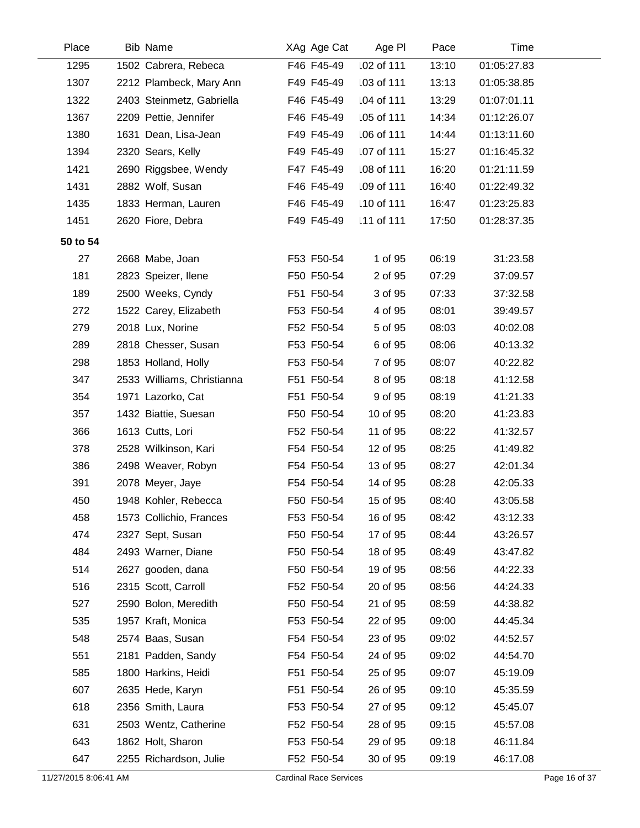| Place                 | Bib Name                   | XAg Age Cat                   | Age PI     | Pace  | Time        |               |
|-----------------------|----------------------------|-------------------------------|------------|-------|-------------|---------------|
| 1295                  | 1502 Cabrera, Rebeca       | F46 F45-49                    | 102 of 111 | 13:10 | 01:05:27.83 |               |
| 1307                  | 2212 Plambeck, Mary Ann    | F49 F45-49                    | 103 of 111 | 13:13 | 01:05:38.85 |               |
| 1322                  | 2403 Steinmetz, Gabriella  | F46 F45-49                    | 104 of 111 | 13:29 | 01:07:01.11 |               |
| 1367                  | 2209 Pettie, Jennifer      | F46 F45-49                    | 105 of 111 | 14:34 | 01:12:26.07 |               |
| 1380                  | 1631 Dean, Lisa-Jean       | F49 F45-49                    | 106 of 111 | 14:44 | 01:13:11.60 |               |
| 1394                  | 2320 Sears, Kelly          | F49 F45-49                    | 107 of 111 | 15:27 | 01:16:45.32 |               |
| 1421                  | 2690 Riggsbee, Wendy       | F47 F45-49                    | 108 of 111 | 16:20 | 01:21:11.59 |               |
| 1431                  | 2882 Wolf, Susan           | F46 F45-49                    | 109 of 111 | 16:40 | 01:22:49.32 |               |
| 1435                  | 1833 Herman, Lauren        | F46 F45-49                    | 110 of 111 | 16:47 | 01:23:25.83 |               |
| 1451                  | 2620 Fiore, Debra          | F49 F45-49                    | 111 of 111 | 17:50 | 01:28:37.35 |               |
| 50 to 54              |                            |                               |            |       |             |               |
| 27                    | 2668 Mabe, Joan            | F53 F50-54                    | 1 of 95    | 06:19 | 31:23.58    |               |
| 181                   | 2823 Speizer, Ilene        | F50 F50-54                    | 2 of 95    | 07:29 | 37:09.57    |               |
| 189                   | 2500 Weeks, Cyndy          | F51 F50-54                    | 3 of 95    | 07:33 | 37:32.58    |               |
| 272                   | 1522 Carey, Elizabeth      | F53 F50-54                    | 4 of 95    | 08:01 | 39:49.57    |               |
| 279                   | 2018 Lux, Norine           | F52 F50-54                    | 5 of 95    | 08:03 | 40:02.08    |               |
| 289                   | 2818 Chesser, Susan        | F53 F50-54                    | 6 of 95    | 08:06 | 40:13.32    |               |
| 298                   | 1853 Holland, Holly        | F53 F50-54                    | 7 of 95    | 08:07 | 40:22.82    |               |
| 347                   | 2533 Williams, Christianna | F51 F50-54                    | 8 of 95    | 08:18 | 41:12.58    |               |
| 354                   | 1971 Lazorko, Cat          | F51 F50-54                    | 9 of 95    | 08:19 | 41:21.33    |               |
| 357                   | 1432 Biattie, Suesan       | F50 F50-54                    | 10 of 95   | 08:20 | 41:23.83    |               |
| 366                   | 1613 Cutts, Lori           | F52 F50-54                    | 11 of 95   | 08:22 | 41:32.57    |               |
| 378                   | 2528 Wilkinson, Kari       | F54 F50-54                    | 12 of 95   | 08:25 | 41:49.82    |               |
| 386                   | 2498 Weaver, Robyn         | F54 F50-54                    | 13 of 95   | 08:27 | 42:01.34    |               |
| 391                   | 2078 Meyer, Jaye           | F54 F50-54                    | 14 of 95   | 08:28 | 42:05.33    |               |
| 450                   | 1948 Kohler, Rebecca       | F50 F50-54                    | 15 of 95   | 08:40 | 43:05.58    |               |
| 458                   | 1573 Collichio, Frances    | F53 F50-54                    | 16 of 95   | 08:42 | 43:12.33    |               |
| 474                   | 2327 Sept, Susan           | F50 F50-54                    | 17 of 95   | 08:44 | 43:26.57    |               |
| 484                   | 2493 Warner, Diane         | F50 F50-54                    | 18 of 95   | 08:49 | 43:47.82    |               |
| 514                   | 2627 gooden, dana          | F50 F50-54                    | 19 of 95   | 08:56 | 44:22.33    |               |
| 516                   | 2315 Scott, Carroll        | F52 F50-54                    | 20 of 95   | 08:56 | 44:24.33    |               |
| 527                   | 2590 Bolon, Meredith       | F50 F50-54                    | 21 of 95   | 08:59 | 44:38.82    |               |
| 535                   | 1957 Kraft, Monica         | F53 F50-54                    | 22 of 95   | 09:00 | 44:45.34    |               |
| 548                   | 2574 Baas, Susan           | F54 F50-54                    | 23 of 95   | 09:02 | 44:52.57    |               |
| 551                   | 2181 Padden, Sandy         | F54 F50-54                    | 24 of 95   | 09:02 | 44:54.70    |               |
| 585                   | 1800 Harkins, Heidi        | F51 F50-54                    | 25 of 95   | 09:07 | 45:19.09    |               |
| 607                   | 2635 Hede, Karyn           | F51 F50-54                    | 26 of 95   | 09:10 | 45:35.59    |               |
| 618                   | 2356 Smith, Laura          | F53 F50-54                    | 27 of 95   | 09:12 | 45:45.07    |               |
| 631                   | 2503 Wentz, Catherine      | F52 F50-54                    | 28 of 95   | 09:15 | 45:57.08    |               |
| 643                   | 1862 Holt, Sharon          | F53 F50-54                    | 29 of 95   | 09:18 | 46:11.84    |               |
| 647                   | 2255 Richardson, Julie     | F52 F50-54                    | 30 of 95   | 09:19 | 46:17.08    |               |
| 11/27/2015 8:06:41 AM |                            | <b>Cardinal Race Services</b> |            |       |             | Page 16 of 37 |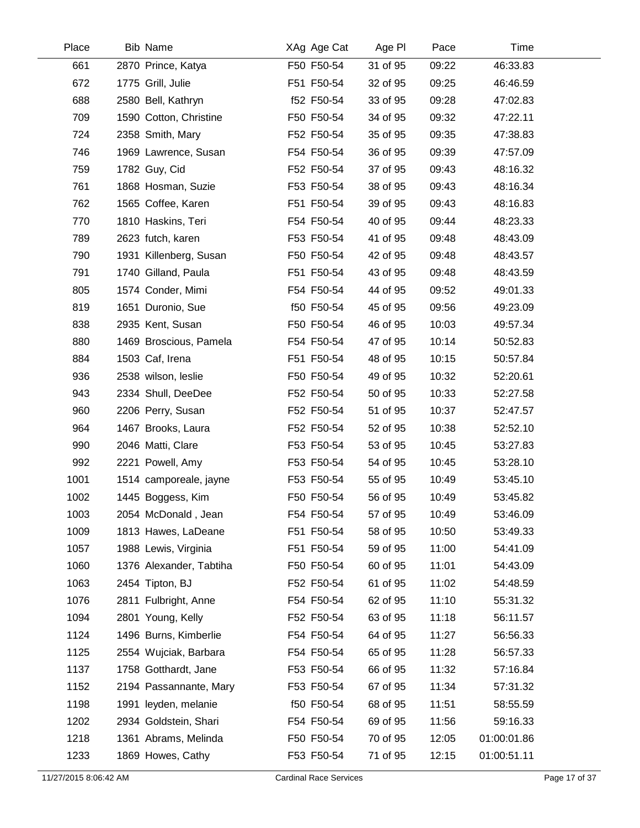| Place | <b>Bib Name</b>         | XAg Age Cat | Age PI   | Pace  | Time        |  |
|-------|-------------------------|-------------|----------|-------|-------------|--|
| 661   | 2870 Prince, Katya      | F50 F50-54  | 31 of 95 | 09:22 | 46:33.83    |  |
| 672   | 1775 Grill, Julie       | F51 F50-54  | 32 of 95 | 09:25 | 46:46.59    |  |
| 688   | 2580 Bell, Kathryn      | f52 F50-54  | 33 of 95 | 09:28 | 47:02.83    |  |
| 709   | 1590 Cotton, Christine  | F50 F50-54  | 34 of 95 | 09:32 | 47:22.11    |  |
| 724   | 2358 Smith, Mary        | F52 F50-54  | 35 of 95 | 09:35 | 47:38.83    |  |
| 746   | 1969 Lawrence, Susan    | F54 F50-54  | 36 of 95 | 09:39 | 47:57.09    |  |
| 759   | 1782 Guy, Cid           | F52 F50-54  | 37 of 95 | 09:43 | 48:16.32    |  |
| 761   | 1868 Hosman, Suzie      | F53 F50-54  | 38 of 95 | 09:43 | 48:16.34    |  |
| 762   | 1565 Coffee, Karen      | F51 F50-54  | 39 of 95 | 09:43 | 48:16.83    |  |
| 770   | 1810 Haskins, Teri      | F54 F50-54  | 40 of 95 | 09:44 | 48:23.33    |  |
| 789   | 2623 futch, karen       | F53 F50-54  | 41 of 95 | 09:48 | 48:43.09    |  |
| 790   | 1931 Killenberg, Susan  | F50 F50-54  | 42 of 95 | 09:48 | 48:43.57    |  |
| 791   | 1740 Gilland, Paula     | F51 F50-54  | 43 of 95 | 09:48 | 48:43.59    |  |
| 805   | 1574 Conder, Mimi       | F54 F50-54  | 44 of 95 | 09:52 | 49:01.33    |  |
| 819   | 1651 Duronio, Sue       | f50 F50-54  | 45 of 95 | 09:56 | 49:23.09    |  |
| 838   | 2935 Kent, Susan        | F50 F50-54  | 46 of 95 | 10:03 | 49:57.34    |  |
| 880   | 1469 Broscious, Pamela  | F54 F50-54  | 47 of 95 | 10:14 | 50:52.83    |  |
| 884   | 1503 Caf, Irena         | F51 F50-54  | 48 of 95 | 10:15 | 50:57.84    |  |
| 936   | 2538 wilson, leslie     | F50 F50-54  | 49 of 95 | 10:32 | 52:20.61    |  |
| 943   | 2334 Shull, DeeDee      | F52 F50-54  | 50 of 95 | 10:33 | 52:27.58    |  |
| 960   | 2206 Perry, Susan       | F52 F50-54  | 51 of 95 | 10:37 | 52:47.57    |  |
| 964   | 1467 Brooks, Laura      | F52 F50-54  | 52 of 95 | 10:38 | 52:52.10    |  |
| 990   | 2046 Matti, Clare       | F53 F50-54  | 53 of 95 | 10:45 | 53:27.83    |  |
| 992   | 2221 Powell, Amy        | F53 F50-54  | 54 of 95 | 10:45 | 53:28.10    |  |
| 1001  | 1514 camporeale, jayne  | F53 F50-54  | 55 of 95 | 10:49 | 53:45.10    |  |
| 1002  | 1445 Boggess, Kim       | F50 F50-54  | 56 of 95 | 10:49 | 53:45.82    |  |
| 1003  | 2054 McDonald, Jean     | F54 F50-54  | 57 of 95 | 10:49 | 53:46.09    |  |
| 1009  | 1813 Hawes, LaDeane     | F51 F50-54  | 58 of 95 | 10:50 | 53:49.33    |  |
| 1057  | 1988 Lewis, Virginia    | F51 F50-54  | 59 of 95 | 11:00 | 54:41.09    |  |
| 1060  | 1376 Alexander, Tabtiha | F50 F50-54  | 60 of 95 | 11:01 | 54:43.09    |  |
| 1063  | 2454 Tipton, BJ         | F52 F50-54  | 61 of 95 | 11:02 | 54:48.59    |  |
| 1076  | 2811 Fulbright, Anne    | F54 F50-54  | 62 of 95 | 11:10 | 55:31.32    |  |
| 1094  | 2801 Young, Kelly       | F52 F50-54  | 63 of 95 | 11:18 | 56:11.57    |  |
| 1124  | 1496 Burns, Kimberlie   | F54 F50-54  | 64 of 95 | 11:27 | 56:56.33    |  |
| 1125  | 2554 Wujciak, Barbara   | F54 F50-54  | 65 of 95 | 11:28 | 56:57.33    |  |
| 1137  | 1758 Gotthardt, Jane    | F53 F50-54  | 66 of 95 | 11:32 | 57:16.84    |  |
| 1152  | 2194 Passannante, Mary  | F53 F50-54  | 67 of 95 | 11:34 | 57:31.32    |  |
| 1198  | 1991 leyden, melanie    | f50 F50-54  | 68 of 95 | 11:51 | 58:55.59    |  |
| 1202  | 2934 Goldstein, Shari   | F54 F50-54  | 69 of 95 | 11:56 | 59:16.33    |  |
| 1218  | 1361 Abrams, Melinda    | F50 F50-54  | 70 of 95 | 12:05 | 01:00:01.86 |  |
| 1233  | 1869 Howes, Cathy       | F53 F50-54  | 71 of 95 | 12:15 | 01:00:51.11 |  |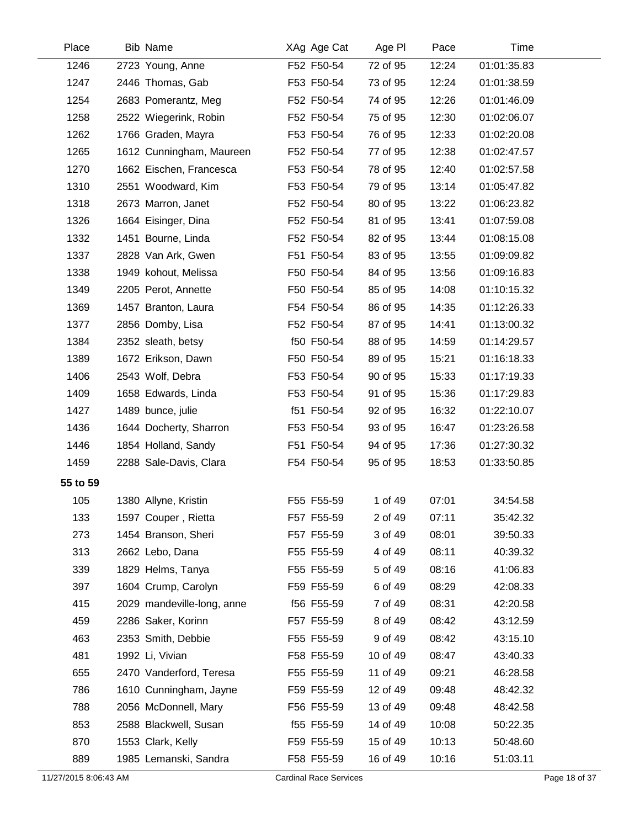| Place                 | <b>Bib Name</b>            | XAg Age Cat                   | Age PI   | Pace  | Time        |               |
|-----------------------|----------------------------|-------------------------------|----------|-------|-------------|---------------|
| 1246                  | 2723 Young, Anne           | F52 F50-54                    | 72 of 95 | 12:24 | 01:01:35.83 |               |
| 1247                  | 2446 Thomas, Gab           | F53 F50-54                    | 73 of 95 | 12:24 | 01:01:38.59 |               |
| 1254                  | 2683 Pomerantz, Meg        | F52 F50-54                    | 74 of 95 | 12:26 | 01:01:46.09 |               |
| 1258                  | 2522 Wiegerink, Robin      | F52 F50-54                    | 75 of 95 | 12:30 | 01:02:06.07 |               |
| 1262                  | 1766 Graden, Mayra         | F53 F50-54                    | 76 of 95 | 12:33 | 01:02:20.08 |               |
| 1265                  | 1612 Cunningham, Maureen   | F52 F50-54                    | 77 of 95 | 12:38 | 01:02:47.57 |               |
| 1270                  | 1662 Eischen, Francesca    | F53 F50-54                    | 78 of 95 | 12:40 | 01:02:57.58 |               |
| 1310                  | 2551 Woodward, Kim         | F53 F50-54                    | 79 of 95 | 13:14 | 01:05:47.82 |               |
| 1318                  | 2673 Marron, Janet         | F52 F50-54                    | 80 of 95 | 13:22 | 01:06:23.82 |               |
| 1326                  | 1664 Eisinger, Dina        | F52 F50-54                    | 81 of 95 | 13:41 | 01:07:59.08 |               |
| 1332                  | 1451 Bourne, Linda         | F52 F50-54                    | 82 of 95 | 13:44 | 01:08:15.08 |               |
| 1337                  | 2828 Van Ark, Gwen         | F51 F50-54                    | 83 of 95 | 13:55 | 01:09:09.82 |               |
| 1338                  | 1949 kohout, Melissa       | F50 F50-54                    | 84 of 95 | 13:56 | 01:09:16.83 |               |
| 1349                  | 2205 Perot, Annette        | F50 F50-54                    | 85 of 95 | 14:08 | 01:10:15.32 |               |
| 1369                  | 1457 Branton, Laura        | F54 F50-54                    | 86 of 95 | 14:35 | 01:12:26.33 |               |
| 1377                  | 2856 Domby, Lisa           | F52 F50-54                    | 87 of 95 | 14:41 | 01:13:00.32 |               |
| 1384                  | 2352 sleath, betsy         | f50 F50-54                    | 88 of 95 | 14:59 | 01:14:29.57 |               |
| 1389                  | 1672 Erikson, Dawn         | F50 F50-54                    | 89 of 95 | 15:21 | 01:16:18.33 |               |
| 1406                  | 2543 Wolf, Debra           | F53 F50-54                    | 90 of 95 | 15:33 | 01:17:19.33 |               |
| 1409                  | 1658 Edwards, Linda        | F53 F50-54                    | 91 of 95 | 15:36 | 01:17:29.83 |               |
| 1427                  | 1489 bunce, julie          | f51 F50-54                    | 92 of 95 | 16:32 | 01:22:10.07 |               |
| 1436                  | 1644 Docherty, Sharron     | F53 F50-54                    | 93 of 95 | 16:47 | 01:23:26.58 |               |
| 1446                  | 1854 Holland, Sandy        | F51 F50-54                    | 94 of 95 | 17:36 | 01:27:30.32 |               |
| 1459                  | 2288 Sale-Davis, Clara     | F54 F50-54                    | 95 of 95 | 18:53 | 01:33:50.85 |               |
| 55 to 59              |                            |                               |          |       |             |               |
| 105                   | 1380 Allyne, Kristin       | F55 F55-59                    | 1 of 49  | 07:01 | 34:54.58    |               |
| 133                   | 1597 Couper, Rietta        | F57 F55-59                    | 2 of 49  | 07:11 | 35:42.32    |               |
| 273                   | 1454 Branson, Sheri        | F57 F55-59                    | 3 of 49  | 08:01 | 39:50.33    |               |
| 313                   | 2662 Lebo, Dana            | F55 F55-59                    | 4 of 49  | 08:11 | 40:39.32    |               |
| 339                   | 1829 Helms, Tanya          | F55 F55-59                    | 5 of 49  | 08:16 | 41:06.83    |               |
| 397                   | 1604 Crump, Carolyn        | F59 F55-59                    | 6 of 49  | 08:29 | 42:08.33    |               |
| 415                   | 2029 mandeville-long, anne | f56 F55-59                    | 7 of 49  | 08:31 | 42:20.58    |               |
| 459                   | 2286 Saker, Korinn         | F57 F55-59                    | 8 of 49  | 08:42 | 43:12.59    |               |
| 463                   | 2353 Smith, Debbie         | F55 F55-59                    | 9 of 49  | 08:42 | 43:15.10    |               |
| 481                   | 1992 Li, Vivian            | F58 F55-59                    | 10 of 49 | 08:47 | 43:40.33    |               |
| 655                   | 2470 Vanderford, Teresa    | F55 F55-59                    | 11 of 49 | 09:21 | 46:28.58    |               |
| 786                   | 1610 Cunningham, Jayne     | F59 F55-59                    | 12 of 49 | 09:48 | 48:42.32    |               |
| 788                   | 2056 McDonnell, Mary       | F56 F55-59                    | 13 of 49 | 09:48 | 48:42.58    |               |
| 853                   | 2588 Blackwell, Susan      | f55 F55-59                    | 14 of 49 | 10:08 | 50:22.35    |               |
| 870                   | 1553 Clark, Kelly          | F59 F55-59                    | 15 of 49 | 10:13 | 50:48.60    |               |
| 889                   | 1985 Lemanski, Sandra      | F58 F55-59                    | 16 of 49 | 10:16 | 51:03.11    |               |
| 11/27/2015 8:06:43 AM |                            | <b>Cardinal Race Services</b> |          |       |             | Page 18 of 37 |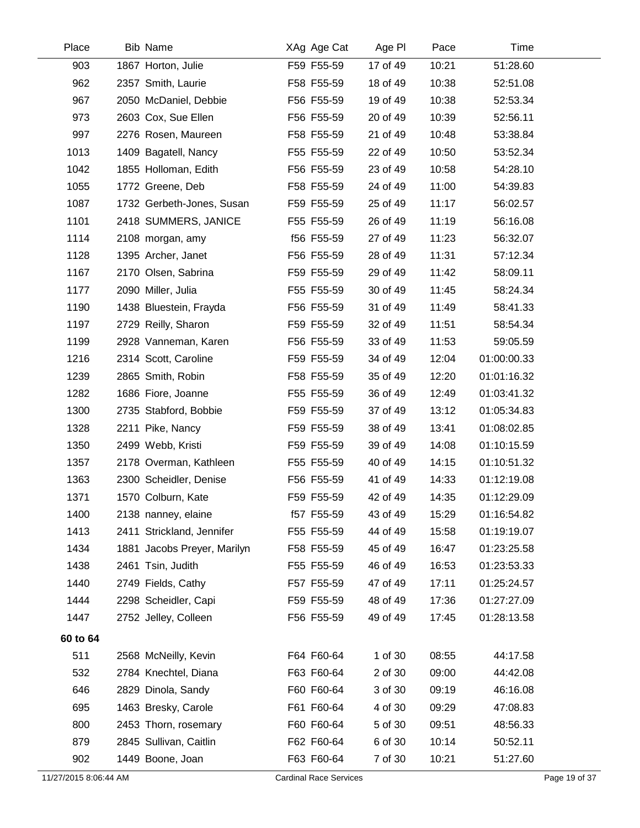| Place                 | Bib Name                    | XAg Age Cat                   | Age PI   | Pace  | Time        |               |
|-----------------------|-----------------------------|-------------------------------|----------|-------|-------------|---------------|
| 903                   | 1867 Horton, Julie          | F59 F55-59                    | 17 of 49 | 10:21 | 51:28.60    |               |
| 962                   | 2357 Smith, Laurie          | F58 F55-59                    | 18 of 49 | 10:38 | 52:51.08    |               |
| 967                   | 2050 McDaniel, Debbie       | F56 F55-59                    | 19 of 49 | 10:38 | 52:53.34    |               |
| 973                   | 2603 Cox, Sue Ellen         | F56 F55-59                    | 20 of 49 | 10:39 | 52:56.11    |               |
| 997                   | 2276 Rosen, Maureen         | F58 F55-59                    | 21 of 49 | 10:48 | 53:38.84    |               |
| 1013                  | 1409 Bagatell, Nancy        | F55 F55-59                    | 22 of 49 | 10:50 | 53:52.34    |               |
| 1042                  | 1855 Holloman, Edith        | F56 F55-59                    | 23 of 49 | 10:58 | 54:28.10    |               |
| 1055                  | 1772 Greene, Deb            | F58 F55-59                    | 24 of 49 | 11:00 | 54:39.83    |               |
| 1087                  | 1732 Gerbeth-Jones, Susan   | F59 F55-59                    | 25 of 49 | 11:17 | 56:02.57    |               |
| 1101                  | 2418 SUMMERS, JANICE        | F55 F55-59                    | 26 of 49 | 11:19 | 56:16.08    |               |
| 1114                  | 2108 morgan, amy            | f56 F55-59                    | 27 of 49 | 11:23 | 56:32.07    |               |
| 1128                  | 1395 Archer, Janet          | F56 F55-59                    | 28 of 49 | 11:31 | 57:12.34    |               |
| 1167                  | 2170 Olsen, Sabrina         | F59 F55-59                    | 29 of 49 | 11:42 | 58:09.11    |               |
| 1177                  | 2090 Miller, Julia          | F55 F55-59                    | 30 of 49 | 11:45 | 58:24.34    |               |
| 1190                  | 1438 Bluestein, Frayda      | F56 F55-59                    | 31 of 49 | 11:49 | 58:41.33    |               |
| 1197                  | 2729 Reilly, Sharon         | F59 F55-59                    | 32 of 49 | 11:51 | 58:54.34    |               |
| 1199                  | 2928 Vanneman, Karen        | F56 F55-59                    | 33 of 49 | 11:53 | 59:05.59    |               |
| 1216                  | 2314 Scott, Caroline        | F59 F55-59                    | 34 of 49 | 12:04 | 01:00:00.33 |               |
| 1239                  | 2865 Smith, Robin           | F58 F55-59                    | 35 of 49 | 12:20 | 01:01:16.32 |               |
| 1282                  | 1686 Fiore, Joanne          | F55 F55-59                    | 36 of 49 | 12:49 | 01:03:41.32 |               |
| 1300                  | 2735 Stabford, Bobbie       | F59 F55-59                    | 37 of 49 | 13:12 | 01:05:34.83 |               |
| 1328                  | 2211 Pike, Nancy            | F59 F55-59                    | 38 of 49 | 13:41 | 01:08:02.85 |               |
| 1350                  | 2499 Webb, Kristi           | F59 F55-59                    | 39 of 49 | 14:08 | 01:10:15.59 |               |
| 1357                  | 2178 Overman, Kathleen      | F55 F55-59                    | 40 of 49 | 14:15 | 01:10:51.32 |               |
| 1363                  | 2300 Scheidler, Denise      | F56 F55-59                    | 41 of 49 | 14:33 | 01:12:19.08 |               |
| 1371                  | 1570 Colburn, Kate          | F59 F55-59                    | 42 of 49 | 14:35 | 01:12:29.09 |               |
| 1400                  | 2138 nanney, elaine         | f57 F55-59                    | 43 of 49 | 15:29 | 01:16:54.82 |               |
| 1413                  | 2411 Strickland, Jennifer   | F55 F55-59                    | 44 of 49 | 15:58 | 01:19:19.07 |               |
| 1434                  | 1881 Jacobs Preyer, Marilyn | F58 F55-59                    | 45 of 49 | 16:47 | 01:23:25.58 |               |
| 1438                  | 2461 Tsin, Judith           | F55 F55-59                    | 46 of 49 | 16:53 | 01:23:53.33 |               |
| 1440                  | 2749 Fields, Cathy          | F57 F55-59                    | 47 of 49 | 17:11 | 01:25:24.57 |               |
| 1444                  | 2298 Scheidler, Capi        | F59 F55-59                    | 48 of 49 | 17:36 | 01:27:27.09 |               |
| 1447                  | 2752 Jelley, Colleen        | F56 F55-59                    | 49 of 49 | 17:45 | 01:28:13.58 |               |
| 60 to 64              |                             |                               |          |       |             |               |
| 511                   | 2568 McNeilly, Kevin        | F64 F60-64                    | 1 of 30  | 08:55 | 44:17.58    |               |
| 532                   | 2784 Knechtel, Diana        | F63 F60-64                    | 2 of 30  | 09:00 | 44:42.08    |               |
| 646                   | 2829 Dinola, Sandy          | F60 F60-64                    | 3 of 30  | 09:19 | 46:16.08    |               |
| 695                   | 1463 Bresky, Carole         | F61 F60-64                    | 4 of 30  | 09:29 | 47:08.83    |               |
| 800                   | 2453 Thorn, rosemary        | F60 F60-64                    | 5 of 30  | 09:51 | 48:56.33    |               |
| 879                   | 2845 Sullivan, Caitlin      | F62 F60-64                    | 6 of 30  | 10:14 | 50:52.11    |               |
| 902                   | 1449 Boone, Joan            | F63 F60-64                    | 7 of 30  | 10:21 | 51:27.60    |               |
| 11/27/2015 8:06:44 AM |                             | <b>Cardinal Race Services</b> |          |       |             | Page 19 of 37 |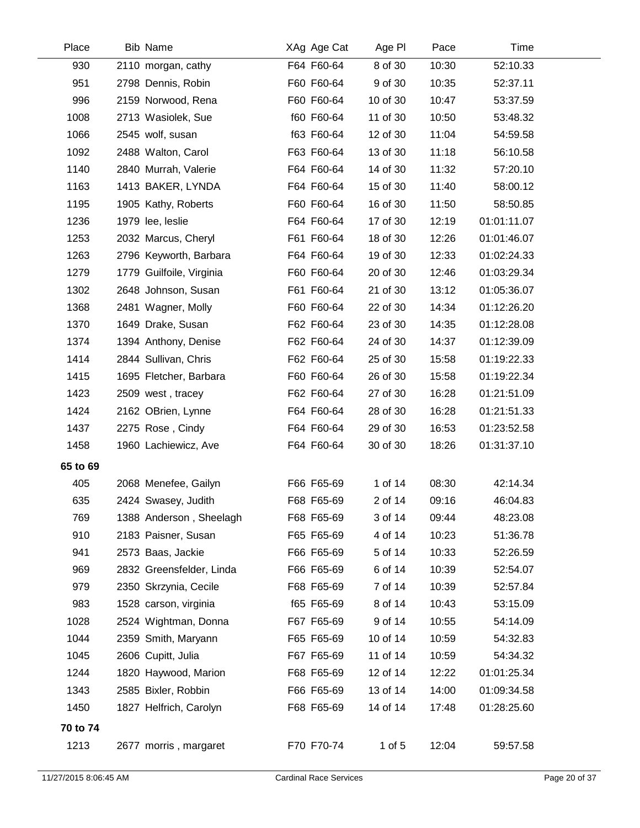| Place    | <b>Bib Name</b>          | XAg Age Cat | Age PI     | Pace  | Time        |
|----------|--------------------------|-------------|------------|-------|-------------|
| 930      | 2110 morgan, cathy       | F64 F60-64  | 8 of 30    | 10:30 | 52:10.33    |
| 951      | 2798 Dennis, Robin       | F60 F60-64  | 9 of 30    | 10:35 | 52:37.11    |
| 996      | 2159 Norwood, Rena       | F60 F60-64  | 10 of 30   | 10:47 | 53:37.59    |
| 1008     | 2713 Wasiolek, Sue       | f60 F60-64  | 11 of 30   | 10:50 | 53:48.32    |
| 1066     | 2545 wolf, susan         | f63 F60-64  | 12 of 30   | 11:04 | 54:59.58    |
| 1092     | 2488 Walton, Carol       | F63 F60-64  | 13 of 30   | 11:18 | 56:10.58    |
| 1140     | 2840 Murrah, Valerie     | F64 F60-64  | 14 of 30   | 11:32 | 57:20.10    |
| 1163     | 1413 BAKER, LYNDA        | F64 F60-64  | 15 of 30   | 11:40 | 58:00.12    |
| 1195     | 1905 Kathy, Roberts      | F60 F60-64  | 16 of 30   | 11:50 | 58:50.85    |
| 1236     | 1979 lee, leslie         | F64 F60-64  | 17 of 30   | 12:19 | 01:01:11.07 |
| 1253     | 2032 Marcus, Cheryl      | F61 F60-64  | 18 of 30   | 12:26 | 01:01:46.07 |
| 1263     | 2796 Keyworth, Barbara   | F64 F60-64  | 19 of 30   | 12:33 | 01:02:24.33 |
| 1279     | 1779 Guilfoile, Virginia | F60 F60-64  | 20 of 30   | 12:46 | 01:03:29.34 |
| 1302     | 2648 Johnson, Susan      | F61 F60-64  | 21 of 30   | 13:12 | 01:05:36.07 |
| 1368     | 2481 Wagner, Molly       | F60 F60-64  | 22 of 30   | 14:34 | 01:12:26.20 |
| 1370     | 1649 Drake, Susan        | F62 F60-64  | 23 of 30   | 14:35 | 01:12:28.08 |
| 1374     | 1394 Anthony, Denise     | F62 F60-64  | 24 of 30   | 14:37 | 01:12:39.09 |
| 1414     | 2844 Sullivan, Chris     | F62 F60-64  | 25 of 30   | 15:58 | 01:19:22.33 |
| 1415     | 1695 Fletcher, Barbara   | F60 F60-64  | 26 of 30   | 15:58 | 01:19:22.34 |
| 1423     | 2509 west, tracey        | F62 F60-64  | 27 of 30   | 16:28 | 01:21:51.09 |
| 1424     | 2162 OBrien, Lynne       | F64 F60-64  | 28 of 30   | 16:28 | 01:21:51.33 |
| 1437     | 2275 Rose, Cindy         | F64 F60-64  | 29 of 30   | 16:53 | 01:23:52.58 |
| 1458     | 1960 Lachiewicz, Ave     | F64 F60-64  | 30 of 30   | 18:26 | 01:31:37.10 |
| 65 to 69 |                          |             |            |       |             |
| 405      | 2068 Menefee, Gailyn     | F66 F65-69  | 1 of 14    | 08:30 | 42:14.34    |
| 635      | 2424 Swasey, Judith      | F68 F65-69  | 2 of 14    | 09:16 | 46:04.83    |
| 769      | 1388 Anderson, Sheelagh  | F68 F65-69  | 3 of 14    | 09:44 | 48:23.08    |
| 910      | 2183 Paisner, Susan      | F65 F65-69  | 4 of 14    | 10:23 | 51:36.78    |
| 941      | 2573 Baas, Jackie        | F66 F65-69  | 5 of 14    | 10:33 | 52:26.59    |
| 969      | 2832 Greensfelder, Linda | F66 F65-69  | 6 of 14    | 10:39 | 52:54.07    |
| 979      | 2350 Skrzynia, Cecile    | F68 F65-69  | 7 of 14    | 10:39 | 52:57.84    |
| 983      | 1528 carson, virginia    | f65 F65-69  | 8 of 14    | 10:43 | 53:15.09    |
| 1028     | 2524 Wightman, Donna     | F67 F65-69  | 9 of 14    | 10:55 | 54:14.09    |
| 1044     | 2359 Smith, Maryann      | F65 F65-69  | 10 of 14   | 10:59 | 54:32.83    |
| 1045     | 2606 Cupitt, Julia       | F67 F65-69  | 11 of 14   | 10:59 | 54:34.32    |
| 1244     | 1820 Haywood, Marion     | F68 F65-69  | 12 of 14   | 12:22 | 01:01:25.34 |
| 1343     | 2585 Bixler, Robbin      | F66 F65-69  | 13 of 14   | 14:00 | 01:09:34.58 |
| 1450     | 1827 Helfrich, Carolyn   | F68 F65-69  | 14 of 14   | 17:48 | 01:28:25.60 |
| 70 to 74 |                          |             |            |       |             |
| 1213     | 2677 morris, margaret    | F70 F70-74  | $1$ of $5$ | 12:04 | 59:57.58    |
|          |                          |             |            |       |             |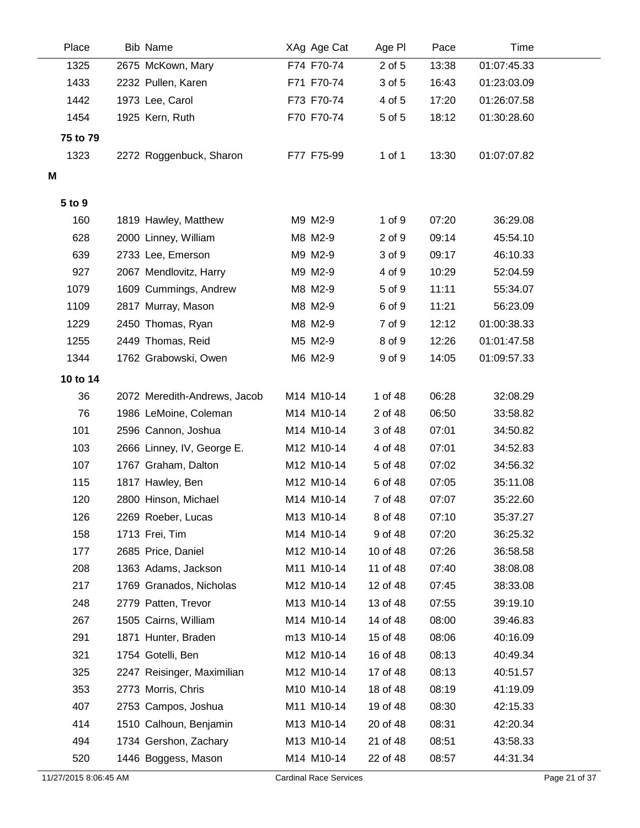| Place    | <b>Bib Name</b>              | XAg Age Cat | Age PI     | Pace  | Time        |
|----------|------------------------------|-------------|------------|-------|-------------|
| 1325     | 2675 McKown, Mary            | F74 F70-74  | 2 of 5     | 13:38 | 01:07:45.33 |
| 1433     | 2232 Pullen, Karen           | F71 F70-74  | 3 of 5     | 16:43 | 01:23:03.09 |
| 1442     | 1973 Lee, Carol              | F73 F70-74  | 4 of 5     | 17:20 | 01:26:07.58 |
| 1454     | 1925 Kern, Ruth              | F70 F70-74  | 5 of 5     | 18:12 | 01:30:28.60 |
| 75 to 79 |                              |             |            |       |             |
| 1323     | 2272 Roggenbuck, Sharon      | F77 F75-99  | 1 of 1     | 13:30 | 01:07:07.82 |
| М        |                              |             |            |       |             |
|          |                              |             |            |       |             |
| 5 to 9   |                              |             |            |       |             |
| 160      | 1819 Hawley, Matthew         | M9 M2-9     | $1$ of $9$ | 07:20 | 36:29.08    |
| 628      | 2000 Linney, William         | M8 M2-9     | 2 of 9     | 09:14 | 45:54.10    |
| 639      | 2733 Lee, Emerson            | M9 M2-9     | 3 of 9     | 09:17 | 46:10.33    |
| 927      | 2067 Mendlovitz, Harry       | M9 M2-9     | 4 of 9     | 10:29 | 52:04.59    |
| 1079     | 1609 Cummings, Andrew        | M8 M2-9     | 5 of 9     | 11:11 | 55:34.07    |
| 1109     | 2817 Murray, Mason           | M8 M2-9     | 6 of 9     | 11:21 | 56:23.09    |
| 1229     | 2450 Thomas, Ryan            | M8 M2-9     | 7 of 9     | 12:12 | 01:00:38.33 |
| 1255     | 2449 Thomas, Reid            | M5 M2-9     | 8 of 9     | 12:26 | 01:01:47.58 |
| 1344     | 1762 Grabowski, Owen         | M6 M2-9     | 9 of 9     | 14:05 | 01:09:57.33 |
| 10 to 14 |                              |             |            |       |             |
| 36       | 2072 Meredith-Andrews, Jacob | M14 M10-14  | 1 of 48    | 06:28 | 32:08.29    |
| 76       | 1986 LeMoine, Coleman        | M14 M10-14  | 2 of 48    | 06:50 | 33:58.82    |
| 101      | 2596 Cannon, Joshua          | M14 M10-14  | 3 of 48    | 07:01 | 34:50.82    |
| 103      | 2666 Linney, IV, George E.   | M12 M10-14  | 4 of 48    | 07:01 | 34:52.83    |
| 107      | 1767 Graham, Dalton          | M12 M10-14  | 5 of 48    | 07:02 | 34:56.32    |
| 115      | 1817 Hawley, Ben             | M12 M10-14  | 6 of 48    | 07:05 | 35:11.08    |
| 120      | 2800 Hinson, Michael         | M14 M10-14  | 7 of 48    | 07:07 | 35:22.60    |
| 126      | 2269 Roeber, Lucas           | M13 M10-14  | 8 of 48    | 07:10 | 35:37.27    |
| 158      | 1713 Frei, Tim               | M14 M10-14  | 9 of 48    | 07:20 | 36:25.32    |
| 177      | 2685 Price, Daniel           | M12 M10-14  | 10 of 48   | 07:26 | 36:58.58    |
| 208      | 1363 Adams, Jackson          | M11 M10-14  | 11 of 48   | 07:40 | 38:08.08    |
| 217      | 1769 Granados, Nicholas      | M12 M10-14  | 12 of 48   | 07:45 | 38:33.08    |
| 248      | 2779 Patten, Trevor          | M13 M10-14  | 13 of 48   | 07:55 | 39:19.10    |
| 267      | 1505 Cairns, William         | M14 M10-14  | 14 of 48   | 08:00 | 39:46.83    |
| 291      | 1871 Hunter, Braden          | m13 M10-14  | 15 of 48   | 08:06 | 40:16.09    |
| 321      | 1754 Gotelli, Ben            | M12 M10-14  | 16 of 48   | 08:13 | 40:49.34    |
| 325      | 2247 Reisinger, Maximilian   | M12 M10-14  | 17 of 48   | 08:13 | 40:51.57    |
| 353      | 2773 Morris, Chris           | M10 M10-14  | 18 of 48   | 08:19 | 41:19.09    |
| 407      | 2753 Campos, Joshua          | M11 M10-14  | 19 of 48   | 08:30 | 42:15.33    |
| 414      | 1510 Calhoun, Benjamin       | M13 M10-14  | 20 of 48   | 08:31 | 42:20.34    |
| 494      | 1734 Gershon, Zachary        | M13 M10-14  | 21 of 48   | 08:51 | 43:58.33    |
| 520      | 1446 Boggess, Mason          | M14 M10-14  | 22 of 48   | 08:57 | 44:31.34    |
|          |                              |             |            |       |             |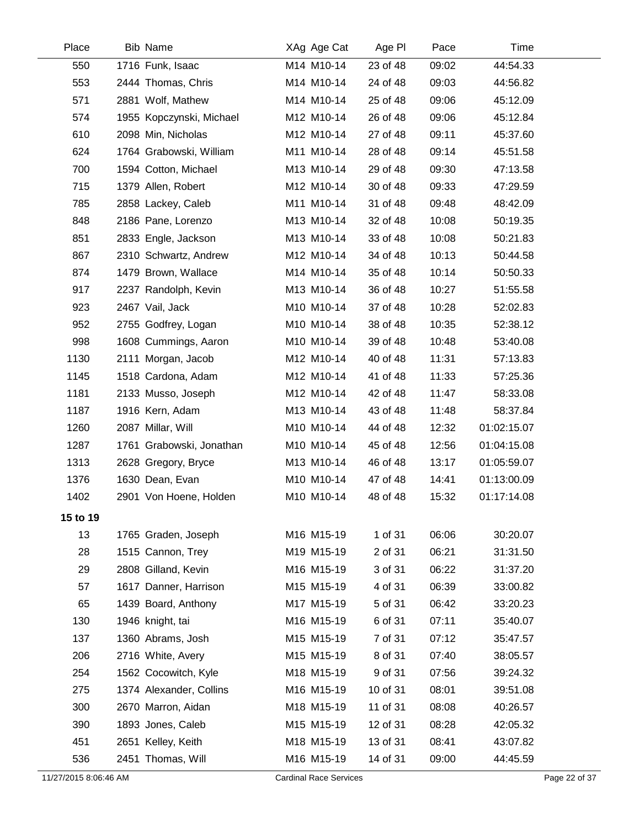| Place    | <b>Bib Name</b>          | XAg Age Cat | Age PI   | Pace  | Time        |  |
|----------|--------------------------|-------------|----------|-------|-------------|--|
| 550      | 1716 Funk, Isaac         | M14 M10-14  | 23 of 48 | 09:02 | 44:54.33    |  |
| 553      | 2444 Thomas, Chris       | M14 M10-14  | 24 of 48 | 09:03 | 44:56.82    |  |
| 571      | 2881 Wolf, Mathew        | M14 M10-14  | 25 of 48 | 09:06 | 45:12.09    |  |
| 574      | 1955 Kopczynski, Michael | M12 M10-14  | 26 of 48 | 09:06 | 45:12.84    |  |
| 610      | 2098 Min, Nicholas       | M12 M10-14  | 27 of 48 | 09:11 | 45:37.60    |  |
| 624      | 1764 Grabowski, William  | M11 M10-14  | 28 of 48 | 09:14 | 45:51.58    |  |
| 700      | 1594 Cotton, Michael     | M13 M10-14  | 29 of 48 | 09:30 | 47:13.58    |  |
| 715      | 1379 Allen, Robert       | M12 M10-14  | 30 of 48 | 09:33 | 47:29.59    |  |
| 785      | 2858 Lackey, Caleb       | M11 M10-14  | 31 of 48 | 09:48 | 48:42.09    |  |
| 848      | 2186 Pane, Lorenzo       | M13 M10-14  | 32 of 48 | 10:08 | 50:19.35    |  |
| 851      | 2833 Engle, Jackson      | M13 M10-14  | 33 of 48 | 10:08 | 50:21.83    |  |
| 867      | 2310 Schwartz, Andrew    | M12 M10-14  | 34 of 48 | 10:13 | 50:44.58    |  |
| 874      | 1479 Brown, Wallace      | M14 M10-14  | 35 of 48 | 10:14 | 50:50.33    |  |
| 917      | 2237 Randolph, Kevin     | M13 M10-14  | 36 of 48 | 10:27 | 51:55.58    |  |
| 923      | 2467 Vail, Jack          | M10 M10-14  | 37 of 48 | 10:28 | 52:02.83    |  |
| 952      | 2755 Godfrey, Logan      | M10 M10-14  | 38 of 48 | 10:35 | 52:38.12    |  |
| 998      | 1608 Cummings, Aaron     | M10 M10-14  | 39 of 48 | 10:48 | 53:40.08    |  |
| 1130     | 2111 Morgan, Jacob       | M12 M10-14  | 40 of 48 | 11:31 | 57:13.83    |  |
| 1145     | 1518 Cardona, Adam       | M12 M10-14  | 41 of 48 | 11:33 | 57:25.36    |  |
| 1181     | 2133 Musso, Joseph       | M12 M10-14  | 42 of 48 | 11:47 | 58:33.08    |  |
| 1187     | 1916 Kern, Adam          | M13 M10-14  | 43 of 48 | 11:48 | 58:37.84    |  |
| 1260     | 2087 Millar, Will        | M10 M10-14  | 44 of 48 | 12:32 | 01:02:15.07 |  |
| 1287     | 1761 Grabowski, Jonathan | M10 M10-14  | 45 of 48 | 12:56 | 01:04:15.08 |  |
| 1313     | 2628 Gregory, Bryce      | M13 M10-14  | 46 of 48 | 13:17 | 01:05:59.07 |  |
| 1376     | 1630 Dean, Evan          | M10 M10-14  | 47 of 48 | 14:41 | 01:13:00.09 |  |
| 1402     | 2901 Von Hoene, Holden   | M10 M10-14  | 48 of 48 | 15:32 | 01:17:14.08 |  |
| 15 to 19 |                          |             |          |       |             |  |
| 13       | 1765 Graden, Joseph      | M16 M15-19  | 1 of 31  | 06:06 | 30:20.07    |  |
| 28       | 1515 Cannon, Trey        | M19 M15-19  | 2 of 31  | 06:21 | 31:31.50    |  |
| 29       | 2808 Gilland, Kevin      | M16 M15-19  | 3 of 31  | 06:22 | 31:37.20    |  |
| 57       | 1617 Danner, Harrison    | M15 M15-19  | 4 of 31  | 06:39 | 33:00.82    |  |
| 65       | 1439 Board, Anthony      | M17 M15-19  | 5 of 31  | 06:42 | 33:20.23    |  |
| 130      | 1946 knight, tai         | M16 M15-19  | 6 of 31  | 07:11 | 35:40.07    |  |
| 137      | 1360 Abrams, Josh        | M15 M15-19  | 7 of 31  | 07:12 | 35:47.57    |  |
| 206      | 2716 White, Avery        | M15 M15-19  | 8 of 31  | 07:40 | 38:05.57    |  |
| 254      | 1562 Cocowitch, Kyle     | M18 M15-19  | 9 of 31  | 07:56 | 39:24.32    |  |
| 275      | 1374 Alexander, Collins  | M16 M15-19  | 10 of 31 | 08:01 | 39:51.08    |  |
| 300      | 2670 Marron, Aidan       | M18 M15-19  | 11 of 31 | 08:08 | 40:26.57    |  |
| 390      | 1893 Jones, Caleb        | M15 M15-19  | 12 of 31 | 08:28 | 42:05.32    |  |
| 451      | 2651 Kelley, Keith       | M18 M15-19  | 13 of 31 | 08:41 | 43:07.82    |  |
| 536      | 2451 Thomas, Will        | M16 M15-19  | 14 of 31 | 09:00 | 44:45.59    |  |
|          |                          |             |          |       |             |  |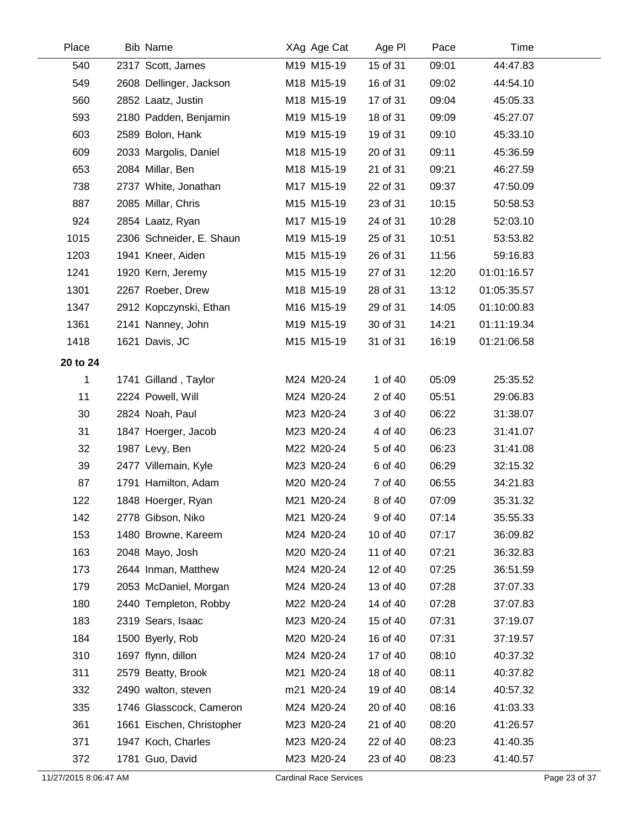| Place    | <b>Bib Name</b>           | XAg Age Cat | Age PI   | Pace  | Time        |  |
|----------|---------------------------|-------------|----------|-------|-------------|--|
| 540      | 2317 Scott, James         | M19 M15-19  | 15 of 31 | 09:01 | 44:47.83    |  |
| 549      | 2608 Dellinger, Jackson   | M18 M15-19  | 16 of 31 | 09:02 | 44:54.10    |  |
| 560      | 2852 Laatz, Justin        | M18 M15-19  | 17 of 31 | 09:04 | 45:05.33    |  |
| 593      | 2180 Padden, Benjamin     | M19 M15-19  | 18 of 31 | 09:09 | 45:27.07    |  |
| 603      | 2589 Bolon, Hank          | M19 M15-19  | 19 of 31 | 09:10 | 45:33.10    |  |
| 609      | 2033 Margolis, Daniel     | M18 M15-19  | 20 of 31 | 09:11 | 45:36.59    |  |
| 653      | 2084 Millar, Ben          | M18 M15-19  | 21 of 31 | 09:21 | 46:27.59    |  |
| 738      | 2737 White, Jonathan      | M17 M15-19  | 22 of 31 | 09:37 | 47:50.09    |  |
| 887      | 2085 Millar, Chris        | M15 M15-19  | 23 of 31 | 10:15 | 50:58.53    |  |
| 924      | 2854 Laatz, Ryan          | M17 M15-19  | 24 of 31 | 10:28 | 52:03.10    |  |
| 1015     | 2306 Schneider, E. Shaun  | M19 M15-19  | 25 of 31 | 10:51 | 53:53.82    |  |
| 1203     | 1941 Kneer, Aiden         | M15 M15-19  | 26 of 31 | 11:56 | 59:16.83    |  |
| 1241     | 1920 Kern, Jeremy         | M15 M15-19  | 27 of 31 | 12:20 | 01:01:16.57 |  |
| 1301     | 2267 Roeber, Drew         | M18 M15-19  | 28 of 31 | 13:12 | 01:05:35.57 |  |
| 1347     | 2912 Kopczynski, Ethan    | M16 M15-19  | 29 of 31 | 14:05 | 01:10:00.83 |  |
| 1361     | 2141 Nanney, John         | M19 M15-19  | 30 of 31 | 14:21 | 01:11:19.34 |  |
| 1418     | 1621 Davis, JC            | M15 M15-19  | 31 of 31 | 16:19 | 01:21:06.58 |  |
| 20 to 24 |                           |             |          |       |             |  |
| 1        | 1741 Gilland, Taylor      | M24 M20-24  | 1 of 40  | 05:09 | 25:35.52    |  |
| 11       | 2224 Powell, Will         | M24 M20-24  | 2 of 40  | 05:51 | 29:06.83    |  |
| 30       | 2824 Noah, Paul           | M23 M20-24  | 3 of 40  | 06:22 | 31:38.07    |  |
| 31       | 1847 Hoerger, Jacob       | M23 M20-24  | 4 of 40  | 06:23 | 31:41.07    |  |
| 32       | 1987 Levy, Ben            | M22 M20-24  | 5 of 40  | 06:23 | 31:41.08    |  |
| 39       | 2477 Villemain, Kyle      | M23 M20-24  | 6 of 40  | 06:29 | 32:15.32    |  |
| 87       | 1791 Hamilton, Adam       | M20 M20-24  | 7 of 40  | 06:55 | 34:21.83    |  |
| 122      | 1848 Hoerger, Ryan        | M21 M20-24  | 8 of 40  | 07:09 | 35:31.32    |  |
| 142      | 2778 Gibson, Niko         | M21 M20-24  | 9 of 40  | 07:14 | 35:55.33    |  |
| 153      | 1480 Browne, Kareem       | M24 M20-24  | 10 of 40 | 07:17 | 36:09.82    |  |
| 163      | 2048 Mayo, Josh           | M20 M20-24  | 11 of 40 | 07:21 | 36:32.83    |  |
| 173      | 2644 Inman, Matthew       | M24 M20-24  | 12 of 40 | 07:25 | 36:51.59    |  |
| 179      | 2053 McDaniel, Morgan     | M24 M20-24  | 13 of 40 | 07:28 | 37:07.33    |  |
| 180      | 2440 Templeton, Robby     | M22 M20-24  | 14 of 40 | 07:28 | 37:07.83    |  |
| 183      | 2319 Sears, Isaac         | M23 M20-24  | 15 of 40 | 07:31 | 37:19.07    |  |
| 184      | 1500 Byerly, Rob          | M20 M20-24  | 16 of 40 | 07:31 | 37:19.57    |  |
| 310      | 1697 flynn, dillon        | M24 M20-24  | 17 of 40 | 08:10 | 40:37.32    |  |
| 311      | 2579 Beatty, Brook        | M21 M20-24  | 18 of 40 | 08:11 | 40:37.82    |  |
| 332      | 2490 walton, steven       | m21 M20-24  | 19 of 40 | 08:14 | 40:57.32    |  |
| 335      | 1746 Glasscock, Cameron   | M24 M20-24  | 20 of 40 | 08:16 | 41:03.33    |  |
| 361      | 1661 Eischen, Christopher | M23 M20-24  | 21 of 40 | 08:20 | 41:26.57    |  |
| 371      | 1947 Koch, Charles        | M23 M20-24  | 22 of 40 | 08:23 | 41:40.35    |  |
| 372      | 1781 Guo, David           | M23 M20-24  | 23 of 40 | 08:23 | 41:40.57    |  |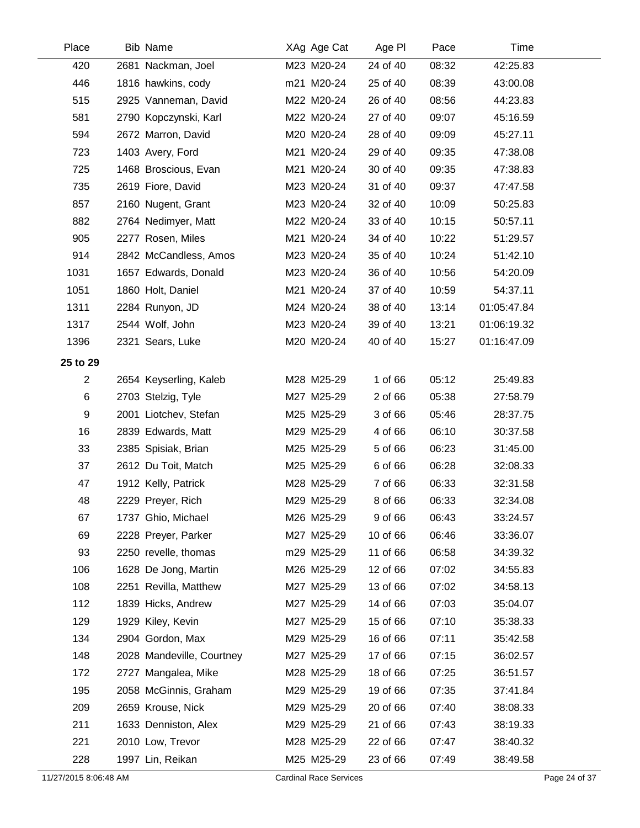| Place        | <b>Bib Name</b>           | XAg Age Cat | Age PI   | Pace  | Time        |  |
|--------------|---------------------------|-------------|----------|-------|-------------|--|
| 420          | 2681 Nackman, Joel        | M23 M20-24  | 24 of 40 | 08:32 | 42:25.83    |  |
| 446          | 1816 hawkins, cody        | m21 M20-24  | 25 of 40 | 08:39 | 43:00.08    |  |
| 515          | 2925 Vanneman, David      | M22 M20-24  | 26 of 40 | 08:56 | 44:23.83    |  |
| 581          | 2790 Kopczynski, Karl     | M22 M20-24  | 27 of 40 | 09:07 | 45:16.59    |  |
| 594          | 2672 Marron, David        | M20 M20-24  | 28 of 40 | 09:09 | 45:27.11    |  |
| 723          | 1403 Avery, Ford          | M21 M20-24  | 29 of 40 | 09:35 | 47:38.08    |  |
| 725          | 1468 Broscious, Evan      | M21 M20-24  | 30 of 40 | 09:35 | 47:38.83    |  |
| 735          | 2619 Fiore, David         | M23 M20-24  | 31 of 40 | 09:37 | 47:47.58    |  |
| 857          | 2160 Nugent, Grant        | M23 M20-24  | 32 of 40 | 10:09 | 50:25.83    |  |
| 882          | 2764 Nedimyer, Matt       | M22 M20-24  | 33 of 40 | 10:15 | 50:57.11    |  |
| 905          | 2277 Rosen, Miles         | M21 M20-24  | 34 of 40 | 10:22 | 51:29.57    |  |
| 914          | 2842 McCandless, Amos     | M23 M20-24  | 35 of 40 | 10:24 | 51:42.10    |  |
| 1031         | 1657 Edwards, Donald      | M23 M20-24  | 36 of 40 | 10:56 | 54:20.09    |  |
| 1051         | 1860 Holt, Daniel         | M21 M20-24  | 37 of 40 | 10:59 | 54:37.11    |  |
| 1311         | 2284 Runyon, JD           | M24 M20-24  | 38 of 40 | 13:14 | 01:05:47.84 |  |
| 1317         | 2544 Wolf, John           | M23 M20-24  | 39 of 40 | 13:21 | 01:06:19.32 |  |
| 1396         | 2321 Sears, Luke          | M20 M20-24  | 40 of 40 | 15:27 | 01:16:47.09 |  |
| 25 to 29     |                           |             |          |       |             |  |
| $\mathbf{2}$ | 2654 Keyserling, Kaleb    | M28 M25-29  | 1 of 66  | 05:12 | 25:49.83    |  |
| 6            | 2703 Stelzig, Tyle        | M27 M25-29  | 2 of 66  | 05:38 | 27:58.79    |  |
| 9            | 2001 Liotchev, Stefan     | M25 M25-29  | 3 of 66  | 05:46 | 28:37.75    |  |
| 16           | 2839 Edwards, Matt        | M29 M25-29  | 4 of 66  | 06:10 | 30:37.58    |  |
| 33           | 2385 Spisiak, Brian       | M25 M25-29  | 5 of 66  | 06:23 | 31:45.00    |  |
| 37           | 2612 Du Toit, Match       | M25 M25-29  | 6 of 66  | 06:28 | 32:08.33    |  |
| 47           | 1912 Kelly, Patrick       | M28 M25-29  | 7 of 66  | 06:33 | 32:31.58    |  |
| 48           | 2229 Preyer, Rich         | M29 M25-29  | 8 of 66  | 06:33 | 32:34.08    |  |
| 67           | 1737 Ghio, Michael        | M26 M25-29  | 9 of 66  | 06:43 | 33:24.57    |  |
| 69           | 2228 Preyer, Parker       | M27 M25-29  | 10 of 66 | 06:46 | 33:36.07    |  |
| 93           | 2250 revelle, thomas      | m29 M25-29  | 11 of 66 | 06:58 | 34:39.32    |  |
| 106          | 1628 De Jong, Martin      | M26 M25-29  | 12 of 66 | 07:02 | 34:55.83    |  |
| 108          | 2251 Revilla, Matthew     | M27 M25-29  | 13 of 66 | 07:02 | 34:58.13    |  |
| 112          | 1839 Hicks, Andrew        | M27 M25-29  | 14 of 66 | 07:03 | 35:04.07    |  |
| 129          | 1929 Kiley, Kevin         | M27 M25-29  | 15 of 66 | 07:10 | 35:38.33    |  |
| 134          | 2904 Gordon, Max          | M29 M25-29  | 16 of 66 | 07:11 | 35:42.58    |  |
| 148          | 2028 Mandeville, Courtney | M27 M25-29  | 17 of 66 | 07:15 | 36:02.57    |  |
| 172          | 2727 Mangalea, Mike       | M28 M25-29  | 18 of 66 | 07:25 | 36:51.57    |  |
| 195          | 2058 McGinnis, Graham     | M29 M25-29  | 19 of 66 | 07:35 | 37:41.84    |  |
| 209          | 2659 Krouse, Nick         | M29 M25-29  | 20 of 66 | 07:40 | 38:08.33    |  |
| 211          | 1633 Denniston, Alex      | M29 M25-29  | 21 of 66 | 07:43 | 38:19.33    |  |
| 221          | 2010 Low, Trevor          | M28 M25-29  | 22 of 66 | 07:47 | 38:40.32    |  |
| 228          | 1997 Lin, Reikan          | M25 M25-29  | 23 of 66 | 07:49 | 38:49.58    |  |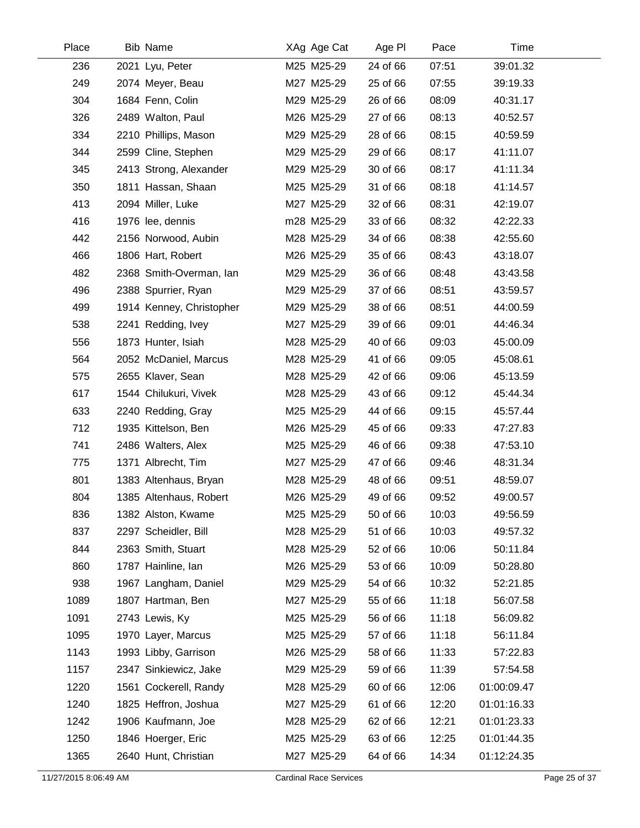| Place | <b>Bib Name</b>          | XAg Age Cat | Age PI   | Pace  | Time        |  |
|-------|--------------------------|-------------|----------|-------|-------------|--|
| 236   | 2021 Lyu, Peter          | M25 M25-29  | 24 of 66 | 07:51 | 39:01.32    |  |
| 249   | 2074 Meyer, Beau         | M27 M25-29  | 25 of 66 | 07:55 | 39:19.33    |  |
| 304   | 1684 Fenn, Colin         | M29 M25-29  | 26 of 66 | 08:09 | 40:31.17    |  |
| 326   | 2489 Walton, Paul        | M26 M25-29  | 27 of 66 | 08:13 | 40:52.57    |  |
| 334   | 2210 Phillips, Mason     | M29 M25-29  | 28 of 66 | 08:15 | 40:59.59    |  |
| 344   | 2599 Cline, Stephen      | M29 M25-29  | 29 of 66 | 08:17 | 41:11.07    |  |
| 345   | 2413 Strong, Alexander   | M29 M25-29  | 30 of 66 | 08:17 | 41:11.34    |  |
| 350   | 1811 Hassan, Shaan       | M25 M25-29  | 31 of 66 | 08:18 | 41:14.57    |  |
| 413   | 2094 Miller, Luke        | M27 M25-29  | 32 of 66 | 08:31 | 42:19.07    |  |
| 416   | 1976 lee, dennis         | m28 M25-29  | 33 of 66 | 08:32 | 42:22.33    |  |
| 442   | 2156 Norwood, Aubin      | M28 M25-29  | 34 of 66 | 08:38 | 42:55.60    |  |
| 466   | 1806 Hart, Robert        | M26 M25-29  | 35 of 66 | 08:43 | 43:18.07    |  |
| 482   | 2368 Smith-Overman, Ian  | M29 M25-29  | 36 of 66 | 08:48 | 43:43.58    |  |
| 496   | 2388 Spurrier, Ryan      | M29 M25-29  | 37 of 66 | 08:51 | 43:59.57    |  |
| 499   | 1914 Kenney, Christopher | M29 M25-29  | 38 of 66 | 08:51 | 44:00.59    |  |
| 538   | 2241 Redding, Ivey       | M27 M25-29  | 39 of 66 | 09:01 | 44:46.34    |  |
| 556   | 1873 Hunter, Isiah       | M28 M25-29  | 40 of 66 | 09:03 | 45:00.09    |  |
| 564   | 2052 McDaniel, Marcus    | M28 M25-29  | 41 of 66 | 09:05 | 45:08.61    |  |
| 575   | 2655 Klaver, Sean        | M28 M25-29  | 42 of 66 | 09:06 | 45:13.59    |  |
| 617   | 1544 Chilukuri, Vivek    | M28 M25-29  | 43 of 66 | 09:12 | 45:44.34    |  |
| 633   | 2240 Redding, Gray       | M25 M25-29  | 44 of 66 | 09:15 | 45:57.44    |  |
| 712   | 1935 Kittelson, Ben      | M26 M25-29  | 45 of 66 | 09:33 | 47:27.83    |  |
| 741   | 2486 Walters, Alex       | M25 M25-29  | 46 of 66 | 09:38 | 47:53.10    |  |
| 775   | 1371 Albrecht, Tim       | M27 M25-29  | 47 of 66 | 09:46 | 48:31.34    |  |
| 801   | 1383 Altenhaus, Bryan    | M28 M25-29  | 48 of 66 | 09:51 | 48:59.07    |  |
| 804   | 1385 Altenhaus, Robert   | M26 M25-29  | 49 of 66 | 09:52 | 49:00.57    |  |
| 836   | 1382 Alston, Kwame       | M25 M25-29  | 50 of 66 | 10:03 | 49:56.59    |  |
| 837   | 2297 Scheidler, Bill     | M28 M25-29  | 51 of 66 | 10:03 | 49:57.32    |  |
| 844   | 2363 Smith, Stuart       | M28 M25-29  | 52 of 66 | 10:06 | 50:11.84    |  |
| 860   | 1787 Hainline, Ian       | M26 M25-29  | 53 of 66 | 10:09 | 50:28.80    |  |
| 938   | 1967 Langham, Daniel     | M29 M25-29  | 54 of 66 | 10:32 | 52:21.85    |  |
| 1089  | 1807 Hartman, Ben        | M27 M25-29  | 55 of 66 | 11:18 | 56:07.58    |  |
| 1091  | 2743 Lewis, Ky           | M25 M25-29  | 56 of 66 | 11:18 | 56:09.82    |  |
| 1095  | 1970 Layer, Marcus       | M25 M25-29  | 57 of 66 | 11:18 | 56:11.84    |  |
| 1143  | 1993 Libby, Garrison     | M26 M25-29  | 58 of 66 | 11:33 | 57:22.83    |  |
| 1157  | 2347 Sinkiewicz, Jake    | M29 M25-29  | 59 of 66 | 11:39 | 57:54.58    |  |
| 1220  | 1561 Cockerell, Randy    | M28 M25-29  | 60 of 66 | 12:06 | 01:00:09.47 |  |
| 1240  | 1825 Heffron, Joshua     | M27 M25-29  | 61 of 66 | 12:20 | 01:01:16.33 |  |
| 1242  | 1906 Kaufmann, Joe       | M28 M25-29  | 62 of 66 | 12:21 | 01:01:23.33 |  |
| 1250  | 1846 Hoerger, Eric       | M25 M25-29  | 63 of 66 | 12:25 | 01:01:44.35 |  |
| 1365  | 2640 Hunt, Christian     | M27 M25-29  | 64 of 66 | 14:34 | 01:12:24.35 |  |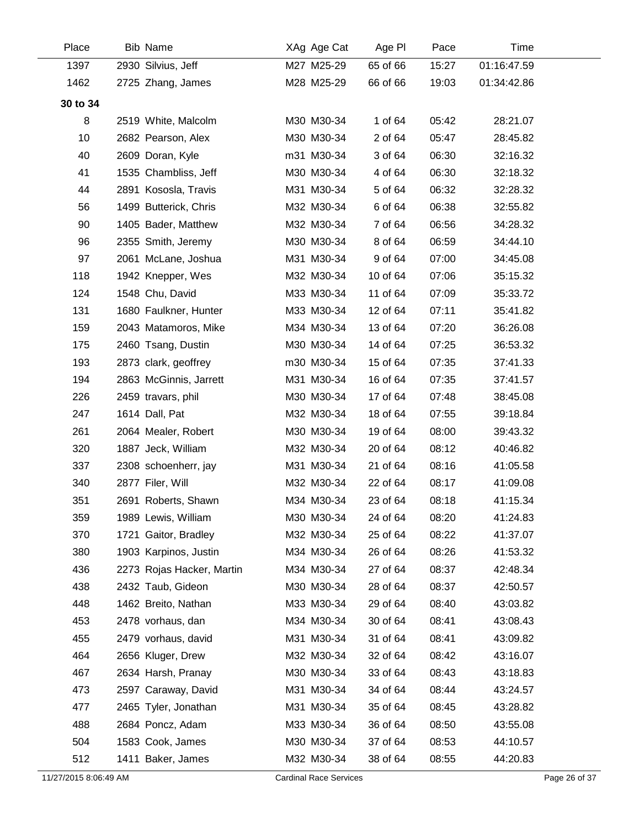| Place    | <b>Bib Name</b>           | XAg Age Cat | Age PI   | Pace  | Time        |
|----------|---------------------------|-------------|----------|-------|-------------|
| 1397     | 2930 Silvius, Jeff        | M27 M25-29  | 65 of 66 | 15:27 | 01:16:47.59 |
| 1462     | 2725 Zhang, James         | M28 M25-29  | 66 of 66 | 19:03 | 01:34:42.86 |
| 30 to 34 |                           |             |          |       |             |
| 8        | 2519 White, Malcolm       | M30 M30-34  | 1 of 64  | 05:42 | 28:21.07    |
| 10       | 2682 Pearson, Alex        | M30 M30-34  | 2 of 64  | 05:47 | 28:45.82    |
| 40       | 2609 Doran, Kyle          | m31 M30-34  | 3 of 64  | 06:30 | 32:16.32    |
| 41       | 1535 Chambliss, Jeff      | M30 M30-34  | 4 of 64  | 06:30 | 32:18.32    |
| 44       | 2891 Kososla, Travis      | M31 M30-34  | 5 of 64  | 06:32 | 32:28.32    |
| 56       | 1499 Butterick, Chris     | M32 M30-34  | 6 of 64  | 06:38 | 32:55.82    |
| 90       | 1405 Bader, Matthew       | M32 M30-34  | 7 of 64  | 06:56 | 34:28.32    |
| 96       | 2355 Smith, Jeremy        | M30 M30-34  | 8 of 64  | 06:59 | 34:44.10    |
| 97       | 2061 McLane, Joshua       | M31 M30-34  | 9 of 64  | 07:00 | 34:45.08    |
| 118      | 1942 Knepper, Wes         | M32 M30-34  | 10 of 64 | 07:06 | 35:15.32    |
| 124      | 1548 Chu, David           | M33 M30-34  | 11 of 64 | 07:09 | 35:33.72    |
| 131      | 1680 Faulkner, Hunter     | M33 M30-34  | 12 of 64 | 07:11 | 35:41.82    |
| 159      | 2043 Matamoros, Mike      | M34 M30-34  | 13 of 64 | 07:20 | 36:26.08    |
| 175      | 2460 Tsang, Dustin        | M30 M30-34  | 14 of 64 | 07:25 | 36:53.32    |
| 193      | 2873 clark, geoffrey      | m30 M30-34  | 15 of 64 | 07:35 | 37:41.33    |
| 194      | 2863 McGinnis, Jarrett    | M31 M30-34  | 16 of 64 | 07:35 | 37:41.57    |
| 226      | 2459 travars, phil        | M30 M30-34  | 17 of 64 | 07:48 | 38:45.08    |
| 247      | 1614 Dall, Pat            | M32 M30-34  | 18 of 64 | 07:55 | 39:18.84    |
| 261      | 2064 Mealer, Robert       | M30 M30-34  | 19 of 64 | 08:00 | 39:43.32    |
| 320      | 1887 Jeck, William        | M32 M30-34  | 20 of 64 | 08:12 | 40:46.82    |
| 337      | 2308 schoenherr, jay      | M31 M30-34  | 21 of 64 | 08:16 | 41:05.58    |
| 340      | 2877 Filer, Will          | M32 M30-34  | 22 of 64 | 08:17 | 41:09.08    |
| 351      | 2691 Roberts, Shawn       | M34 M30-34  | 23 of 64 | 08:18 | 41:15.34    |
| 359      | 1989 Lewis, William       | M30 M30-34  | 24 of 64 | 08:20 | 41:24.83    |
| 370      | 1721 Gaitor, Bradley      | M32 M30-34  | 25 of 64 | 08:22 | 41:37.07    |
| 380      | 1903 Karpinos, Justin     | M34 M30-34  | 26 of 64 | 08:26 | 41:53.32    |
| 436      | 2273 Rojas Hacker, Martin | M34 M30-34  | 27 of 64 | 08:37 | 42:48.34    |
| 438      | 2432 Taub, Gideon         | M30 M30-34  | 28 of 64 | 08:37 | 42:50.57    |
| 448      | 1462 Breito, Nathan       | M33 M30-34  | 29 of 64 | 08:40 | 43:03.82    |
| 453      | 2478 vorhaus, dan         | M34 M30-34  | 30 of 64 | 08:41 | 43:08.43    |
| 455      | 2479 vorhaus, david       | M31 M30-34  | 31 of 64 | 08:41 | 43:09.82    |
| 464      | 2656 Kluger, Drew         | M32 M30-34  | 32 of 64 | 08:42 | 43:16.07    |
| 467      | 2634 Harsh, Pranay        | M30 M30-34  | 33 of 64 | 08:43 | 43:18.83    |
| 473      | 2597 Caraway, David       | M31 M30-34  | 34 of 64 | 08:44 | 43:24.57    |
| 477      | 2465 Tyler, Jonathan      | M31 M30-34  | 35 of 64 | 08:45 | 43:28.82    |
| 488      | 2684 Poncz, Adam          | M33 M30-34  | 36 of 64 | 08:50 | 43:55.08    |
| 504      | 1583 Cook, James          | M30 M30-34  | 37 of 64 | 08:53 | 44:10.57    |
| 512      | 1411 Baker, James         | M32 M30-34  | 38 of 64 | 08:55 | 44:20.83    |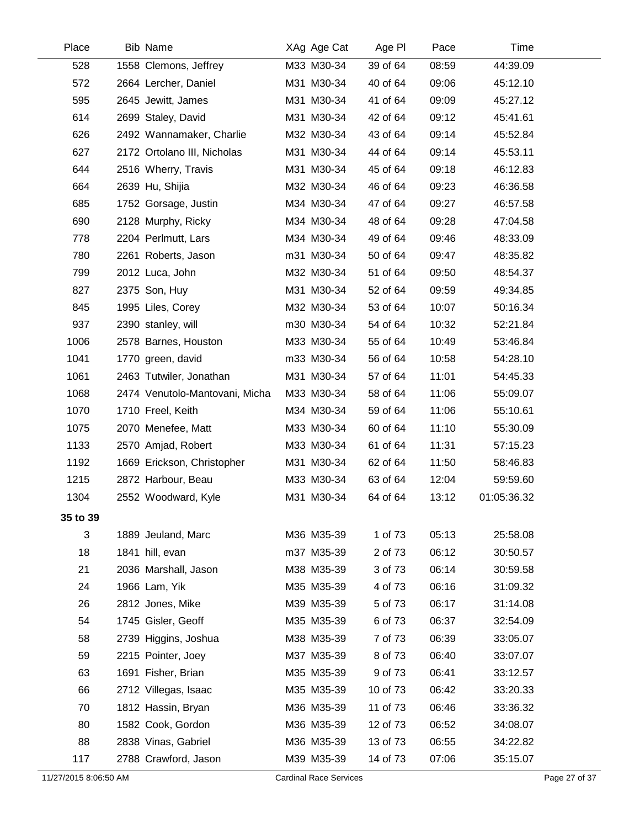| Place    | Bib Name                       | XAg Age Cat | Age PI   | Pace  | Time        |  |
|----------|--------------------------------|-------------|----------|-------|-------------|--|
| 528      | 1558 Clemons, Jeffrey          | M33 M30-34  | 39 of 64 | 08:59 | 44:39.09    |  |
| 572      | 2664 Lercher, Daniel           | M31 M30-34  | 40 of 64 | 09:06 | 45:12.10    |  |
| 595      | 2645 Jewitt, James             | M31 M30-34  | 41 of 64 | 09:09 | 45:27.12    |  |
| 614      | 2699 Staley, David             | M31 M30-34  | 42 of 64 | 09:12 | 45:41.61    |  |
| 626      | 2492 Wannamaker, Charlie       | M32 M30-34  | 43 of 64 | 09:14 | 45:52.84    |  |
| 627      | 2172 Ortolano III, Nicholas    | M31 M30-34  | 44 of 64 | 09:14 | 45:53.11    |  |
| 644      | 2516 Wherry, Travis            | M31 M30-34  | 45 of 64 | 09:18 | 46:12.83    |  |
| 664      | 2639 Hu, Shijia                | M32 M30-34  | 46 of 64 | 09:23 | 46:36.58    |  |
| 685      | 1752 Gorsage, Justin           | M34 M30-34  | 47 of 64 | 09:27 | 46:57.58    |  |
| 690      | 2128 Murphy, Ricky             | M34 M30-34  | 48 of 64 | 09:28 | 47:04.58    |  |
| 778      | 2204 Perlmutt, Lars            | M34 M30-34  | 49 of 64 | 09:46 | 48:33.09    |  |
| 780      | 2261 Roberts, Jason            | m31 M30-34  | 50 of 64 | 09:47 | 48:35.82    |  |
| 799      | 2012 Luca, John                | M32 M30-34  | 51 of 64 | 09:50 | 48:54.37    |  |
| 827      | 2375 Son, Huy                  | M31 M30-34  | 52 of 64 | 09:59 | 49:34.85    |  |
| 845      | 1995 Liles, Corey              | M32 M30-34  | 53 of 64 | 10:07 | 50:16.34    |  |
| 937      | 2390 stanley, will             | m30 M30-34  | 54 of 64 | 10:32 | 52:21.84    |  |
| 1006     | 2578 Barnes, Houston           | M33 M30-34  | 55 of 64 | 10:49 | 53:46.84    |  |
| 1041     | 1770 green, david              | m33 M30-34  | 56 of 64 | 10:58 | 54:28.10    |  |
| 1061     | 2463 Tutwiler, Jonathan        | M31 M30-34  | 57 of 64 | 11:01 | 54:45.33    |  |
| 1068     | 2474 Venutolo-Mantovani, Micha | M33 M30-34  | 58 of 64 | 11:06 | 55:09.07    |  |
| 1070     | 1710 Freel, Keith              | M34 M30-34  | 59 of 64 | 11:06 | 55:10.61    |  |
| 1075     | 2070 Menefee, Matt             | M33 M30-34  | 60 of 64 | 11:10 | 55:30.09    |  |
| 1133     | 2570 Amjad, Robert             | M33 M30-34  | 61 of 64 | 11:31 | 57:15.23    |  |
| 1192     | 1669 Erickson, Christopher     | M31 M30-34  | 62 of 64 | 11:50 | 58:46.83    |  |
| 1215     | 2872 Harbour, Beau             | M33 M30-34  | 63 of 64 | 12:04 | 59:59.60    |  |
| 1304     | 2552 Woodward, Kyle            | M31 M30-34  | 64 of 64 | 13:12 | 01:05:36.32 |  |
| 35 to 39 |                                |             |          |       |             |  |
| 3        | 1889 Jeuland, Marc             | M36 M35-39  | 1 of 73  | 05:13 | 25:58.08    |  |
| 18       | 1841 hill, evan                | m37 M35-39  | 2 of 73  | 06:12 | 30:50.57    |  |
| 21       | 2036 Marshall, Jason           | M38 M35-39  | 3 of 73  | 06:14 | 30:59.58    |  |
| 24       | 1966 Lam, Yik                  | M35 M35-39  | 4 of 73  | 06:16 | 31:09.32    |  |
| 26       | 2812 Jones, Mike               | M39 M35-39  | 5 of 73  | 06:17 | 31:14.08    |  |
| 54       | 1745 Gisler, Geoff             | M35 M35-39  | 6 of 73  | 06:37 | 32:54.09    |  |
| 58       | 2739 Higgins, Joshua           | M38 M35-39  | 7 of 73  | 06:39 | 33:05.07    |  |
| 59       | 2215 Pointer, Joey             | M37 M35-39  | 8 of 73  | 06:40 | 33:07.07    |  |
| 63       | 1691 Fisher, Brian             | M35 M35-39  | 9 of 73  | 06:41 | 33:12.57    |  |
| 66       | 2712 Villegas, Isaac           | M35 M35-39  | 10 of 73 | 06:42 | 33:20.33    |  |
| 70       | 1812 Hassin, Bryan             | M36 M35-39  | 11 of 73 | 06:46 | 33:36.32    |  |
| 80       | 1582 Cook, Gordon              | M36 M35-39  | 12 of 73 | 06:52 | 34:08.07    |  |
| 88       | 2838 Vinas, Gabriel            | M36 M35-39  | 13 of 73 | 06:55 | 34:22.82    |  |
| 117      | 2788 Crawford, Jason           | M39 M35-39  | 14 of 73 | 07:06 | 35:15.07    |  |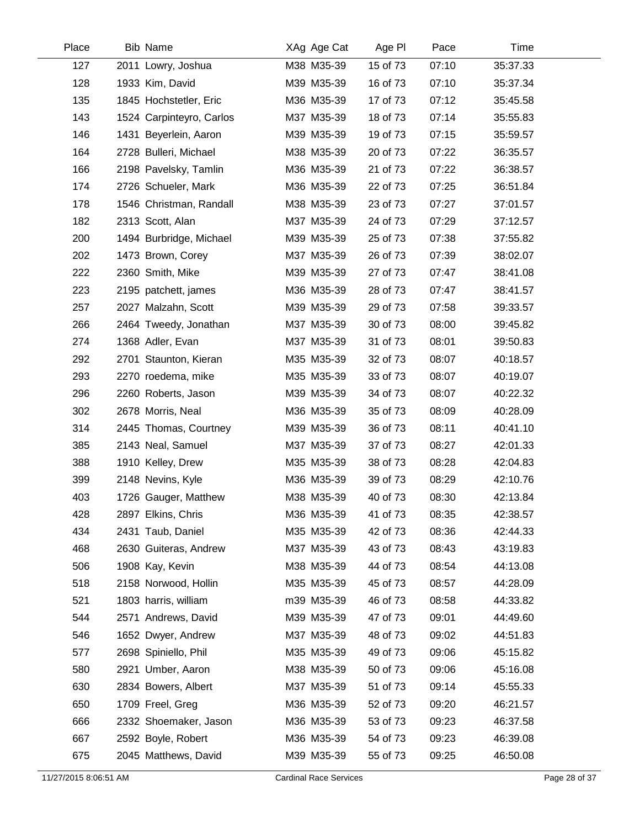| Place | <b>Bib Name</b>          | XAg Age Cat | Age PI   | Pace  | Time     |  |
|-------|--------------------------|-------------|----------|-------|----------|--|
| 127   | 2011 Lowry, Joshua       | M38 M35-39  | 15 of 73 | 07:10 | 35:37.33 |  |
| 128   | 1933 Kim, David          | M39 M35-39  | 16 of 73 | 07:10 | 35:37.34 |  |
| 135   | 1845 Hochstetler, Eric   | M36 M35-39  | 17 of 73 | 07:12 | 35:45.58 |  |
| 143   | 1524 Carpinteyro, Carlos | M37 M35-39  | 18 of 73 | 07:14 | 35:55.83 |  |
| 146   | 1431 Beyerlein, Aaron    | M39 M35-39  | 19 of 73 | 07:15 | 35:59.57 |  |
| 164   | 2728 Bulleri, Michael    | M38 M35-39  | 20 of 73 | 07:22 | 36:35.57 |  |
| 166   | 2198 Pavelsky, Tamlin    | M36 M35-39  | 21 of 73 | 07:22 | 36:38.57 |  |
| 174   | 2726 Schueler, Mark      | M36 M35-39  | 22 of 73 | 07:25 | 36:51.84 |  |
| 178   | 1546 Christman, Randall  | M38 M35-39  | 23 of 73 | 07:27 | 37:01.57 |  |
| 182   | 2313 Scott, Alan         | M37 M35-39  | 24 of 73 | 07:29 | 37:12.57 |  |
| 200   | 1494 Burbridge, Michael  | M39 M35-39  | 25 of 73 | 07:38 | 37:55.82 |  |
| 202   | 1473 Brown, Corey        | M37 M35-39  | 26 of 73 | 07:39 | 38:02.07 |  |
| 222   | 2360 Smith, Mike         | M39 M35-39  | 27 of 73 | 07:47 | 38:41.08 |  |
| 223   | 2195 patchett, james     | M36 M35-39  | 28 of 73 | 07:47 | 38:41.57 |  |
| 257   | 2027 Malzahn, Scott      | M39 M35-39  | 29 of 73 | 07:58 | 39:33.57 |  |
| 266   | 2464 Tweedy, Jonathan    | M37 M35-39  | 30 of 73 | 08:00 | 39:45.82 |  |
| 274   | 1368 Adler, Evan         | M37 M35-39  | 31 of 73 | 08:01 | 39:50.83 |  |
| 292   | 2701 Staunton, Kieran    | M35 M35-39  | 32 of 73 | 08:07 | 40:18.57 |  |
| 293   | 2270 roedema, mike       | M35 M35-39  | 33 of 73 | 08:07 | 40:19.07 |  |
| 296   | 2260 Roberts, Jason      | M39 M35-39  | 34 of 73 | 08:07 | 40:22.32 |  |
| 302   | 2678 Morris, Neal        | M36 M35-39  | 35 of 73 | 08:09 | 40:28.09 |  |
| 314   | 2445 Thomas, Courtney    | M39 M35-39  | 36 of 73 | 08:11 | 40:41.10 |  |
| 385   | 2143 Neal, Samuel        | M37 M35-39  | 37 of 73 | 08:27 | 42:01.33 |  |
| 388   | 1910 Kelley, Drew        | M35 M35-39  | 38 of 73 | 08:28 | 42:04.83 |  |
| 399   | 2148 Nevins, Kyle        | M36 M35-39  | 39 of 73 | 08:29 | 42:10.76 |  |
| 403   | 1726 Gauger, Matthew     | M38 M35-39  | 40 of 73 | 08:30 | 42:13.84 |  |
| 428   | 2897 Elkins, Chris       | M36 M35-39  | 41 of 73 | 08:35 | 42:38.57 |  |
| 434   | 2431 Taub, Daniel        | M35 M35-39  | 42 of 73 | 08:36 | 42:44.33 |  |
| 468   | 2630 Guiteras, Andrew    | M37 M35-39  | 43 of 73 | 08:43 | 43:19.83 |  |
| 506   | 1908 Kay, Kevin          | M38 M35-39  | 44 of 73 | 08:54 | 44:13.08 |  |
| 518   | 2158 Norwood, Hollin     | M35 M35-39  | 45 of 73 | 08:57 | 44:28.09 |  |
| 521   | 1803 harris, william     | m39 M35-39  | 46 of 73 | 08:58 | 44:33.82 |  |
| 544   | 2571 Andrews, David      | M39 M35-39  | 47 of 73 | 09:01 | 44:49.60 |  |
| 546   | 1652 Dwyer, Andrew       | M37 M35-39  | 48 of 73 | 09:02 | 44:51.83 |  |
| 577   | 2698 Spiniello, Phil     | M35 M35-39  | 49 of 73 | 09:06 | 45:15.82 |  |
| 580   | 2921 Umber, Aaron        | M38 M35-39  | 50 of 73 | 09:06 | 45:16.08 |  |
| 630   | 2834 Bowers, Albert      | M37 M35-39  | 51 of 73 | 09:14 | 45:55.33 |  |
| 650   | 1709 Freel, Greg         | M36 M35-39  | 52 of 73 | 09:20 | 46:21.57 |  |
| 666   | 2332 Shoemaker, Jason    | M36 M35-39  | 53 of 73 | 09:23 | 46:37.58 |  |
| 667   | 2592 Boyle, Robert       | M36 M35-39  | 54 of 73 | 09:23 | 46:39.08 |  |
| 675   | 2045 Matthews, David     | M39 M35-39  | 55 of 73 | 09:25 | 46:50.08 |  |
|       |                          |             |          |       |          |  |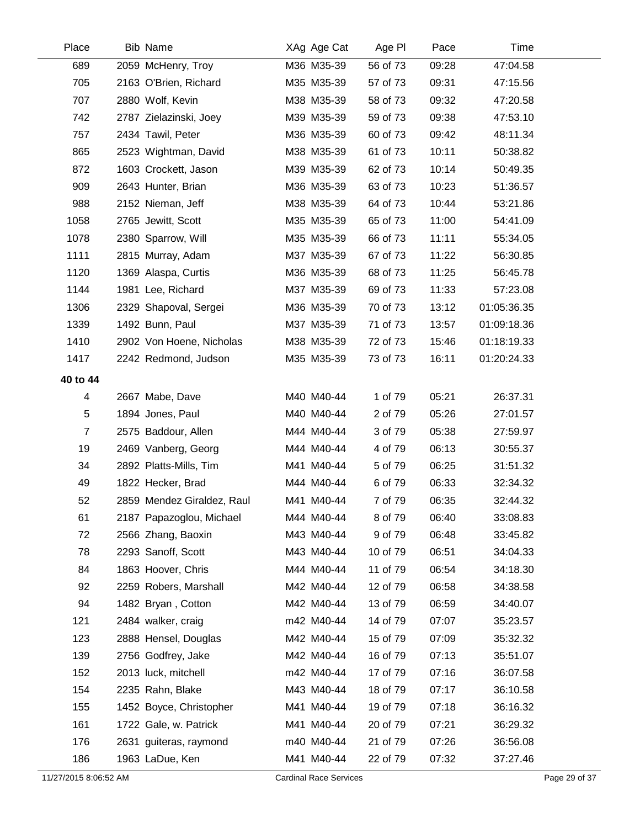| Place          | <b>Bib Name</b>            | XAg Age Cat | Age PI   | Pace  | Time        |
|----------------|----------------------------|-------------|----------|-------|-------------|
| 689            | 2059 McHenry, Troy         | M36 M35-39  | 56 of 73 | 09:28 | 47:04.58    |
| 705            | 2163 O'Brien, Richard      | M35 M35-39  | 57 of 73 | 09:31 | 47:15.56    |
| 707            | 2880 Wolf, Kevin           | M38 M35-39  | 58 of 73 | 09:32 | 47:20.58    |
| 742            | 2787 Zielazinski, Joey     | M39 M35-39  | 59 of 73 | 09:38 | 47:53.10    |
| 757            | 2434 Tawil, Peter          | M36 M35-39  | 60 of 73 | 09:42 | 48:11.34    |
| 865            | 2523 Wightman, David       | M38 M35-39  | 61 of 73 | 10:11 | 50:38.82    |
| 872            | 1603 Crockett, Jason       | M39 M35-39  | 62 of 73 | 10:14 | 50:49.35    |
| 909            | 2643 Hunter, Brian         | M36 M35-39  | 63 of 73 | 10:23 | 51:36.57    |
| 988            | 2152 Nieman, Jeff          | M38 M35-39  | 64 of 73 | 10:44 | 53:21.86    |
| 1058           | 2765 Jewitt, Scott         | M35 M35-39  | 65 of 73 | 11:00 | 54:41.09    |
| 1078           | 2380 Sparrow, Will         | M35 M35-39  | 66 of 73 | 11:11 | 55:34.05    |
| 1111           | 2815 Murray, Adam          | M37 M35-39  | 67 of 73 | 11:22 | 56:30.85    |
| 1120           | 1369 Alaspa, Curtis        | M36 M35-39  | 68 of 73 | 11:25 | 56:45.78    |
| 1144           | 1981 Lee, Richard          | M37 M35-39  | 69 of 73 | 11:33 | 57:23.08    |
| 1306           | 2329 Shapoval, Sergei      | M36 M35-39  | 70 of 73 | 13:12 | 01:05:36.35 |
| 1339           | 1492 Bunn, Paul            | M37 M35-39  | 71 of 73 | 13:57 | 01:09:18.36 |
| 1410           | 2902 Von Hoene, Nicholas   | M38 M35-39  | 72 of 73 | 15:46 | 01:18:19.33 |
| 1417           | 2242 Redmond, Judson       | M35 M35-39  | 73 of 73 | 16:11 | 01:20:24.33 |
| 40 to 44       |                            |             |          |       |             |
| 4              | 2667 Mabe, Dave            | M40 M40-44  | 1 of 79  | 05:21 | 26:37.31    |
| 5              | 1894 Jones, Paul           | M40 M40-44  | 2 of 79  | 05:26 | 27:01.57    |
| $\overline{7}$ | 2575 Baddour, Allen        | M44 M40-44  | 3 of 79  | 05:38 | 27:59.97    |
| 19             | 2469 Vanberg, Georg        | M44 M40-44  | 4 of 79  | 06:13 | 30:55.37    |
| 34             | 2892 Platts-Mills, Tim     | M41 M40-44  | 5 of 79  | 06:25 | 31:51.32    |
| 49             | 1822 Hecker, Brad          | M44 M40-44  | 6 of 79  | 06:33 | 32:34.32    |
| 52             | 2859 Mendez Giraldez, Raul | M41 M40-44  | 7 of 79  | 06:35 | 32:44.32    |
| 61             | 2187 Papazoglou, Michael   | M44 M40-44  | 8 of 79  | 06:40 | 33:08.83    |
| 72             | 2566 Zhang, Baoxin         | M43 M40-44  | 9 of 79  | 06:48 | 33:45.82    |
| 78             | 2293 Sanoff, Scott         | M43 M40-44  | 10 of 79 | 06:51 | 34:04.33    |
| 84             | 1863 Hoover, Chris         | M44 M40-44  | 11 of 79 | 06:54 | 34:18.30    |
| 92             | 2259 Robers, Marshall      | M42 M40-44  | 12 of 79 | 06:58 | 34:38.58    |
| 94             | 1482 Bryan, Cotton         | M42 M40-44  | 13 of 79 | 06:59 | 34:40.07    |
| 121            | 2484 walker, craig         | m42 M40-44  | 14 of 79 | 07:07 | 35:23.57    |
| 123            | 2888 Hensel, Douglas       | M42 M40-44  | 15 of 79 | 07:09 | 35:32.32    |
| 139            | 2756 Godfrey, Jake         | M42 M40-44  | 16 of 79 | 07:13 | 35:51.07    |
| 152            | 2013 luck, mitchell        | m42 M40-44  | 17 of 79 | 07:16 | 36:07.58    |
| 154            | 2235 Rahn, Blake           | M43 M40-44  | 18 of 79 | 07:17 | 36:10.58    |
| 155            | 1452 Boyce, Christopher    | M41 M40-44  | 19 of 79 | 07:18 | 36:16.32    |
| 161            | 1722 Gale, w. Patrick      | M41 M40-44  | 20 of 79 | 07:21 | 36:29.32    |
| 176            | 2631 guiteras, raymond     | m40 M40-44  | 21 of 79 | 07:26 | 36:56.08    |
| 186            | 1963 LaDue, Ken            | M41 M40-44  | 22 of 79 | 07:32 | 37:27.46    |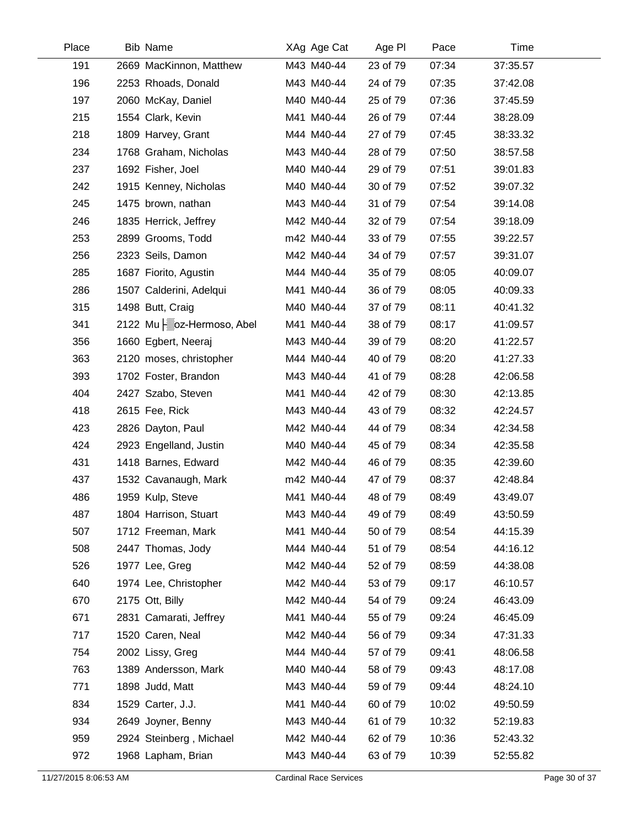| Place | <b>Bib Name</b>            | XAg Age Cat | Age PI   | Pace  | Time     |  |
|-------|----------------------------|-------------|----------|-------|----------|--|
| 191   | 2669 MacKinnon, Matthew    | M43 M40-44  | 23 of 79 | 07:34 | 37:35.57 |  |
| 196   | 2253 Rhoads, Donald        | M43 M40-44  | 24 of 79 | 07:35 | 37:42.08 |  |
| 197   | 2060 McKay, Daniel         | M40 M40-44  | 25 of 79 | 07:36 | 37:45.59 |  |
| 215   | 1554 Clark, Kevin          | M41 M40-44  | 26 of 79 | 07:44 | 38:28.09 |  |
| 218   | 1809 Harvey, Grant         | M44 M40-44  | 27 of 79 | 07:45 | 38:33.32 |  |
| 234   | 1768 Graham, Nicholas      | M43 M40-44  | 28 of 79 | 07:50 | 38:57.58 |  |
| 237   | 1692 Fisher, Joel          | M40 M40-44  | 29 of 79 | 07:51 | 39:01.83 |  |
| 242   | 1915 Kenney, Nicholas      | M40 M40-44  | 30 of 79 | 07:52 | 39:07.32 |  |
| 245   | 1475 brown, nathan         | M43 M40-44  | 31 of 79 | 07:54 | 39:14.08 |  |
| 246   | 1835 Herrick, Jeffrey      | M42 M40-44  | 32 of 79 | 07:54 | 39:18.09 |  |
| 253   | 2899 Grooms, Todd          | m42 M40-44  | 33 of 79 | 07:55 | 39:22.57 |  |
| 256   | 2323 Seils, Damon          | M42 M40-44  | 34 of 79 | 07:57 | 39:31.07 |  |
| 285   | 1687 Fiorito, Agustin      | M44 M40-44  | 35 of 79 | 08:05 | 40:09.07 |  |
| 286   | 1507 Calderini, Adelqui    | M41 M40-44  | 36 of 79 | 08:05 | 40:09.33 |  |
| 315   | 1498 Butt, Craig           | M40 M40-44  | 37 of 79 | 08:11 | 40:41.32 |  |
| 341   | 2122 Mu   oz-Hermoso, Abel | M41 M40-44  | 38 of 79 | 08:17 | 41:09.57 |  |
| 356   | 1660 Egbert, Neeraj        | M43 M40-44  | 39 of 79 | 08:20 | 41:22.57 |  |
| 363   | 2120 moses, christopher    | M44 M40-44  | 40 of 79 | 08:20 | 41:27.33 |  |
| 393   | 1702 Foster, Brandon       | M43 M40-44  | 41 of 79 | 08:28 | 42:06.58 |  |
| 404   | 2427 Szabo, Steven         | M41 M40-44  | 42 of 79 | 08:30 | 42:13.85 |  |
| 418   | 2615 Fee, Rick             | M43 M40-44  | 43 of 79 | 08:32 | 42:24.57 |  |
| 423   | 2826 Dayton, Paul          | M42 M40-44  | 44 of 79 | 08:34 | 42:34.58 |  |
| 424   | 2923 Engelland, Justin     | M40 M40-44  | 45 of 79 | 08:34 | 42:35.58 |  |
| 431   | 1418 Barnes, Edward        | M42 M40-44  | 46 of 79 | 08:35 | 42:39.60 |  |
| 437   | 1532 Cavanaugh, Mark       | m42 M40-44  | 47 of 79 | 08:37 | 42:48.84 |  |
| 486   | 1959 Kulp, Steve           | M41 M40-44  | 48 of 79 | 08:49 | 43:49.07 |  |
| 487   | 1804 Harrison, Stuart      | M43 M40-44  | 49 of 79 | 08:49 | 43:50.59 |  |
| 507   | 1712 Freeman, Mark         | M41 M40-44  | 50 of 79 | 08:54 | 44:15.39 |  |
| 508   | 2447 Thomas, Jody          | M44 M40-44  | 51 of 79 | 08:54 | 44:16.12 |  |
| 526   | 1977 Lee, Greg             | M42 M40-44  | 52 of 79 | 08:59 | 44:38.08 |  |
| 640   | 1974 Lee, Christopher      | M42 M40-44  | 53 of 79 | 09:17 | 46:10.57 |  |
| 670   | 2175 Ott, Billy            | M42 M40-44  | 54 of 79 | 09:24 | 46:43.09 |  |
| 671   | 2831 Camarati, Jeffrey     | M41 M40-44  | 55 of 79 | 09:24 | 46:45.09 |  |
| 717   | 1520 Caren, Neal           | M42 M40-44  | 56 of 79 | 09:34 | 47:31.33 |  |
| 754   | 2002 Lissy, Greg           | M44 M40-44  | 57 of 79 | 09:41 | 48:06.58 |  |
| 763   | 1389 Andersson, Mark       | M40 M40-44  | 58 of 79 | 09:43 | 48:17.08 |  |
| 771   | 1898 Judd, Matt            | M43 M40-44  | 59 of 79 | 09:44 | 48:24.10 |  |
| 834   | 1529 Carter, J.J.          | M41 M40-44  | 60 of 79 | 10:02 | 49:50.59 |  |
| 934   | 2649 Joyner, Benny         | M43 M40-44  | 61 of 79 | 10:32 | 52:19.83 |  |
| 959   | 2924 Steinberg, Michael    | M42 M40-44  | 62 of 79 | 10:36 | 52:43.32 |  |
| 972   | 1968 Lapham, Brian         | M43 M40-44  | 63 of 79 | 10:39 | 52:55.82 |  |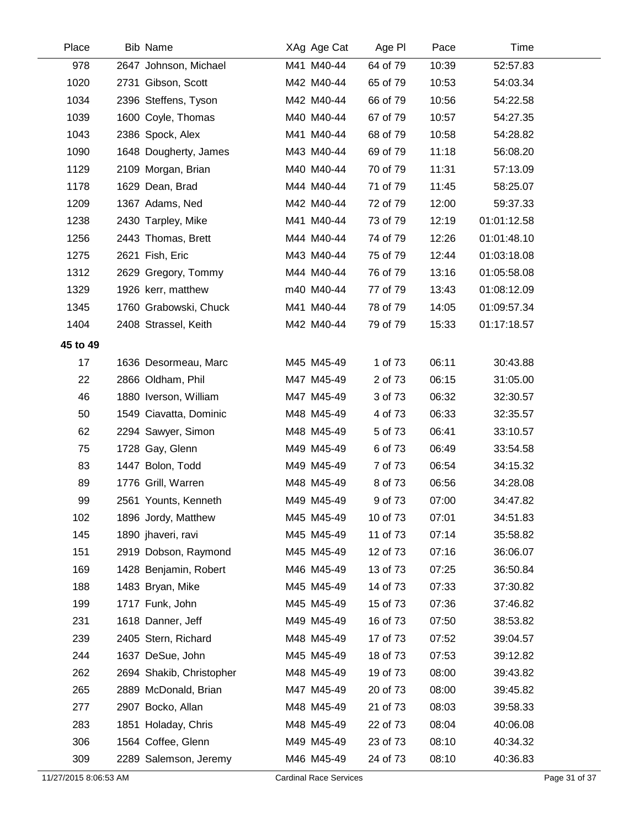| Place    | <b>Bib Name</b>          | XAg Age Cat | Age PI   | Pace  | Time        |
|----------|--------------------------|-------------|----------|-------|-------------|
| 978      | 2647 Johnson, Michael    | M41 M40-44  | 64 of 79 | 10:39 | 52:57.83    |
| 1020     | 2731 Gibson, Scott       | M42 M40-44  | 65 of 79 | 10:53 | 54:03.34    |
| 1034     | 2396 Steffens, Tyson     | M42 M40-44  | 66 of 79 | 10:56 | 54:22.58    |
| 1039     | 1600 Coyle, Thomas       | M40 M40-44  | 67 of 79 | 10:57 | 54:27.35    |
| 1043     | 2386 Spock, Alex         | M41 M40-44  | 68 of 79 | 10:58 | 54:28.82    |
| 1090     | 1648 Dougherty, James    | M43 M40-44  | 69 of 79 | 11:18 | 56:08.20    |
| 1129     | 2109 Morgan, Brian       | M40 M40-44  | 70 of 79 | 11:31 | 57:13.09    |
| 1178     | 1629 Dean, Brad          | M44 M40-44  | 71 of 79 | 11:45 | 58:25.07    |
| 1209     | 1367 Adams, Ned          | M42 M40-44  | 72 of 79 | 12:00 | 59:37.33    |
| 1238     | 2430 Tarpley, Mike       | M41 M40-44  | 73 of 79 | 12:19 | 01:01:12.58 |
| 1256     | 2443 Thomas, Brett       | M44 M40-44  | 74 of 79 | 12:26 | 01:01:48.10 |
| 1275     | 2621 Fish, Eric          | M43 M40-44  | 75 of 79 | 12:44 | 01:03:18.08 |
| 1312     | 2629 Gregory, Tommy      | M44 M40-44  | 76 of 79 | 13:16 | 01:05:58.08 |
| 1329     | 1926 kerr, matthew       | m40 M40-44  | 77 of 79 | 13:43 | 01:08:12.09 |
| 1345     | 1760 Grabowski, Chuck    | M41 M40-44  | 78 of 79 | 14:05 | 01:09:57.34 |
| 1404     | 2408 Strassel, Keith     | M42 M40-44  | 79 of 79 | 15:33 | 01:17:18.57 |
| 45 to 49 |                          |             |          |       |             |
| 17       | 1636 Desormeau, Marc     | M45 M45-49  | 1 of 73  | 06:11 | 30:43.88    |
| 22       | 2866 Oldham, Phil        | M47 M45-49  | 2 of 73  | 06:15 | 31:05.00    |
| 46       | 1880 Iverson, William    | M47 M45-49  | 3 of 73  | 06:32 | 32:30.57    |
| 50       | 1549 Ciavatta, Dominic   | M48 M45-49  | 4 of 73  | 06:33 | 32:35.57    |
| 62       | 2294 Sawyer, Simon       | M48 M45-49  | 5 of 73  | 06:41 | 33:10.57    |
| 75       | 1728 Gay, Glenn          | M49 M45-49  | 6 of 73  | 06:49 | 33:54.58    |
| 83       | 1447 Bolon, Todd         | M49 M45-49  | 7 of 73  | 06:54 | 34:15.32    |
| 89       | 1776 Grill, Warren       | M48 M45-49  | 8 of 73  | 06:56 | 34:28.08    |
| 99       | 2561 Younts, Kenneth     | M49 M45-49  | 9 of 73  | 07:00 | 34:47.82    |
| 102      | 1896 Jordy, Matthew      | M45 M45-49  | 10 of 73 | 07:01 | 34:51.83    |
| 145      | 1890 jhaveri, ravi       | M45 M45-49  | 11 of 73 | 07:14 | 35:58.82    |
| 151      | 2919 Dobson, Raymond     | M45 M45-49  | 12 of 73 | 07:16 | 36:06.07    |
| 169      | 1428 Benjamin, Robert    | M46 M45-49  | 13 of 73 | 07:25 | 36:50.84    |
| 188      | 1483 Bryan, Mike         | M45 M45-49  | 14 of 73 | 07:33 | 37:30.82    |
| 199      | 1717 Funk, John          | M45 M45-49  | 15 of 73 | 07:36 | 37:46.82    |
| 231      | 1618 Danner, Jeff        | M49 M45-49  | 16 of 73 | 07:50 | 38:53.82    |
| 239      | 2405 Stern, Richard      | M48 M45-49  | 17 of 73 | 07:52 | 39:04.57    |
| 244      | 1637 DeSue, John         | M45 M45-49  | 18 of 73 | 07:53 | 39:12.82    |
| 262      | 2694 Shakib, Christopher | M48 M45-49  | 19 of 73 | 08:00 | 39:43.82    |
| 265      | 2889 McDonald, Brian     | M47 M45-49  | 20 of 73 | 08:00 | 39:45.82    |
| 277      | 2907 Bocko, Allan        | M48 M45-49  | 21 of 73 | 08:03 | 39:58.33    |
| 283      | 1851 Holaday, Chris      | M48 M45-49  | 22 of 73 | 08:04 | 40:06.08    |
| 306      | 1564 Coffee, Glenn       | M49 M45-49  | 23 of 73 | 08:10 | 40:34.32    |
| 309      | 2289 Salemson, Jeremy    | M46 M45-49  | 24 of 73 | 08:10 | 40:36.83    |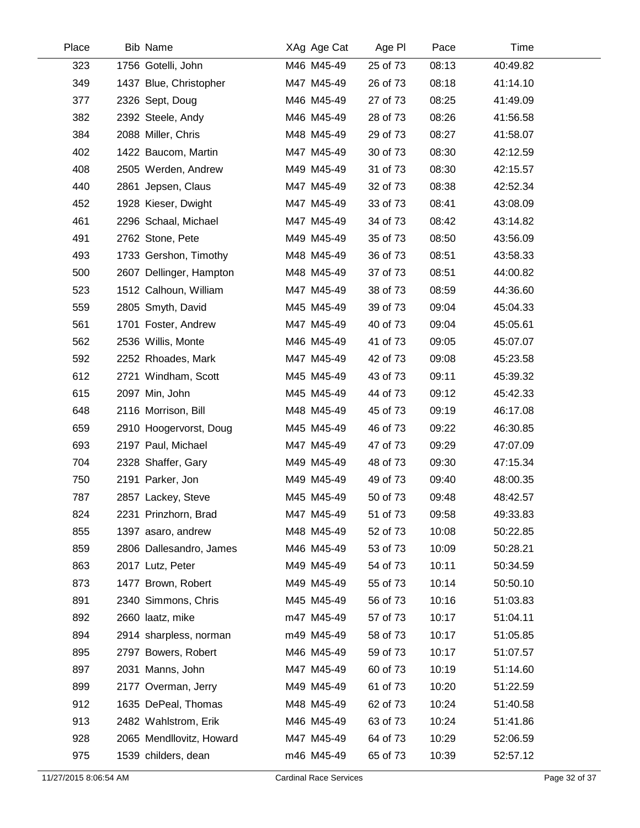| Place | <b>Bib Name</b>          | XAg Age Cat | Age PI   | Pace  | Time     |  |
|-------|--------------------------|-------------|----------|-------|----------|--|
| 323   | 1756 Gotelli, John       | M46 M45-49  | 25 of 73 | 08:13 | 40:49.82 |  |
| 349   | 1437 Blue, Christopher   | M47 M45-49  | 26 of 73 | 08:18 | 41:14.10 |  |
| 377   | 2326 Sept, Doug          | M46 M45-49  | 27 of 73 | 08:25 | 41:49.09 |  |
| 382   | 2392 Steele, Andy        | M46 M45-49  | 28 of 73 | 08:26 | 41:56.58 |  |
| 384   | 2088 Miller, Chris       | M48 M45-49  | 29 of 73 | 08:27 | 41:58.07 |  |
| 402   | 1422 Baucom, Martin      | M47 M45-49  | 30 of 73 | 08:30 | 42:12.59 |  |
| 408   | 2505 Werden, Andrew      | M49 M45-49  | 31 of 73 | 08:30 | 42:15.57 |  |
| 440   | 2861 Jepsen, Claus       | M47 M45-49  | 32 of 73 | 08:38 | 42:52.34 |  |
| 452   | 1928 Kieser, Dwight      | M47 M45-49  | 33 of 73 | 08:41 | 43:08.09 |  |
| 461   | 2296 Schaal, Michael     | M47 M45-49  | 34 of 73 | 08:42 | 43:14.82 |  |
| 491   | 2762 Stone, Pete         | M49 M45-49  | 35 of 73 | 08:50 | 43:56.09 |  |
| 493   | 1733 Gershon, Timothy    | M48 M45-49  | 36 of 73 | 08:51 | 43:58.33 |  |
| 500   | 2607 Dellinger, Hampton  | M48 M45-49  | 37 of 73 | 08:51 | 44:00.82 |  |
| 523   | 1512 Calhoun, William    | M47 M45-49  | 38 of 73 | 08:59 | 44:36.60 |  |
| 559   | 2805 Smyth, David        | M45 M45-49  | 39 of 73 | 09:04 | 45:04.33 |  |
| 561   | 1701 Foster, Andrew      | M47 M45-49  | 40 of 73 | 09:04 | 45:05.61 |  |
| 562   | 2536 Willis, Monte       | M46 M45-49  | 41 of 73 | 09:05 | 45:07.07 |  |
| 592   | 2252 Rhoades, Mark       | M47 M45-49  | 42 of 73 | 09:08 | 45:23.58 |  |
| 612   | 2721 Windham, Scott      | M45 M45-49  | 43 of 73 | 09:11 | 45:39.32 |  |
| 615   | 2097 Min, John           | M45 M45-49  | 44 of 73 | 09:12 | 45:42.33 |  |
| 648   | 2116 Morrison, Bill      | M48 M45-49  | 45 of 73 | 09:19 | 46:17.08 |  |
| 659   | 2910 Hoogervorst, Doug   | M45 M45-49  | 46 of 73 | 09:22 | 46:30.85 |  |
| 693   | 2197 Paul, Michael       | M47 M45-49  | 47 of 73 | 09:29 | 47:07.09 |  |
| 704   | 2328 Shaffer, Gary       | M49 M45-49  | 48 of 73 | 09:30 | 47:15.34 |  |
| 750   | 2191 Parker, Jon         | M49 M45-49  | 49 of 73 | 09:40 | 48:00.35 |  |
| 787   | 2857 Lackey, Steve       | M45 M45-49  | 50 of 73 | 09:48 | 48:42.57 |  |
| 824   | 2231 Prinzhorn, Brad     | M47 M45-49  | 51 of 73 | 09:58 | 49:33.83 |  |
| 855   | 1397 asaro, andrew       | M48 M45-49  | 52 of 73 | 10:08 | 50:22.85 |  |
| 859   | 2806 Dallesandro, James  | M46 M45-49  | 53 of 73 | 10:09 | 50:28.21 |  |
| 863   | 2017 Lutz, Peter         | M49 M45-49  | 54 of 73 | 10:11 | 50:34.59 |  |
| 873   | 1477 Brown, Robert       | M49 M45-49  | 55 of 73 | 10:14 | 50:50.10 |  |
| 891   | 2340 Simmons, Chris      | M45 M45-49  | 56 of 73 | 10:16 | 51:03.83 |  |
| 892   | 2660 laatz, mike         | m47 M45-49  | 57 of 73 | 10:17 | 51:04.11 |  |
| 894   | 2914 sharpless, norman   | m49 M45-49  | 58 of 73 | 10:17 | 51:05.85 |  |
| 895   | 2797 Bowers, Robert      | M46 M45-49  | 59 of 73 | 10:17 | 51:07.57 |  |
| 897   | 2031 Manns, John         | M47 M45-49  | 60 of 73 | 10:19 | 51:14.60 |  |
| 899   | 2177 Overman, Jerry      | M49 M45-49  | 61 of 73 | 10:20 | 51:22.59 |  |
| 912   | 1635 DePeal, Thomas      | M48 M45-49  | 62 of 73 | 10:24 | 51:40.58 |  |
| 913   | 2482 Wahlstrom, Erik     | M46 M45-49  | 63 of 73 | 10:24 | 51:41.86 |  |
| 928   | 2065 Mendllovitz, Howard | M47 M45-49  | 64 of 73 | 10:29 | 52:06.59 |  |
| 975   | 1539 childers, dean      | m46 M45-49  | 65 of 73 | 10:39 | 52:57.12 |  |
|       |                          |             |          |       |          |  |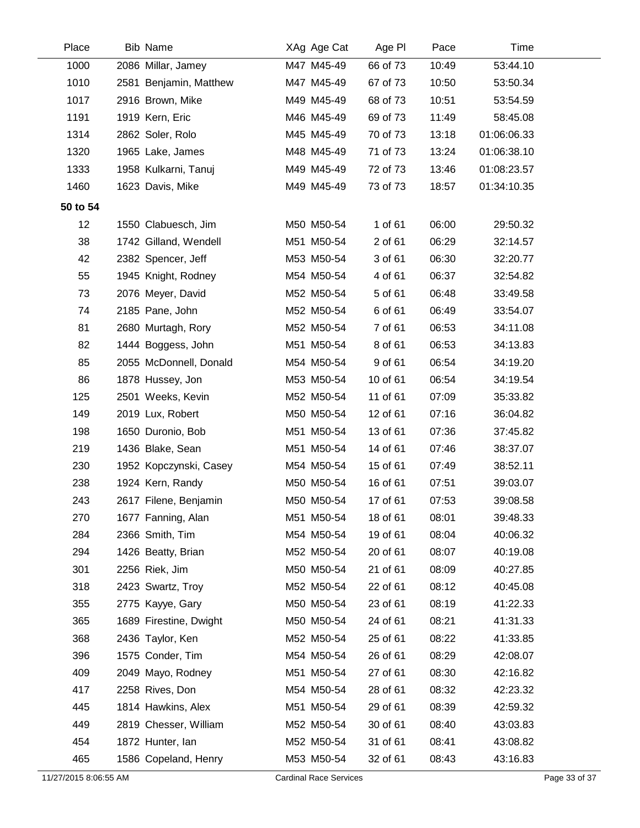| Place                 | <b>Bib Name</b>        | XAg Age Cat                   | Age PI   | Pace  | Time        |               |
|-----------------------|------------------------|-------------------------------|----------|-------|-------------|---------------|
| 1000                  | 2086 Millar, Jamey     | M47 M45-49                    | 66 of 73 | 10:49 | 53:44.10    |               |
| 1010                  | 2581 Benjamin, Matthew | M47 M45-49                    | 67 of 73 | 10:50 | 53:50.34    |               |
| 1017                  | 2916 Brown, Mike       | M49 M45-49                    | 68 of 73 | 10:51 | 53:54.59    |               |
| 1191                  | 1919 Kern, Eric        | M46 M45-49                    | 69 of 73 | 11:49 | 58:45.08    |               |
| 1314                  | 2862 Soler, Rolo       | M45 M45-49                    | 70 of 73 | 13:18 | 01:06:06.33 |               |
| 1320                  | 1965 Lake, James       | M48 M45-49                    | 71 of 73 | 13:24 | 01:06:38.10 |               |
| 1333                  | 1958 Kulkarni, Tanuj   | M49 M45-49                    | 72 of 73 | 13:46 | 01:08:23.57 |               |
| 1460                  | 1623 Davis, Mike       | M49 M45-49                    | 73 of 73 | 18:57 | 01:34:10.35 |               |
| 50 to 54              |                        |                               |          |       |             |               |
| 12                    | 1550 Clabuesch, Jim    | M50 M50-54                    | 1 of 61  | 06:00 | 29:50.32    |               |
| 38                    | 1742 Gilland, Wendell  | M51 M50-54                    | 2 of 61  | 06:29 | 32:14.57    |               |
| 42                    | 2382 Spencer, Jeff     | M53 M50-54                    | 3 of 61  | 06:30 | 32:20.77    |               |
| 55                    | 1945 Knight, Rodney    | M54 M50-54                    | 4 of 61  | 06:37 | 32:54.82    |               |
| 73                    | 2076 Meyer, David      | M52 M50-54                    | 5 of 61  | 06:48 | 33:49.58    |               |
| 74                    | 2185 Pane, John        | M52 M50-54                    | 6 of 61  | 06:49 | 33:54.07    |               |
| 81                    | 2680 Murtagh, Rory     | M52 M50-54                    | 7 of 61  | 06:53 | 34:11.08    |               |
| 82                    | 1444 Boggess, John     | M51 M50-54                    | 8 of 61  | 06:53 | 34:13.83    |               |
| 85                    | 2055 McDonnell, Donald | M54 M50-54                    | 9 of 61  | 06:54 | 34:19.20    |               |
| 86                    | 1878 Hussey, Jon       | M53 M50-54                    | 10 of 61 | 06:54 | 34:19.54    |               |
| 125                   | 2501 Weeks, Kevin      | M52 M50-54                    | 11 of 61 | 07:09 | 35:33.82    |               |
| 149                   | 2019 Lux, Robert       | M50 M50-54                    | 12 of 61 | 07:16 | 36:04.82    |               |
| 198                   | 1650 Duronio, Bob      | M51 M50-54                    | 13 of 61 | 07:36 | 37:45.82    |               |
| 219                   | 1436 Blake, Sean       | M51 M50-54                    | 14 of 61 | 07:46 | 38:37.07    |               |
| 230                   | 1952 Kopczynski, Casey | M54 M50-54                    | 15 of 61 | 07:49 | 38:52.11    |               |
| 238                   | 1924 Kern, Randy       | M50 M50-54                    | 16 of 61 | 07:51 | 39:03.07    |               |
| 243                   | 2617 Filene, Benjamin  | M50 M50-54                    | 17 of 61 | 07:53 | 39:08.58    |               |
| 270                   | 1677 Fanning, Alan     | M51 M50-54                    | 18 of 61 | 08:01 | 39:48.33    |               |
| 284                   | 2366 Smith, Tim        | M54 M50-54                    | 19 of 61 | 08:04 | 40:06.32    |               |
| 294                   | 1426 Beatty, Brian     | M52 M50-54                    | 20 of 61 | 08:07 | 40:19.08    |               |
| 301                   | 2256 Riek, Jim         | M50 M50-54                    | 21 of 61 | 08:09 | 40:27.85    |               |
| 318                   | 2423 Swartz, Troy      | M52 M50-54                    | 22 of 61 | 08:12 | 40:45.08    |               |
| 355                   | 2775 Kayye, Gary       | M50 M50-54                    | 23 of 61 | 08:19 | 41:22.33    |               |
| 365                   | 1689 Firestine, Dwight | M50 M50-54                    | 24 of 61 | 08:21 | 41:31.33    |               |
| 368                   | 2436 Taylor, Ken       | M52 M50-54                    | 25 of 61 | 08:22 | 41:33.85    |               |
| 396                   | 1575 Conder, Tim       | M54 M50-54                    | 26 of 61 | 08:29 | 42:08.07    |               |
| 409                   | 2049 Mayo, Rodney      | M51 M50-54                    | 27 of 61 | 08:30 | 42:16.82    |               |
| 417                   | 2258 Rives, Don        | M54 M50-54                    | 28 of 61 | 08:32 | 42:23.32    |               |
| 445                   | 1814 Hawkins, Alex     | M51 M50-54                    | 29 of 61 | 08:39 | 42:59.32    |               |
| 449                   | 2819 Chesser, William  | M52 M50-54                    | 30 of 61 | 08:40 | 43:03.83    |               |
| 454                   | 1872 Hunter, Ian       | M52 M50-54                    | 31 of 61 | 08:41 | 43:08.82    |               |
| 465                   | 1586 Copeland, Henry   | M53 M50-54                    | 32 of 61 | 08:43 | 43:16.83    |               |
| 11/27/2015 8:06:55 AM |                        | <b>Cardinal Race Services</b> |          |       |             | Page 33 of 37 |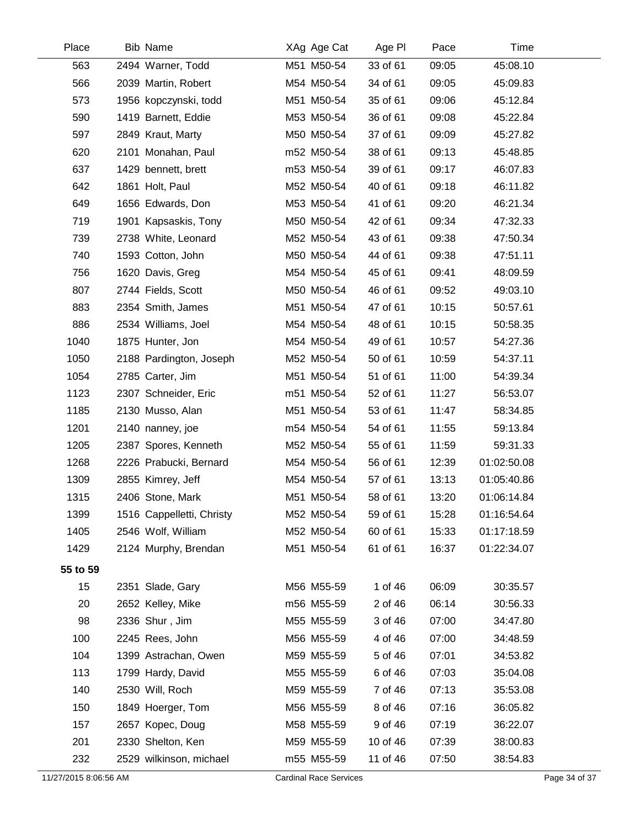| Place    | <b>Bib Name</b>           | XAg Age Cat | Age PI   | Pace  | Time        |  |
|----------|---------------------------|-------------|----------|-------|-------------|--|
| 563      | 2494 Warner, Todd         | M51 M50-54  | 33 of 61 | 09:05 | 45:08.10    |  |
| 566      | 2039 Martin, Robert       | M54 M50-54  | 34 of 61 | 09:05 | 45:09.83    |  |
| 573      | 1956 kopczynski, todd     | M51 M50-54  | 35 of 61 | 09:06 | 45:12.84    |  |
| 590      | 1419 Barnett, Eddie       | M53 M50-54  | 36 of 61 | 09:08 | 45:22.84    |  |
| 597      | 2849 Kraut, Marty         | M50 M50-54  | 37 of 61 | 09:09 | 45:27.82    |  |
| 620      | 2101 Monahan, Paul        | m52 M50-54  | 38 of 61 | 09:13 | 45:48.85    |  |
| 637      | 1429 bennett, brett       | m53 M50-54  | 39 of 61 | 09:17 | 46:07.83    |  |
| 642      | 1861 Holt, Paul           | M52 M50-54  | 40 of 61 | 09:18 | 46:11.82    |  |
| 649      | 1656 Edwards, Don         | M53 M50-54  | 41 of 61 | 09:20 | 46:21.34    |  |
| 719      | 1901 Kapsaskis, Tony      | M50 M50-54  | 42 of 61 | 09:34 | 47:32.33    |  |
| 739      | 2738 White, Leonard       | M52 M50-54  | 43 of 61 | 09:38 | 47:50.34    |  |
| 740      | 1593 Cotton, John         | M50 M50-54  | 44 of 61 | 09:38 | 47:51.11    |  |
| 756      | 1620 Davis, Greg          | M54 M50-54  | 45 of 61 | 09:41 | 48:09.59    |  |
| 807      | 2744 Fields, Scott        | M50 M50-54  | 46 of 61 | 09:52 | 49:03.10    |  |
| 883      | 2354 Smith, James         | M51 M50-54  | 47 of 61 | 10:15 | 50:57.61    |  |
| 886      | 2534 Williams, Joel       | M54 M50-54  | 48 of 61 | 10:15 | 50:58.35    |  |
| 1040     | 1875 Hunter, Jon          | M54 M50-54  | 49 of 61 | 10:57 | 54:27.36    |  |
| 1050     | 2188 Pardington, Joseph   | M52 M50-54  | 50 of 61 | 10:59 | 54:37.11    |  |
| 1054     | 2785 Carter, Jim          | M51 M50-54  | 51 of 61 | 11:00 | 54:39.34    |  |
| 1123     | 2307 Schneider, Eric      | m51 M50-54  | 52 of 61 | 11:27 | 56:53.07    |  |
| 1185     | 2130 Musso, Alan          | M51 M50-54  | 53 of 61 | 11:47 | 58:34.85    |  |
| 1201     | 2140 nanney, joe          | m54 M50-54  | 54 of 61 | 11:55 | 59:13.84    |  |
| 1205     | 2387 Spores, Kenneth      | M52 M50-54  | 55 of 61 | 11:59 | 59:31.33    |  |
| 1268     | 2226 Prabucki, Bernard    | M54 M50-54  | 56 of 61 | 12:39 | 01:02:50.08 |  |
| 1309     | 2855 Kimrey, Jeff         | M54 M50-54  | 57 of 61 | 13:13 | 01:05:40.86 |  |
| 1315     | 2406 Stone, Mark          | M51 M50-54  | 58 of 61 | 13:20 | 01:06:14.84 |  |
| 1399     | 1516 Cappelletti, Christy | M52 M50-54  | 59 of 61 | 15:28 | 01:16:54.64 |  |
| 1405     | 2546 Wolf, William        | M52 M50-54  | 60 of 61 | 15:33 | 01:17:18.59 |  |
| 1429     | 2124 Murphy, Brendan      | M51 M50-54  | 61 of 61 | 16:37 | 01:22:34.07 |  |
| 55 to 59 |                           |             |          |       |             |  |
| 15       | 2351 Slade, Gary          | M56 M55-59  | 1 of 46  | 06:09 | 30:35.57    |  |
| 20       | 2652 Kelley, Mike         | m56 M55-59  | 2 of 46  | 06:14 | 30:56.33    |  |
| 98       | 2336 Shur, Jim            | M55 M55-59  | 3 of 46  | 07:00 | 34:47.80    |  |
| 100      | 2245 Rees, John           | M56 M55-59  | 4 of 46  | 07:00 | 34:48.59    |  |
| 104      | 1399 Astrachan, Owen      | M59 M55-59  | 5 of 46  | 07:01 | 34:53.82    |  |
| 113      | 1799 Hardy, David         | M55 M55-59  | 6 of 46  | 07:03 | 35:04.08    |  |
| 140      | 2530 Will, Roch           | M59 M55-59  | 7 of 46  | 07:13 | 35:53.08    |  |
| 150      | 1849 Hoerger, Tom         | M56 M55-59  | 8 of 46  | 07:16 | 36:05.82    |  |
| 157      | 2657 Kopec, Doug          | M58 M55-59  | 9 of 46  | 07:19 | 36:22.07    |  |
| 201      | 2330 Shelton, Ken         | M59 M55-59  | 10 of 46 | 07:39 | 38:00.83    |  |
| 232      | 2529 wilkinson, michael   | m55 M55-59  | 11 of 46 | 07:50 | 38:54.83    |  |
|          |                           |             |          |       |             |  |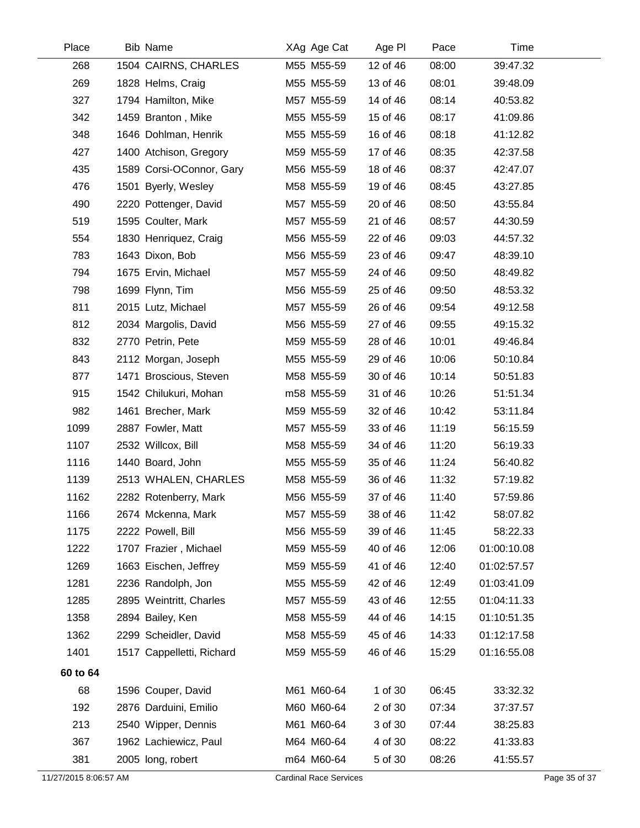| Place                 | <b>Bib Name</b>           | XAg Age Cat                   | Age PI   | Pace  | Time        |               |
|-----------------------|---------------------------|-------------------------------|----------|-------|-------------|---------------|
| 268                   | 1504 CAIRNS, CHARLES      | M55 M55-59                    | 12 of 46 | 08:00 | 39:47.32    |               |
| 269                   | 1828 Helms, Craig         | M55 M55-59                    | 13 of 46 | 08:01 | 39:48.09    |               |
| 327                   | 1794 Hamilton, Mike       | M57 M55-59                    | 14 of 46 | 08:14 | 40:53.82    |               |
| 342                   | 1459 Branton, Mike        | M55 M55-59                    | 15 of 46 | 08:17 | 41:09.86    |               |
| 348                   | 1646 Dohlman, Henrik      | M55 M55-59                    | 16 of 46 | 08:18 | 41:12.82    |               |
| 427                   | 1400 Atchison, Gregory    | M59 M55-59                    | 17 of 46 | 08:35 | 42:37.58    |               |
| 435                   | 1589 Corsi-OConnor, Gary  | M56 M55-59                    | 18 of 46 | 08:37 | 42:47.07    |               |
| 476                   | 1501 Byerly, Wesley       | M58 M55-59                    | 19 of 46 | 08:45 | 43:27.85    |               |
| 490                   | 2220 Pottenger, David     | M57 M55-59                    | 20 of 46 | 08:50 | 43:55.84    |               |
| 519                   | 1595 Coulter, Mark        | M57 M55-59                    | 21 of 46 | 08:57 | 44:30.59    |               |
| 554                   | 1830 Henriquez, Craig     | M56 M55-59                    | 22 of 46 | 09:03 | 44:57.32    |               |
| 783                   | 1643 Dixon, Bob           | M56 M55-59                    | 23 of 46 | 09:47 | 48:39.10    |               |
| 794                   | 1675 Ervin, Michael       | M57 M55-59                    | 24 of 46 | 09:50 | 48:49.82    |               |
| 798                   | 1699 Flynn, Tim           | M56 M55-59                    | 25 of 46 | 09:50 | 48:53.32    |               |
| 811                   | 2015 Lutz, Michael        | M57 M55-59                    | 26 of 46 | 09:54 | 49:12.58    |               |
| 812                   | 2034 Margolis, David      | M56 M55-59                    | 27 of 46 | 09:55 | 49:15.32    |               |
| 832                   | 2770 Petrin, Pete         | M59 M55-59                    | 28 of 46 | 10:01 | 49:46.84    |               |
| 843                   | 2112 Morgan, Joseph       | M55 M55-59                    | 29 of 46 | 10:06 | 50:10.84    |               |
| 877                   | 1471 Broscious, Steven    | M58 M55-59                    | 30 of 46 | 10:14 | 50:51.83    |               |
| 915                   | 1542 Chilukuri, Mohan     | m58 M55-59                    | 31 of 46 | 10:26 | 51:51.34    |               |
| 982                   | 1461 Brecher, Mark        | M59 M55-59                    | 32 of 46 | 10:42 | 53:11.84    |               |
| 1099                  | 2887 Fowler, Matt         | M57 M55-59                    | 33 of 46 | 11:19 | 56:15.59    |               |
| 1107                  | 2532 Willcox, Bill        | M58 M55-59                    | 34 of 46 | 11:20 | 56:19.33    |               |
| 1116                  | 1440 Board, John          | M55 M55-59                    | 35 of 46 | 11:24 | 56:40.82    |               |
| 1139                  | 2513 WHALEN, CHARLES      | M58 M55-59                    | 36 of 46 | 11:32 | 57:19.82    |               |
| 1162                  | 2282 Rotenberry, Mark     | M56 M55-59                    | 37 of 46 | 11:40 | 57:59.86    |               |
| 1166                  | 2674 Mckenna, Mark        | M57 M55-59                    | 38 of 46 | 11:42 | 58:07.82    |               |
| 1175                  | 2222 Powell, Bill         | M56 M55-59                    | 39 of 46 | 11:45 | 58:22.33    |               |
| 1222                  | 1707 Frazier, Michael     | M59 M55-59                    | 40 of 46 | 12:06 | 01:00:10.08 |               |
| 1269                  | 1663 Eischen, Jeffrey     | M59 M55-59                    | 41 of 46 | 12:40 | 01:02:57.57 |               |
| 1281                  | 2236 Randolph, Jon        | M55 M55-59                    | 42 of 46 | 12:49 | 01:03:41.09 |               |
| 1285                  | 2895 Weintritt, Charles   | M57 M55-59                    | 43 of 46 | 12:55 | 01:04:11.33 |               |
| 1358                  | 2894 Bailey, Ken          | M58 M55-59                    | 44 of 46 | 14:15 | 01:10:51.35 |               |
| 1362                  | 2299 Scheidler, David     | M58 M55-59                    | 45 of 46 | 14:33 | 01:12:17.58 |               |
| 1401                  | 1517 Cappelletti, Richard | M59 M55-59                    | 46 of 46 | 15:29 | 01:16:55.08 |               |
| 60 to 64              |                           |                               |          |       |             |               |
| 68                    | 1596 Couper, David        | M61 M60-64                    | 1 of 30  | 06:45 | 33:32.32    |               |
| 192                   | 2876 Darduini, Emilio     | M60 M60-64                    | 2 of 30  | 07:34 | 37:37.57    |               |
| 213                   | 2540 Wipper, Dennis       | M61 M60-64                    | 3 of 30  | 07:44 | 38:25.83    |               |
| 367                   | 1962 Lachiewicz, Paul     | M64 M60-64                    | 4 of 30  | 08:22 | 41:33.83    |               |
| 381                   | 2005 long, robert         | m64 M60-64                    | 5 of 30  | 08:26 | 41:55.57    |               |
| 11/27/2015 8:06:57 AM |                           | <b>Cardinal Race Services</b> |          |       |             | Page 35 of 37 |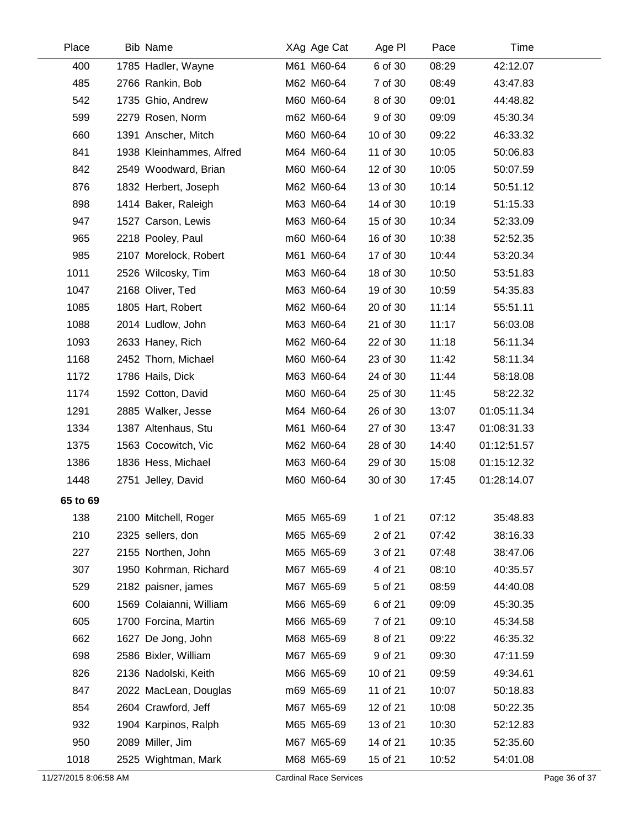| Place                 | <b>Bib Name</b>          | XAg Age Cat                   | Age PI   | Pace  | Time        |               |
|-----------------------|--------------------------|-------------------------------|----------|-------|-------------|---------------|
| 400                   | 1785 Hadler, Wayne       | M61 M60-64                    | 6 of 30  | 08:29 | 42:12.07    |               |
| 485                   | 2766 Rankin, Bob         | M62 M60-64                    | 7 of 30  | 08:49 | 43:47.83    |               |
| 542                   | 1735 Ghio, Andrew        | M60 M60-64                    | 8 of 30  | 09:01 | 44:48.82    |               |
| 599                   | 2279 Rosen, Norm         | m62 M60-64                    | 9 of 30  | 09:09 | 45:30.34    |               |
| 660                   | 1391 Anscher, Mitch      | M60 M60-64                    | 10 of 30 | 09:22 | 46:33.32    |               |
| 841                   | 1938 Kleinhammes, Alfred | M64 M60-64                    | 11 of 30 | 10:05 | 50:06.83    |               |
| 842                   | 2549 Woodward, Brian     | M60 M60-64                    | 12 of 30 | 10:05 | 50:07.59    |               |
| 876                   | 1832 Herbert, Joseph     | M62 M60-64                    | 13 of 30 | 10:14 | 50:51.12    |               |
| 898                   | 1414 Baker, Raleigh      | M63 M60-64                    | 14 of 30 | 10:19 | 51:15.33    |               |
| 947                   | 1527 Carson, Lewis       | M63 M60-64                    | 15 of 30 | 10:34 | 52:33.09    |               |
| 965                   | 2218 Pooley, Paul        | m60 M60-64                    | 16 of 30 | 10:38 | 52:52.35    |               |
| 985                   | 2107 Morelock, Robert    | M61 M60-64                    | 17 of 30 | 10:44 | 53:20.34    |               |
| 1011                  | 2526 Wilcosky, Tim       | M63 M60-64                    | 18 of 30 | 10:50 | 53:51.83    |               |
| 1047                  | 2168 Oliver, Ted         | M63 M60-64                    | 19 of 30 | 10:59 | 54:35.83    |               |
| 1085                  | 1805 Hart, Robert        | M62 M60-64                    | 20 of 30 | 11:14 | 55:51.11    |               |
| 1088                  | 2014 Ludlow, John        | M63 M60-64                    | 21 of 30 | 11:17 | 56:03.08    |               |
| 1093                  | 2633 Haney, Rich         | M62 M60-64                    | 22 of 30 | 11:18 | 56:11.34    |               |
| 1168                  | 2452 Thorn, Michael      | M60 M60-64                    | 23 of 30 | 11:42 | 58:11.34    |               |
| 1172                  | 1786 Hails, Dick         | M63 M60-64                    | 24 of 30 | 11:44 | 58:18.08    |               |
| 1174                  | 1592 Cotton, David       | M60 M60-64                    | 25 of 30 | 11:45 | 58:22.32    |               |
| 1291                  | 2885 Walker, Jesse       | M64 M60-64                    | 26 of 30 | 13:07 | 01:05:11.34 |               |
| 1334                  | 1387 Altenhaus, Stu      | M61 M60-64                    | 27 of 30 | 13:47 | 01:08:31.33 |               |
| 1375                  | 1563 Cocowitch, Vic      | M62 M60-64                    | 28 of 30 | 14:40 | 01:12:51.57 |               |
| 1386                  | 1836 Hess, Michael       | M63 M60-64                    | 29 of 30 | 15:08 | 01:15:12.32 |               |
| 1448                  | 2751 Jelley, David       | M60 M60-64                    | 30 of 30 | 17:45 | 01:28:14.07 |               |
| 65 to 69              |                          |                               |          |       |             |               |
| 138                   | 2100 Mitchell, Roger     | M65 M65-69                    | 1 of 21  | 07:12 | 35:48.83    |               |
| 210                   | 2325 sellers, don        | M65 M65-69                    | 2 of 21  | 07:42 | 38:16.33    |               |
| 227                   | 2155 Northen, John       | M65 M65-69                    | 3 of 21  | 07:48 | 38:47.06    |               |
| 307                   | 1950 Kohrman, Richard    | M67 M65-69                    | 4 of 21  | 08:10 | 40:35.57    |               |
| 529                   | 2182 paisner, james      | M67 M65-69                    | 5 of 21  | 08:59 | 44:40.08    |               |
| 600                   | 1569 Colaianni, William  | M66 M65-69                    | 6 of 21  | 09:09 | 45:30.35    |               |
| 605                   | 1700 Forcina, Martin     | M66 M65-69                    | 7 of 21  | 09:10 | 45:34.58    |               |
| 662                   | 1627 De Jong, John       | M68 M65-69                    | 8 of 21  | 09:22 | 46:35.32    |               |
| 698                   | 2586 Bixler, William     | M67 M65-69                    | 9 of 21  | 09:30 | 47:11.59    |               |
| 826                   | 2136 Nadolski, Keith     | M66 M65-69                    | 10 of 21 | 09:59 | 49:34.61    |               |
| 847                   | 2022 MacLean, Douglas    | m69 M65-69                    | 11 of 21 | 10:07 | 50:18.83    |               |
| 854                   | 2604 Crawford, Jeff      | M67 M65-69                    | 12 of 21 | 10:08 | 50:22.35    |               |
| 932                   | 1904 Karpinos, Ralph     | M65 M65-69                    | 13 of 21 | 10:30 | 52:12.83    |               |
| 950                   | 2089 Miller, Jim         | M67 M65-69                    | 14 of 21 | 10:35 | 52:35.60    |               |
| 1018                  | 2525 Wightman, Mark      | M68 M65-69                    | 15 of 21 | 10:52 | 54:01.08    |               |
| 11/27/2015 8:06:58 AM |                          | <b>Cardinal Race Services</b> |          |       |             | Page 36 of 37 |